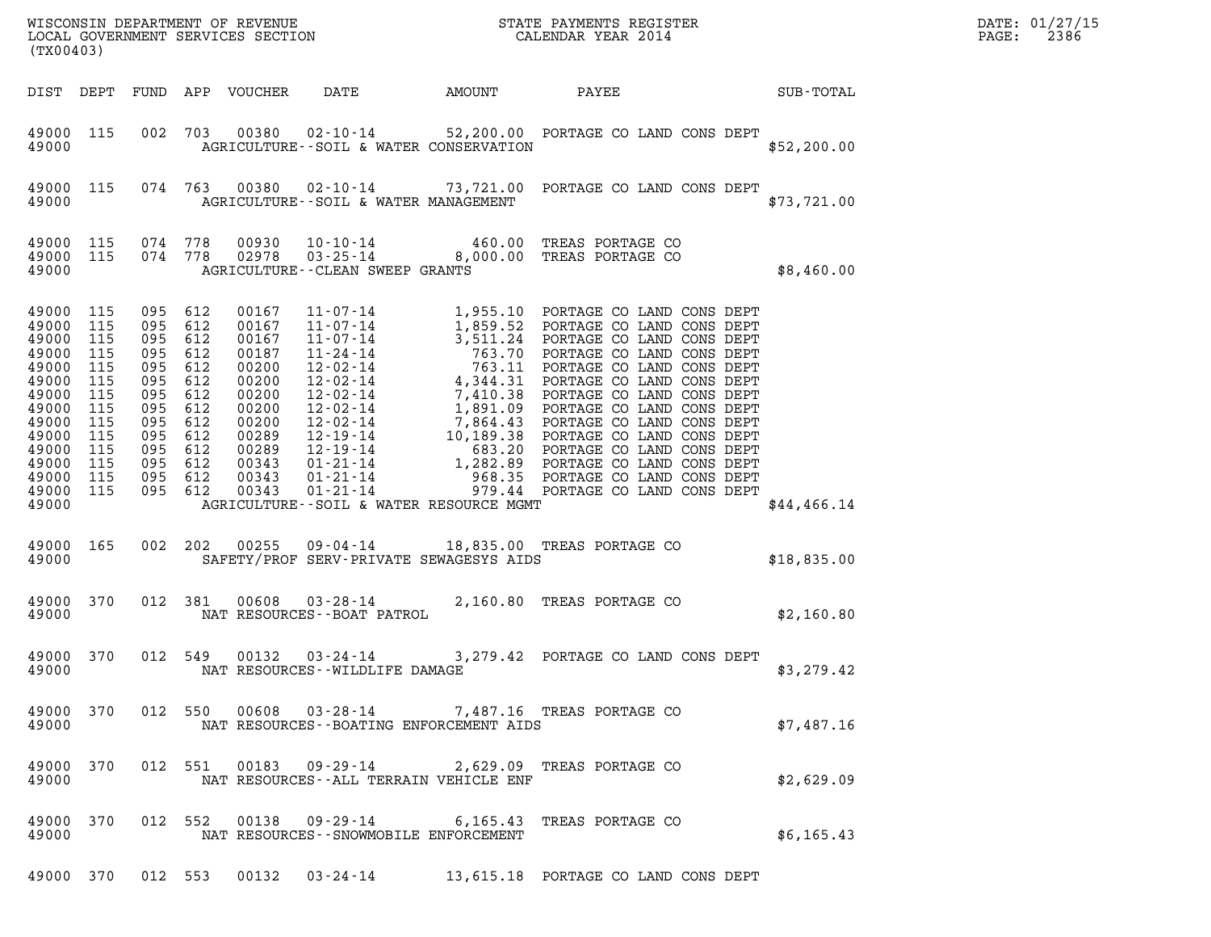| (TX00403)                                                                                                                                       |                                                                           |                                                                                                                                    |                                 | WISCONSIN DEPARTMENT OF REVENUE<br>LOCAL GOVERNMENT SERVICES SECTION<br>(TYOLOCAL GOVERNMENT SERVICES SECTION FOR THE SERVICES SECTION CALENDAR YEAR 2014 | DATE: 01/27/15<br>2386<br>$\mathtt{PAGE}$ :      |                                                                                        |             |  |
|-------------------------------------------------------------------------------------------------------------------------------------------------|---------------------------------------------------------------------------|------------------------------------------------------------------------------------------------------------------------------------|---------------------------------|-----------------------------------------------------------------------------------------------------------------------------------------------------------|--------------------------------------------------|----------------------------------------------------------------------------------------|-------------|--|
|                                                                                                                                                 |                                                                           |                                                                                                                                    |                                 | DIST DEPT FUND APP VOUCHER                                                                                                                                | DATE                                             | AMOUNT PAYEE SUB-TOTAL                                                                 |             |  |
| 49000                                                                                                                                           | 49000 115                                                                 |                                                                                                                                    |                                 |                                                                                                                                                           | AGRICULTURE - - SOIL & WATER CONSERVATION        | 002 703 00380 02-10-14 52,200.00 PORTAGE CO LAND CONS DEPT                             | \$52,200.00 |  |
| 49000                                                                                                                                           | 49000 115                                                                 |                                                                                                                                    |                                 |                                                                                                                                                           | AGRICULTURE--SOIL & WATER MANAGEMENT             | 074 763 00380 02-10-14 73,721.00 PORTAGE CO LAND CONS DEPT                             | \$73,721.00 |  |
| 49000                                                                                                                                           | 49000 115                                                                 | 49000 115 074 778<br>074 778                                                                                                       |                                 |                                                                                                                                                           | AGRICULTURE--CLEAN SWEEP GRANTS                  | 00930  10-10-14  460.00 TREAS PORTAGE CO<br>02978  03-25-14  8,000.00 TREAS PORTAGE CO | \$8,460.00  |  |
| 49000 115<br>49000<br>49000<br>49000<br>49000<br>49000<br>49000<br>49000<br>49000<br>49000<br>49000<br>49000<br>49000 115<br>49000 115<br>49000 | 115<br>115<br>115<br>115<br>115<br>115<br>115<br>115<br>115<br>115<br>115 | 095<br>095 612<br>095<br>095 612<br>095<br>095 612<br>095<br>095 612<br>095<br>095 612<br>095 612<br>095 612<br>095 612<br>095 612 | 612<br>612<br>612<br>612<br>612 | 00167<br>00167<br>00167<br>00187<br>00200<br>00200<br>00200<br>00200<br>00200<br>00289<br>00289<br>00343<br>00343<br>00343                                | AGRICULTURE--SOIL & WATER RESOURCE MGMT          |                                                                                        | \$44,466.14 |  |
| 49000                                                                                                                                           | 49000 165                                                                 |                                                                                                                                    |                                 | 002 202 00255                                                                                                                                             | SAFETY/PROF SERV-PRIVATE SEWAGESYS AIDS          | 09-04-14 18,835.00 TREAS PORTAGE CO                                                    | \$18,835.00 |  |
| 49000                                                                                                                                           | 49000 370                                                                 |                                                                                                                                    | 012 381                         |                                                                                                                                                           |                                                  | 81  00608  03-28-14  2,160.80 TREAS PORTAGE CO<br>NAT RESOURCES--BOAT PATROL           | \$2,160.80  |  |
| 49000 370<br>49000                                                                                                                              |                                                                           | 012 549                                                                                                                            |                                 | 00132                                                                                                                                                     | $03 - 24 - 14$<br>NAT RESOURCES--WILDLIFE DAMAGE | 3,279.42 PORTAGE CO LAND CONS DEPT                                                     | \$3,279.42  |  |
| 49000                                                                                                                                           |                                                                           |                                                                                                                                    |                                 |                                                                                                                                                           | NAT RESOURCES--BOATING ENFORCEMENT AIDS          | 49000 370 012 550 00608 03-28-14 7,487.16 TREAS PORTAGE CO                             | \$7,487.16  |  |
| 49000                                                                                                                                           |                                                                           |                                                                                                                                    |                                 |                                                                                                                                                           | NAT RESOURCES - - ALL TERRAIN VEHICLE ENF        | 49000 370 012 551 00183 09-29-14 2,629.09 TREAS PORTAGE CO                             | \$2,629.09  |  |
| 49000                                                                                                                                           |                                                                           |                                                                                                                                    |                                 |                                                                                                                                                           | NAT RESOURCES - - SNOWMOBILE ENFORCEMENT         | 49000 370 012 552 00138 09-29-14 6,165.43 TREAS PORTAGE CO                             | \$6,165.43  |  |
|                                                                                                                                                 |                                                                           |                                                                                                                                    |                                 |                                                                                                                                                           |                                                  | 49000 370 012 553 00132 03-24-14 13,615.18 PORTAGE CO LAND CONS DEPT                   |             |  |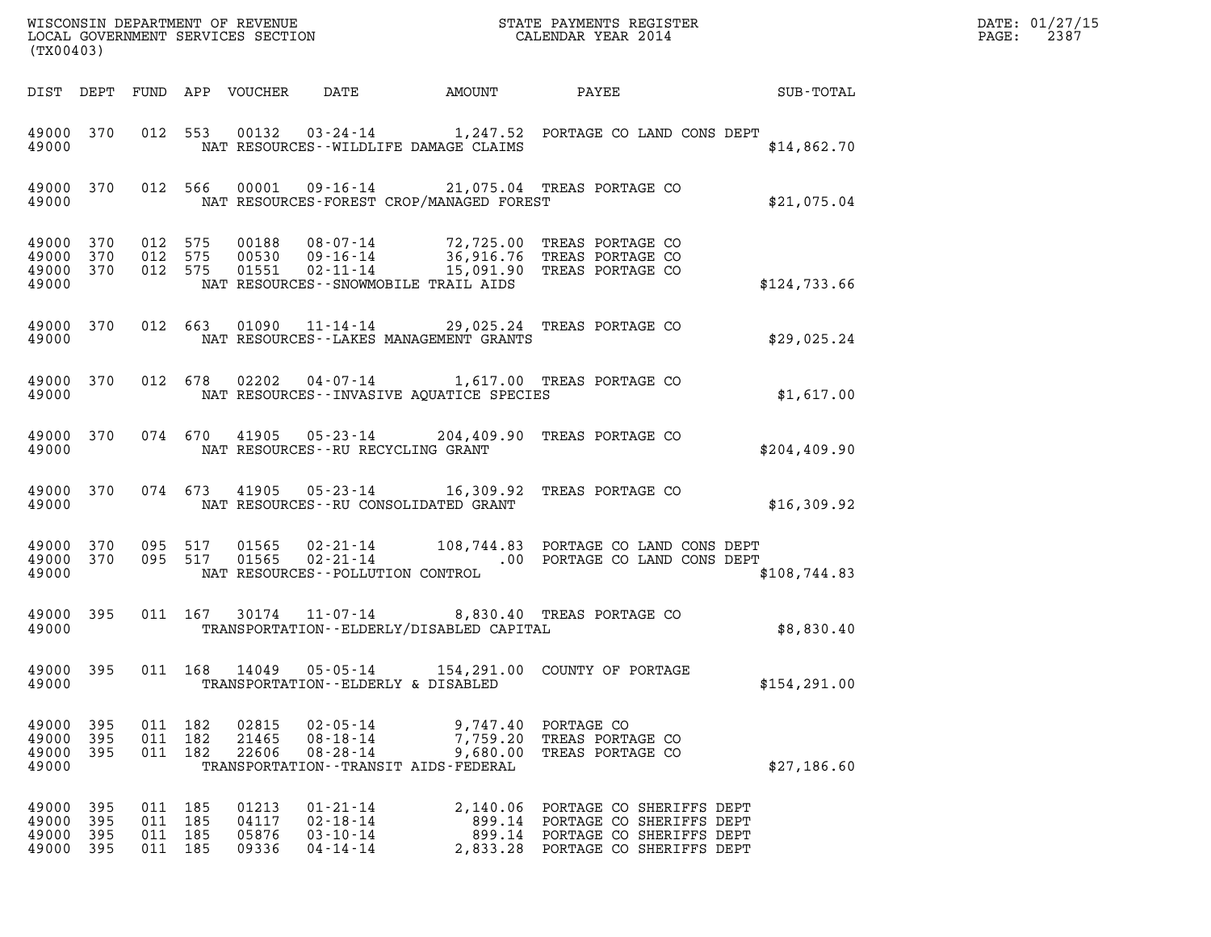| DATE: | 01/27/15 |
|-------|----------|
| PAGE: | 2387     |

| (TX00403)                                            |                     |                                          |                                  |                                                                                                 |                                             | WISCONSIN DEPARTMENT OF REVENUE<br>LOCAL GOVERNMENT SERVICES SECTION FOR THE SERVICES ON THE SERVICES SECTION                                               | $\mathcal{L}(\mathcal{L}^{\mathcal{L}}_{\mathcal{L}})$ and $\mathcal{L}^{\mathcal{L}}_{\mathcal{L}}$ and $\mathcal{L}^{\mathcal{L}}_{\mathcal{L}}$ and $\mathcal{L}^{\mathcal{L}}_{\mathcal{L}}$ | DATE: 01/27/15<br>2387<br>$\mathtt{PAGE:}$ |
|------------------------------------------------------|---------------------|------------------------------------------|----------------------------------|-------------------------------------------------------------------------------------------------|---------------------------------------------|-------------------------------------------------------------------------------------------------------------------------------------------------------------|--------------------------------------------------------------------------------------------------------------------------------------------------------------------------------------------------|--------------------------------------------|
|                                                      |                     |                                          |                                  |                                                                                                 | DIST DEPT FUND APP VOUCHER DATE AMOUNT      |                                                                                                                                                             | PAYEE SUB-TOTAL                                                                                                                                                                                  |                                            |
| 49000                                                |                     |                                          |                                  |                                                                                                 | NAT RESOURCES--WILDLIFE DAMAGE CLAIMS       | 49000 370 012 553 00132 03-24-14 1,247.52 PORTAGE CO LAND CONS DEPT                                                                                         | \$14,862.70                                                                                                                                                                                      |                                            |
| 49000                                                |                     |                                          |                                  |                                                                                                 | NAT RESOURCES-FOREST CROP/MANAGED FOREST    | 49000 370 012 566 00001 09-16-14 21,075.04 TREAS PORTAGE CO                                                                                                 | \$21,075.04                                                                                                                                                                                      |                                            |
| 49000 370 012 575<br>49000 370<br>49000 370<br>49000 |                     |                                          |                                  | NAT RESOURCES - - SNOWMOBILE TRAIL AIDS                                                         |                                             | 012 575 00188 08-07-14 72,725.00 TREAS PORTAGE CO<br>012 575 00530 09-16-14 36,916.76 TREAS PORTAGE CO<br>012 575 01551 02-11-14 15,091.90 TREAS PORTAGE CO | \$124,733.66                                                                                                                                                                                     |                                            |
| 49000                                                |                     |                                          |                                  |                                                                                                 | NAT RESOURCES--LAKES MANAGEMENT GRANTS      | 49000 370 012 663 01090 11-14-14 29,025.24 TREAS PORTAGE CO                                                                                                 | \$29,025.24                                                                                                                                                                                      |                                            |
| 49000                                                |                     |                                          |                                  |                                                                                                 | NAT RESOURCES -- INVASIVE AQUATICE SPECIES  | 49000 370 012 678 02202 04-07-14 1,617.00 TREAS PORTAGE CO                                                                                                  | \$1,617.00                                                                                                                                                                                       |                                            |
| 49000                                                |                     |                                          |                                  | NAT RESOURCES--RU RECYCLING GRANT                                                               |                                             | 49000 370 074 670 41905 05-23-14 204,409.90 TREAS PORTAGE CO                                                                                                | \$204, 409.90                                                                                                                                                                                    |                                            |
| 49000                                                |                     |                                          |                                  | NAT RESOURCES--RU CONSOLIDATED GRANT                                                            |                                             | 49000 370 074 673 41905 05-23-14 16,309.92 TREAS PORTAGE CO                                                                                                 | \$16,309.92                                                                                                                                                                                      |                                            |
| 49000 370<br>49000 370<br>49000                      |                     |                                          | 095 517<br>095 517               | NAT RESOURCES - - POLLUTION CONTROL                                                             |                                             |                                                                                                                                                             | \$108,744.83                                                                                                                                                                                     |                                            |
| 49000 395<br>49000                                   |                     |                                          |                                  |                                                                                                 | TRANSPORTATION - - ELDERLY/DISABLED CAPITAL | 011 167 30174 11-07-14 8,830.40 TREAS PORTAGE CO                                                                                                            | \$8,830.40                                                                                                                                                                                       |                                            |
| 49000 395<br>49000                                   |                     | 011 168                                  | 14049                            | TRANSPORTATION--ELDERLY & DISABLED                                                              |                                             | 05-05-14 154,291.00 COUNTY OF PORTAGE                                                                                                                       | \$154, 291.00                                                                                                                                                                                    |                                            |
| 49000<br>49000<br>49000<br>49000                     | 395<br>395<br>- 395 | 011 182<br>011 182<br>011 182            | 02815<br>21465<br>22606          | $02 - 05 - 14$<br>$08 - 18 - 14$<br>$08 - 28 - 14$<br>TRANSPORTATION - - TRANSIT AIDS - FEDERAL | 9,680.00                                    | 9,747.40 PORTAGE CO<br>7,759.20 TREAS PORTAGE CO<br>TREAS PORTAGE CO                                                                                        | \$27,186.60                                                                                                                                                                                      |                                            |
| 49000 395<br>49000<br>49000<br>49000                 | 395<br>- 395<br>395 | 011 185<br>011 185<br>011 185<br>011 185 | 01213<br>04117<br>05876<br>09336 | $01 - 21 - 14$<br>$02 - 18 - 14$<br>$03 - 10 - 14$<br>$04 - 14 - 14$                            |                                             | 2,140.06 PORTAGE CO SHERIFFS DEPT<br>899.14 PORTAGE CO SHERIFFS DEPT<br>899.14 PORTAGE CO SHERIFFS DEPT<br>2,833.28 PORTAGE CO SHERIFFS DEPT                |                                                                                                                                                                                                  |                                            |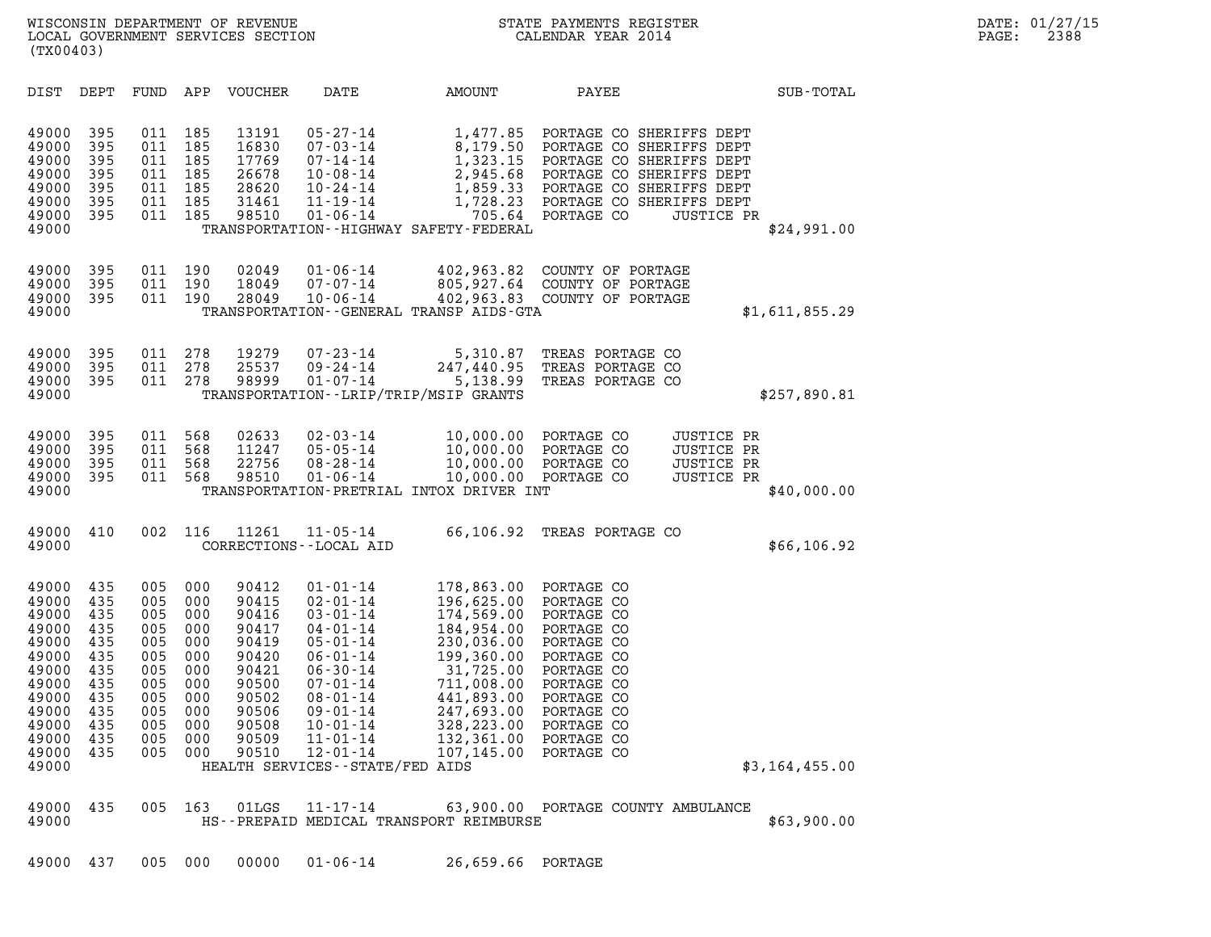| (TX00403)                                                                                                                  |                                                                                         |                                                                                         |                                                                                         |                                                                                                                   |                                                                                                                                                                                                                                                                           |                                                                                                                                                                                   |                                                                                                                                                                                    |                                                                            |
|----------------------------------------------------------------------------------------------------------------------------|-----------------------------------------------------------------------------------------|-----------------------------------------------------------------------------------------|-----------------------------------------------------------------------------------------|-------------------------------------------------------------------------------------------------------------------|---------------------------------------------------------------------------------------------------------------------------------------------------------------------------------------------------------------------------------------------------------------------------|-----------------------------------------------------------------------------------------------------------------------------------------------------------------------------------|------------------------------------------------------------------------------------------------------------------------------------------------------------------------------------|----------------------------------------------------------------------------|
| DIST                                                                                                                       | DEPT                                                                                    | FUND                                                                                    | APP                                                                                     | <b>VOUCHER</b>                                                                                                    | DATE                                                                                                                                                                                                                                                                      | AMOUNT                                                                                                                                                                            | PAYEE                                                                                                                                                                              | SUB-TOTAL                                                                  |
| 49000<br>49000<br>49000<br>49000<br>49000<br>49000<br>49000<br>49000                                                       | 395<br>395<br>395<br>395<br>395<br>395<br>395                                           | 011<br>011<br>011<br>011<br>011<br>011<br>011                                           | 185<br>185<br>185<br>185<br>185<br>185<br>185                                           | 13191<br>16830<br>17769<br>26678<br>28620<br>31461<br>98510                                                       | $05 - 27 - 14$<br>$07 - 03 - 14$<br>07-14-14<br>$10 - 08 - 14$<br>$10 - 24 - 14$<br>$11 - 19 - 14$<br>$01 - 06 - 14$                                                                                                                                                      | 1,477.85<br>8,179.50<br>1,323.15<br>2,945.68<br>1,859.33<br>1,728.23<br>705.64<br>TRANSPORTATION - - HIGHWAY SAFETY - FEDERAL                                                     | PORTAGE CO SHERIFFS DEPT<br>PORTAGE CO SHERIFFS DEPT<br>PORTAGE CO SHERIFFS DEPT<br>PORTAGE CO SHERIFFS DEPT<br>PORTAGE CO SHERIFFS DEPT<br>PORTAGE CO SHERIFFS DEPT<br>PORTAGE CO | <b>JUSTICE PR</b><br>\$24,991.00                                           |
| 49000<br>49000<br>49000<br>49000                                                                                           | 395<br>395<br>395                                                                       | 011<br>011<br>011                                                                       | 190<br>190<br>190                                                                       | 02049<br>18049<br>28049                                                                                           | $01 - 06 - 14$<br>$07 - 07 - 14$<br>$10 - 06 - 14$                                                                                                                                                                                                                        | 402,963.82<br>805,927.64<br>402,963.83<br>TRANSPORTATION--GENERAL TRANSP AIDS-GTA                                                                                                 | COUNTY OF PORTAGE<br>COUNTY OF PORTAGE<br>COUNTY OF PORTAGE                                                                                                                        | \$1,611,855.29                                                             |
| 49000<br>49000<br>49000<br>49000                                                                                           | 395<br>395<br>395                                                                       | 011<br>011<br>011                                                                       | 278<br>278<br>278                                                                       | 19279<br>25537<br>98999                                                                                           | $07 - 23 - 14$<br>$09 - 24 - 14$<br>$01 - 07 - 14$                                                                                                                                                                                                                        | 5,310.87<br>247,440.95<br>5,138.99<br>TRANSPORTATION--LRIP/TRIP/MSIP GRANTS                                                                                                       | TREAS PORTAGE CO<br>TREAS PORTAGE CO<br>TREAS PORTAGE CO                                                                                                                           | \$257,890.81                                                               |
| 49000<br>49000<br>49000<br>49000<br>49000                                                                                  | 395<br>395<br>395<br>395                                                                | 011<br>011<br>011<br>011                                                                | 568<br>568<br>568<br>568                                                                | 02633<br>11247<br>22756<br>98510                                                                                  | $02 - 03 - 14$<br>$05 - 05 - 14$<br>$08 - 28 - 14$<br>$01 - 06 - 14$                                                                                                                                                                                                      | 10,000.00<br>10,000.00<br>10,000.00<br>10,000.00<br>TRANSPORTATION-PRETRIAL INTOX DRIVER INT                                                                                      | PORTAGE CO<br>PORTAGE CO<br>PORTAGE CO<br>PORTAGE CO                                                                                                                               | JUSTICE PR<br><b>JUSTICE PR</b><br>JUSTICE PR<br>JUSTICE PR<br>\$40,000.00 |
| 49000<br>49000                                                                                                             | 410                                                                                     | 002                                                                                     | 116                                                                                     | 11261                                                                                                             | $11 - 05 - 14$<br>CORRECTIONS - - LOCAL AID                                                                                                                                                                                                                               | 66,106.92                                                                                                                                                                         | TREAS PORTAGE CO                                                                                                                                                                   | \$66,106.92                                                                |
| 49000<br>49000<br>49000<br>49000<br>49000<br>49000<br>49000<br>49000<br>49000<br>49000<br>49000<br>49000<br>49000<br>49000 | 435<br>435<br>435<br>435<br>435<br>435<br>435<br>435<br>435<br>435<br>435<br>435<br>435 | 005<br>005<br>005<br>005<br>005<br>005<br>005<br>005<br>005<br>005<br>005<br>005<br>005 | 000<br>000<br>000<br>000<br>000<br>000<br>000<br>000<br>000<br>000<br>000<br>000<br>000 | 90412<br>90415<br>90416<br>90417<br>90419<br>90420<br>90421<br>90500<br>90502<br>90506<br>90508<br>90509<br>90510 | $01 - 01 - 14$<br>$02 - 01 - 14$<br>$03 - 01 - 14$<br>$04 - 01 - 14$<br>$05 - 01 - 14$<br>$06 - 01 - 14$<br>$06 - 30 - 14$<br>$07 - 01 - 14$<br>$08 - 01 - 14$<br>$09 - 01 - 14$<br>$10 - 01 - 14$<br>$11 - 01 - 14$<br>$12 - 01 - 14$<br>HEALTH SERVICES--STATE/FED AIDS | 178,863.00<br>196,625.00<br>174,569.00<br>184,954.00<br>230,036.00<br>199,360.00<br>31,725.00<br>711,008.00<br>441,893.00<br>247,693.00<br>328,223.00<br>132,361.00<br>107,145.00 | PORTAGE CO<br>PORTAGE CO<br>PORTAGE CO<br>PORTAGE CO<br>PORTAGE CO<br>PORTAGE CO<br>PORTAGE CO<br>PORTAGE CO<br>PORTAGE CO<br>PORTAGE CO<br>PORTAGE CO<br>PORTAGE CO<br>PORTAGE CO | \$3,164,455.00                                                             |
| 49000<br>49000                                                                                                             | 435                                                                                     | 005                                                                                     | 163                                                                                     | 01LGS                                                                                                             | $11 - 17 - 14$                                                                                                                                                                                                                                                            | HS--PREPAID MEDICAL TRANSPORT REIMBURSE                                                                                                                                           | 63,900.00 PORTAGE COUNTY AMBULANCE                                                                                                                                                 | \$63,900.00                                                                |

49000 437 005 000 00000 01-06-14 26,659.66 PORTAGE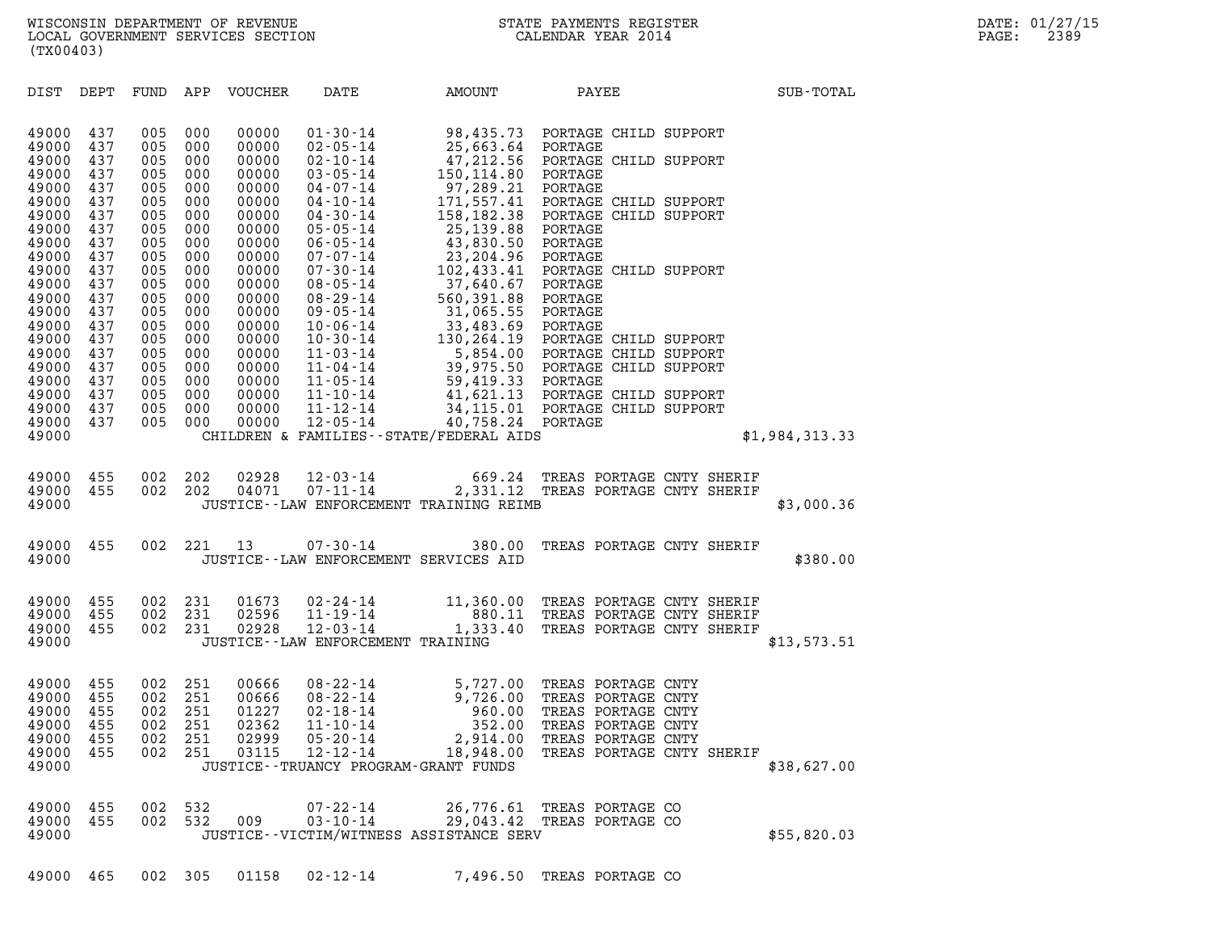DIST DEPT FUND APP VOUCHER DATE AMOUNT PAYEE SUB-TOTAL DIST DEPT FUND APP VOUCHER DATE AMOUNT PAYEE<br>49000 437 005 000 00000 01-30-14 98,435.73 PORTAGE CHILD SUPPORT<br>49000 437 005 000 00000 02-05-14 25,663.64 PORTAGE 49000 437 005 000 00000 02-05-14 25,663.64 PORTAGE 49000 437 005 000 00000 01-30-14 98,435.73 PORTAGE CHILD SUPPORT<br>49000 437 005 000 00000 02-05-14 25,663.64 PORTAGE<br>49000 437 005 000 00000 02-10-14 47,212.56 PORTAGE CHILD SUPPORT<br>49000 437 005 000 00000 03-05-14 150.114. 49000 437 005 000 00000 01-30-14 98,435.73 PORTAGE CH:<br>49000 437 005 000 00000 02-05-14 25,663.64 PORTAGE CH:<br>49000 437 005 000 00000 02-05-14 47,212.56 PORTAGE CH:<br>49000 437 005 000 00000 04-07-14 97.289.21 PORTAGE 49000 437 005 000 00000 02-05-14 25,663.64 PORTAGE<br>49000 437 005 000 00000 02-10-14 47,212.56 PORTAGE CH:<br>49000 437 005 000 00000 03-05-14 150,114.80 PORTAGE<br>49000 437 005 000 00000 04-07-14 97,289.21 PORTAGE<br>49000 437 005 49000 437 005 000 00000 02-10-14 47,212.56 PORTAGE CHILD SUPPORT<br>49000 437 005 000 00000 03-05-14 150,114.80 PORTAGE<br>49000 437 005 000 00000 04-07-14 97,289.21 PORTAGE<br>49000 437 005 000 00000 04-10-14 171,557.41 PORTAGE CH 49000 437 005 000 00000 03-05-14 150,114.80 PORTAGE<br>49000 437 005 000 00000 04-07-14 97,289.21 PORTAGE<br>49000 437 005 000 00000 04-10-14 171,557.41 PORTAGE CHILD SUPPORT<br>49000 437 005 000 00000 05-05-14 158,182.38 PORTAGE C 49000 437 005 000 00000 04-07-14 97,289.21 PORTAGE<br>49000 437 005 000 00000 04-10-14 171,557.41 PORTAGE CH:<br>49000 437 005 000 00000 04-30-14 158,182.38 PORTAGE CH:<br>49000 437 005 000 00000 06-05-14 25,139.88 PORTAGE<br>49000 43 49000 437 005 000 00000 04-10-14 171,557.41 PORTAGE CH:<br>49000 437 005 000 00000 04-30-14 158,182.38 PORTAGE CH:<br>49000 437 005 000 00000 05-05-14 25,139.80 PORTAGE<br>49000 437 005 000 00000 06-05-14 43,830.50 PORTAGE<br>49000 43 49000 437 005 000 00000 04-30-14 158,182.38 PORTAGE CH:<br>49000 437 005 000 00000 05-05-14 25,139.88 PORTAGE<br>49000 437 005 000 00000 06-05-14 43,830.50 PORTAGE<br>49000 437 005 000 00000 07-30-14 23,204.96 PORTAGE<br>49000 437 005 49000 437 005 000 00000 05-05-14 25,139.88 PORTAGE<br>49000 437 005 000 00000 06-05-14 43,830.50 PORTAGE<br>49000 437 005 000 00000 07-07-14 23,204.96 PORTAGE<br>49000 437 005 000 00000 08-05-14 102,433.41 PORTAGE CHILD SUPPORT<br>490 49000 437 005 000 00000 06-05-14 43,830.50 PORTAGE<br>49000 437 005 000 00000 07-07-14 23,204.96 PORTAGE<br>49000 437 005 000 00000 07-30-14 102,433.41 PORTAGECH:<br>49000 437 005 000 00000 08-05-14 37,640.67 PORTAGE<br>49000 437 005 49000 437 005 000 00000 07-07-14 23,204.96 PORTAGE<br>49000 437 005 000 00000 07-30-14 102,433.41 PORTAGE CH:<br>49000 437 005 000 00000 08-05-14 37,640.67 PORTAGE<br>49000 437 005 000 00000 08-29-14 560,391.88 PORTAGE<br>49000 437 00 49000 437 005 000 00000 07-30-14 102,433.41 PORTAGE CH:<br>49000 437 005 000 00000 08-05-14 37,640.67 PORTAGE<br>49000 437 005 000 00000 08-05-14 560,391.88 PORTAGE<br>49000 437 005 000 00000 10-06-14 31,065.55 PORTAGE<br>49000 437 00 49000 437 005 000 00000 08-05-14 37,640.67 PORTAGE<br>49000 437 005 000 00000 08-29-14 560,391.88 PORTAGE<br>49000 437 005 000 00000 09-05-14 31,065.59 PORTAGE<br>49000 437 005 000 00000 10-06-14 33,483.69 PORTAGE<br>49000 437 005 000 49000 437 005 000 00000 08-29-14 560,391.88 PORTAGE<br>49000 437 005 000 00000 09-05-14 31,065.55 PORTAGE<br>49000 437 005 000 00000 10-30-14 33,483.69 PORTAGE<br>49000 437 005 000 00000 10-30-14 130,264.19 PORTAGE CHILD SUPPORT<br>49 49000 437 005 000 00000 09-05-14 31,065.55 PORTAGE<br>49000 437 005 000 00000 10-06-14 33,483.69 PORTAGE<br>49000 437 005 000 00000 10-30-14 130,264.19 PORTAGE CHILD SUPPORT<br>49000 437 005 000 00000 11-03-14 5,854.00 PORTAGE CHIL 49000 437 005 000 00000 10-06-14 33,483.69 PORTAGE<br>49000 437 005 000 00000 10-30-14 130,264.19 PORTAGE CHILD SUPPORT<br>49000 437 005 000 00000 11-04-14 39,975.50 PORTAGE CHILD SUPPORT<br>49000 437 005 000 00000 11-04-14 39,975. 49000 437 005 000 00000 10-30-14 130,264.19 PORTAGE CH:<br>49000 437 005 000 00000 11-03-14 5,854.00 PORTAGE CH:<br>49000 437 005 000 00000 11-04-14 39,975.53 PORTAGE CH:<br>49000 437 005 000 00000 11-10-14 59,419.33 PORTAGE<br>49000 49000 437 005 000 00000 11-03-14 5,854.00 PORTAGE CHILD SUPPORT<br>49000 437 005 000 00000 11-04-14 39,975.50 PORTAGE CHILD SUPPORT<br>49000 437 005 000 00000 11-05-14 59,419.33 PORTAGE CHILD SUPPORT<br>49000 437 005 000 00000 11-1 49000 437 005 000 00000 11-04-14 39,975.50 PORTAGE CHILD SUPPORT<br>49000 437 005 000 00000 11-05-14 59,419.33 PORTAGE<br>49000 437 005 000 00000 11-12-14 41,621.13 PORTAGE CHILD SUPPORT<br>49000 437 005 000 00000 12-05-14 40.758.2 49000 437 005 000 00000 11-05-14 59,419.33 PORTAGE<br>49000 437 005 000 00000 11-10-14 41,621.13 PORTAGE CH:<br>49000 437 005 000 00000 11-12-14 34,115.01 PORTAGE CH:<br>49000 437 005 000 00000 12-05-14 40,758.24 PORTAGE<br>49000 CHIL 49000 437 005 000 00000 11-10-14 41,621.13 PORTAGE\_CHILD\_SUPPORT<br>49000 437 005 000 00000 11-12-14 34,115.01 PORTAGE\_CHILD\_SUPPORT<br>49000 437 005 000 00000 12-05-14 40,758.24 PORTAGE<br>49000 49000 455 002 202 02928 12-03-14 669.24 TREAS PORTAGE CNTY SHERIF 49000 455 002 202 02928 12-03-14 669.24 TREAS PORTAGE CNTY SHERIF<br>49000 455 002 202 04071 07-11-14 2,331.12 TREAS PORTAGE CNTY SHERIF<br>49000 JUSTICE--LAW ENFORCEMENT TRAINING REIMB 49000 JUSTICE--LAW ENFORCEMENT TRAINING REIMB \$3,000.36 49000 JUSTICE--LAW ENFORCEMENT TRAINING REIMB<br>49000 455 002 221 13 07-30-14 380.00 TREAS PORTAGE CNTY SHERIF<br>49000 JUSTICE--LAW ENFORCEMENT SERVICES AID 49000 455 002 221 13 07-30-14 380.00 TREAS PORTAGE CNTY SHERIF<br>49000 JUSTICE--LAW ENFORCEMENT SERVICES AID 49000 JUSTICE--LAW ENFORCEMENT SERVICES AID<br>49000 455 002 231 01673 02-24-14 11,360.00 TREAS PORTAGE CNTY SHERIF<br>49000 455 002 231 02596 11-19-14 880.11 TR 49000 455 002 231 01673 02-24-14 11,360.00 TREAS PORTAGE CNTY SHERIF<br>49000 455 002 231 02596 11-19-14 - 880.11 TREAS PORTAGE CNTY SHERIF<br>49000 455 002 231 02928 12-03-14 - 1,333.40 TREAS PORTAGE CNTY SHERIF 49000 455 002 231 01673 02-24-14 11,360.00 TREAS PORTAGE CNTY SHERIF<br>49000 455 002 231 02596 11-19-14 880.11 TREAS PORTAGE CNTY SHERIF<br>49000 455 002 231 02928 12-03-14 1,333.40 TREAS PORTAGE CNTY SHERIF<br>49000 JUSTICE--LAW 49000 455 002 231 01673 02-24-14 11,360.00 TREAS-PORTAGE-CNTY-SHERIF<br>49000 455 002 231 02596 11-19-14 1880.11 TREAS-PORTAGE-CNTY-SHERIF<br>49000 455 002 231 02928 12-03-14 1,333.40 TREAS-PORTAGE-CNTY-SHERIF<br>49000 11-JUSTICE--49000 455 002 251 00666 08-22-14 5,727.00 TREAS PORTAGE CNTY 49000 455 002 251 00666 08-22-14 5,727.00 TREAS PORTAGE CNTY<br>49000 455 002 251 00666 08-22-14 9,726.00 TREAS PORTAGE CNTY<br>49000 455 002 251 01227 02-18-14 960.00 TREAS PORTAGE CNTY 49000 455 002 251 00666 08-22-14 5,727.00 TREAS PORTAGE CNTY<br>49000 455 002 251 00666 08-22-14 9,726.00 TREAS PORTAGE CNTY<br>49000 455 002 251 01227 02-18-14 960.00 TREAS PORTAGE CNTY<br>49000 455 002 251 02362 11-10-14 352.00 T 49000 455 002 251 00666 08-22-14 5,727.00 TREAS PORTAGE CNTY<br>49000 455 002 251 00666 08-22-14 9,726.00 TREAS PORTAGE CNTY<br>49000 455 002 251 01227 02-18-14 352.00 TREAS PORTAGE CNTY<br>49000 455 002 251 02362 11-10-14 352.00 T 49000 455 002 251 00666 08-22-14 9,726.00 TREAS PORTAGE CNTY<br>49000 455 002 251 01227 02-18-14 960.00 TREAS PORTAGE CNTY<br>49000 455 002 251 02362 11-10-14 352.00 TREAS PORTAGE CNTY<br>49000 455 002 251 03115 12-12-14 18,948.00 49000 455 002 251 01227 02-18-14 960.00 TREAS PORTAGE CNTY<br>49000 455 002 251 02362 11-10-14 352.00 TREAS PORTAGE CNTY<br>49000 455 002 251 02999 05-20-14 18,948.00 TREAS PORTAGE CNTY<br>49000 455 002 251 03115 12-12-14 18,948.00 49000 455 002 251 02362 11-10-14 352.00 TREAS-PORTAGE-CNTY<br>49000 455 002 251 02999 05-20-14 2,914.00 TREAS-PORTAGE-CNTY<br>49000 455 002 251 03115 12-12-14 18,948.00 TREAS-PORTAGE-CNTY-SHERIF<br>49000 JUSTICE--TRUANCY-PROGRA

49000 455 002 532 07-22-14 26,776.61 TREAS PORTAGE CO 49000 455 002 532 009 03-10-14 29,043.42 TREAS PORTAGE CO 49000 455 002 532 07-22-14 26,776.61 TREAS PORTAGE CO<br>49000 455 002 532 009 03-10-14 29,043.42 TREAS PORTAGE CO \$55,820.03<br>49000 JUSTICE--VICTIM/WITNESS ASSISTANCE SERV 49000 JUSTICE--VICTIM/WITNESS ASSISTANCE SERV<br>49000 465 002 305 01158 02-12-14 7,496.50 TREAS PORTAGE CO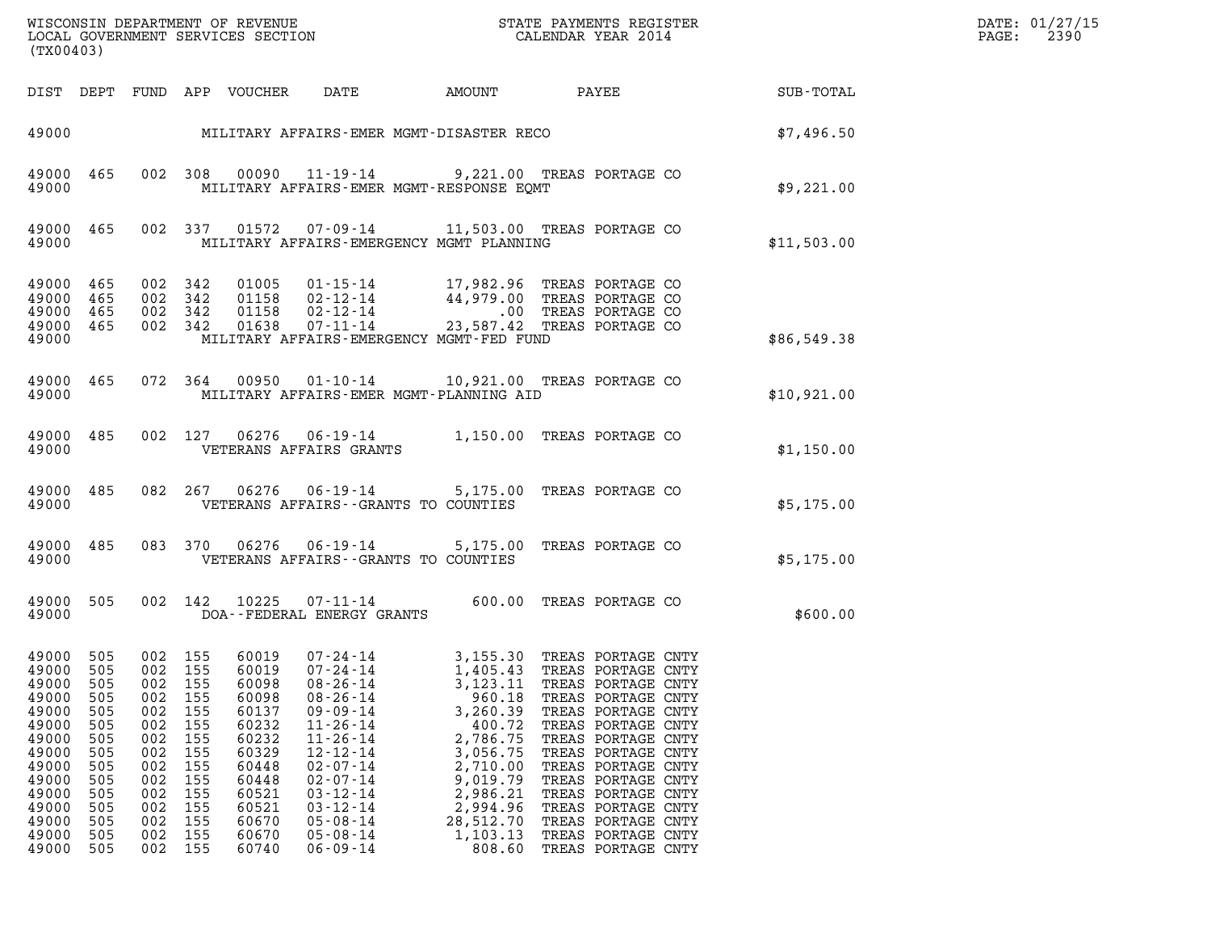| (TX00403)                                                                                                                               |                                                                                                |                                                                                                |                                                                                                           |                                                                                                                                     |                                                                                                                                                                                                                                                                      |                                                                                                                                                                 |                                                                                                                                                                                                                                                                                                                                                 |             | DATE: 01/27/15<br>2390<br>PAGE: |
|-----------------------------------------------------------------------------------------------------------------------------------------|------------------------------------------------------------------------------------------------|------------------------------------------------------------------------------------------------|-----------------------------------------------------------------------------------------------------------|-------------------------------------------------------------------------------------------------------------------------------------|----------------------------------------------------------------------------------------------------------------------------------------------------------------------------------------------------------------------------------------------------------------------|-----------------------------------------------------------------------------------------------------------------------------------------------------------------|-------------------------------------------------------------------------------------------------------------------------------------------------------------------------------------------------------------------------------------------------------------------------------------------------------------------------------------------------|-------------|---------------------------------|
|                                                                                                                                         |                                                                                                |                                                                                                |                                                                                                           | DIST DEPT FUND APP VOUCHER                                                                                                          | DATE                                                                                                                                                                                                                                                                 | AMOUNT                                                                                                                                                          | <b>PAYEE</b> FOUND THE PAYEE                                                                                                                                                                                                                                                                                                                    | SUB-TOTAL   |                                 |
|                                                                                                                                         |                                                                                                |                                                                                                |                                                                                                           |                                                                                                                                     | 49000 MILITARY AFFAIRS-EMER MGMT-DISASTER RECO                                                                                                                                                                                                                       |                                                                                                                                                                 |                                                                                                                                                                                                                                                                                                                                                 | \$7,496.50  |                                 |
| 49000<br>49000                                                                                                                          | 465                                                                                            |                                                                                                | 002 308                                                                                                   |                                                                                                                                     | MILITARY AFFAIRS-EMER MGMT-RESPONSE EQMT                                                                                                                                                                                                                             |                                                                                                                                                                 | 00090  11-19-14  9,221.00 TREAS PORTAGE CO                                                                                                                                                                                                                                                                                                      | \$9,221.00  |                                 |
| 49000 465<br>49000                                                                                                                      |                                                                                                |                                                                                                | 002 337                                                                                                   | 01572                                                                                                                               | MILITARY AFFAIRS-EMERGENCY MGMT PLANNING                                                                                                                                                                                                                             |                                                                                                                                                                 | 07-09-14 11,503.00 TREAS PORTAGE CO                                                                                                                                                                                                                                                                                                             | \$11,503.00 |                                 |
| 49000<br>49000 465<br>49000<br>49000 465<br>49000                                                                                       | 465<br>465                                                                                     |                                                                                                | 002 342<br>002 342<br>002 342<br>002 342                                                                  | 01005<br>01158<br>01158<br>01638                                                                                                    | MILITARY AFFAIRS-EMERGENCY MGMT-FED FUND                                                                                                                                                                                                                             |                                                                                                                                                                 | 01-15-14 17,982.96 TREAS PORTAGE CO<br>02-12-14 44,979.00 TREAS PORTAGE CO<br>02-12-14 .00 TREAS PORTAGE CO<br>07-11-14 23,587.42 TREAS PORTAGE CO                                                                                                                                                                                              | \$86,549.38 |                                 |
| 49000 465<br>49000                                                                                                                      |                                                                                                |                                                                                                |                                                                                                           | 072 364 00950                                                                                                                       | MILITARY AFFAIRS-EMER MGMT-PLANNING AID                                                                                                                                                                                                                              |                                                                                                                                                                 | 01-10-14 10,921.00 TREAS PORTAGE CO                                                                                                                                                                                                                                                                                                             | \$10,921.00 |                                 |
| 49000 485<br>49000                                                                                                                      |                                                                                                |                                                                                                |                                                                                                           |                                                                                                                                     | VETERANS AFFAIRS GRANTS                                                                                                                                                                                                                                              |                                                                                                                                                                 | 002 127 06276 06-19-14 1,150.00 TREAS PORTAGE CO                                                                                                                                                                                                                                                                                                | \$1,150.00  |                                 |
| 49000 485<br>49000                                                                                                                      |                                                                                                |                                                                                                |                                                                                                           | 082 267 06276                                                                                                                       | VETERANS AFFAIRS -- GRANTS TO COUNTIES                                                                                                                                                                                                                               |                                                                                                                                                                 | 06-19-14 5,175.00 TREAS PORTAGE CO                                                                                                                                                                                                                                                                                                              | \$5,175.00  |                                 |
| 49000 485<br>49000                                                                                                                      |                                                                                                |                                                                                                |                                                                                                           |                                                                                                                                     | VETERANS AFFAIRS -- GRANTS TO COUNTIES                                                                                                                                                                                                                               |                                                                                                                                                                 | 083 370 06276 06-19-14 5,175.00 TREAS PORTAGE CO                                                                                                                                                                                                                                                                                                | \$5,175.00  |                                 |
| 49000<br>49000                                                                                                                          | 505                                                                                            |                                                                                                |                                                                                                           | 002 142 10225                                                                                                                       | DOA--FEDERAL ENERGY GRANTS                                                                                                                                                                                                                                           |                                                                                                                                                                 | 07-11-14 600.00 TREAS PORTAGE CO                                                                                                                                                                                                                                                                                                                | \$600.00    |                                 |
| 49000 505<br>49000<br>49000<br>49000<br>49000<br>49000<br>49000<br>49000<br>49000<br>49000<br>49000<br>49000<br>49000<br>49000<br>49000 | 505<br>505<br>505<br>505<br>505<br>505<br>505<br>505<br>505<br>505<br>505<br>505<br>505<br>505 | 002<br>002<br>002<br>002<br>002<br>002<br>002<br>002<br>002<br>002<br>002<br>002<br>002<br>002 | 002 155<br>155<br>155<br>155<br>155<br>155<br>155<br>155<br>155<br>155<br>155<br>155<br>155<br>155<br>155 | 60019<br>60019<br>60098<br>60098<br>60137<br>60232<br>60232<br>60329<br>60448<br>60448<br>60521<br>60521<br>60670<br>60670<br>60740 | 07-24-14<br>$07 - 24 - 14$<br>$08 - 26 - 14$<br>$08 - 26 - 14$<br>$09 - 09 - 14$<br>$11 - 26 - 14$<br>$11 - 26 - 14$<br>$12 - 12 - 14$<br>$02 - 07 - 14$<br>$02 - 07 - 14$<br>$03 - 12 - 14$<br>$03 - 12 - 14$<br>$05 - 08 - 14$<br>$05 - 08 - 14$<br>$06 - 09 - 14$ | 1,405.43<br>3,123.11<br>960.18<br>3,260.39<br>400.72<br>2,786.75<br>3,056.75<br>2,710.00<br>9,019.79<br>2,986.21<br>2,994.96<br>28,512.70<br>1,103.13<br>808.60 | 3,155.30 TREAS PORTAGE CNTY<br>TREAS PORTAGE CNTY<br>TREAS PORTAGE CNTY<br>TREAS PORTAGE CNTY<br>TREAS PORTAGE CNTY<br>TREAS PORTAGE CNTY<br>TREAS PORTAGE CNTY<br>TREAS PORTAGE CNTY<br>TREAS PORTAGE CNTY<br>TREAS PORTAGE CNTY<br>TREAS PORTAGE CNTY<br>TREAS PORTAGE CNTY<br>TREAS PORTAGE CNTY<br>TREAS PORTAGE CNTY<br>TREAS PORTAGE CNTY |             |                                 |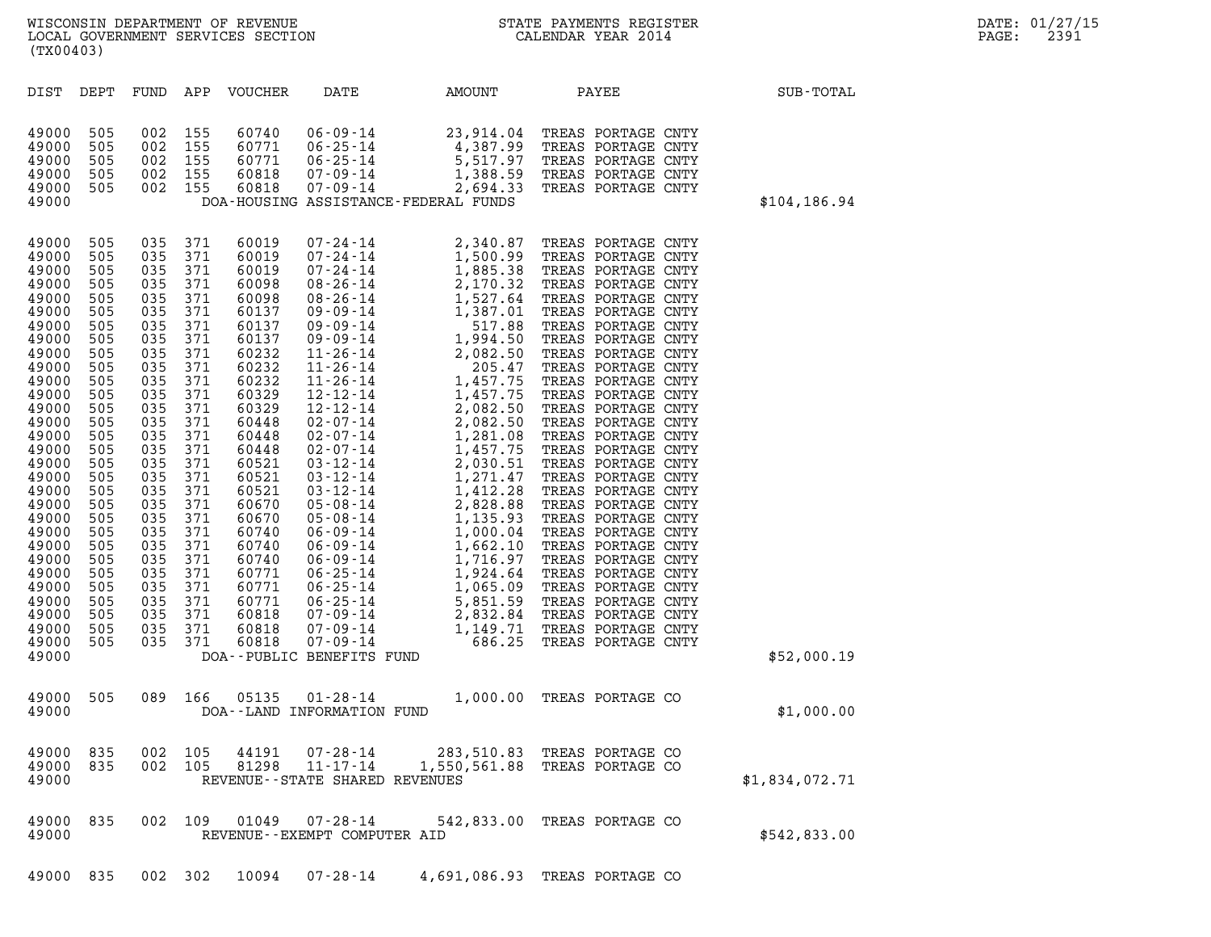| (TX00403)                                                                                                                                                                                                                                                                           |                                                                                                                                                                                                                |                                                                                                                                                                                                                |                                                                                                                                                                                                                |                                           |                                                                                        |                                                                                                                                                                                                                                                                                                                   |                                                                                                                                                                                                                                                                                                                                                                                                                                                                                                                                                                                                                                                                                  |                |  |
|-------------------------------------------------------------------------------------------------------------------------------------------------------------------------------------------------------------------------------------------------------------------------------------|----------------------------------------------------------------------------------------------------------------------------------------------------------------------------------------------------------------|----------------------------------------------------------------------------------------------------------------------------------------------------------------------------------------------------------------|----------------------------------------------------------------------------------------------------------------------------------------------------------------------------------------------------------------|-------------------------------------------|----------------------------------------------------------------------------------------|-------------------------------------------------------------------------------------------------------------------------------------------------------------------------------------------------------------------------------------------------------------------------------------------------------------------|----------------------------------------------------------------------------------------------------------------------------------------------------------------------------------------------------------------------------------------------------------------------------------------------------------------------------------------------------------------------------------------------------------------------------------------------------------------------------------------------------------------------------------------------------------------------------------------------------------------------------------------------------------------------------------|----------------|--|
| DIST                                                                                                                                                                                                                                                                                | DEPT                                                                                                                                                                                                           | FUND                                                                                                                                                                                                           | APP                                                                                                                                                                                                            | <b>VOUCHER</b>                            | DATE                                                                                   | AMOUNT                                                                                                                                                                                                                                                                                                            | PAYEE                                                                                                                                                                                                                                                                                                                                                                                                                                                                                                                                                                                                                                                                            | SUB-TOTAL      |  |
| 49000<br>49000<br>49000<br>49000<br>49000<br>49000                                                                                                                                                                                                                                  | 505<br>505<br>505<br>505<br>505                                                                                                                                                                                | 002<br>002<br>002<br>002<br>002                                                                                                                                                                                | 155<br>155<br>155<br>155<br>155                                                                                                                                                                                | 60740<br>60771<br>60771<br>60818<br>60818 | $06 - 09 - 14$<br>$06 - 25 - 14$<br>$06 - 25 - 14$<br>$07 - 09 - 14$<br>$07 - 09 - 14$ | 23,914.04<br>4,387.99<br>5,517.97<br>1,388.59<br>2,694.33<br>DOA-HOUSING ASSISTANCE-FEDERAL FUNDS                                                                                                                                                                                                                 | TREAS PORTAGE CNTY<br>TREAS PORTAGE CNTY<br>TREAS PORTAGE CNTY<br>TREAS PORTAGE CNTY<br>TREAS PORTAGE CNTY                                                                                                                                                                                                                                                                                                                                                                                                                                                                                                                                                                       | \$104, 186.94  |  |
| 49000<br>49000<br>49000<br>49000<br>49000<br>49000<br>49000<br>49000<br>49000<br>49000<br>49000<br>49000<br>49000<br>49000<br>49000<br>49000<br>49000<br>49000<br>49000<br>49000<br>49000<br>49000<br>49000<br>49000<br>49000<br>49000<br>49000<br>49000<br>49000<br>49000<br>49000 | 505<br>505<br>505<br>505<br>505<br>505<br>505<br>505<br>505<br>505<br>505<br>505<br>505<br>505<br>505<br>505<br>505<br>505<br>505<br>505<br>505<br>505<br>505<br>505<br>505<br>505<br>505<br>505<br>505<br>505 | 035<br>035<br>035<br>035<br>035<br>035<br>035<br>035<br>035<br>035<br>035<br>035<br>035<br>035<br>035<br>035<br>035<br>035<br>035<br>035<br>035<br>035<br>035<br>035<br>035<br>035<br>035<br>035<br>035<br>035 | 371<br>371<br>371<br>371<br>371<br>371<br>371<br>371<br>371<br>371<br>371<br>371<br>371<br>371<br>371<br>371<br>371<br>371<br>371<br>371<br>371<br>371<br>371<br>371<br>371<br>371<br>371<br>371<br>371<br>371 |                                           | DOA--PUBLIC BENEFITS FUND                                                              | $\begin{array}{cccc} \tt '-24-14 & \tt 2,750.99 & \tt 1.14 \\ 7-24-14 & \tt 1,500.99 & \tt 1.2 \\ 7-24-14 & \tt 1,885.38 & \tt TF \\ 38-26-14 & \tt 2,170.32 & \tt TT \\ 08-26-14 & \tt 1,527.64 & \tt T \\ 09-09-14 & \tt 1,387.01 & \tt 527.64 & \tt T \\ 09-09-14 & \tt 1,387.01 & \tt 527.64 & \tt 7 \\ 09-0$ | TREAS PORTAGE CNTY<br>TREAS PORTAGE CNTY<br>TREAS PORTAGE CNTY<br>TREAS PORTAGE CNTY<br>TREAS PORTAGE CNTY<br>TREAS PORTAGE CNTY<br>TREAS PORTAGE CNTY<br>TREAS PORTAGE CNTY<br>TREAS PORTAGE CNTY<br>TREAS PORTAGE CNTY<br>TREAS PORTAGE CNTY<br>TREAS PORTAGE CNTY<br>TREAS PORTAGE CNTY<br>TREAS PORTAGE CNTY<br>TREAS PORTAGE CNTY<br>TREAS PORTAGE CNTY<br>TREAS PORTAGE CNTY<br>TREAS PORTAGE CNTY<br>TREAS PORTAGE CNTY<br>TREAS PORTAGE CNTY<br>TREAS PORTAGE CNTY<br>TREAS PORTAGE CNTY<br>TREAS PORTAGE CNTY<br>TREAS PORTAGE CNTY<br>TREAS PORTAGE CNTY<br>TREAS PORTAGE CNTY<br>TREAS PORTAGE CNTY<br>TREAS PORTAGE CNTY<br>TREAS PORTAGE CNTY<br>TREAS PORTAGE CNTY | \$52,000.19    |  |
| 49000<br>49000                                                                                                                                                                                                                                                                      | 505                                                                                                                                                                                                            | 089                                                                                                                                                                                                            | 166                                                                                                                                                                                                            | 05135                                     | $01 - 28 - 14$<br>DOA--LAND INFORMATION FUND                                           |                                                                                                                                                                                                                                                                                                                   | 1,000.00 TREAS PORTAGE CO                                                                                                                                                                                                                                                                                                                                                                                                                                                                                                                                                                                                                                                        | \$1,000.00     |  |
| 49000<br>49000<br>49000                                                                                                                                                                                                                                                             | 835<br>835                                                                                                                                                                                                     | 002<br>002                                                                                                                                                                                                     | 105<br>105                                                                                                                                                                                                     | 44191<br>81298                            | 07-28-14<br>$11 - 17 - 14$<br>REVENUE--STATE SHARED REVENUES                           | 1,550,561.88                                                                                                                                                                                                                                                                                                      | 283,510.83 TREAS PORTAGE CO<br>TREAS PORTAGE CO                                                                                                                                                                                                                                                                                                                                                                                                                                                                                                                                                                                                                                  | \$1,834,072.71 |  |
| 49000<br>49000                                                                                                                                                                                                                                                                      | 835                                                                                                                                                                                                            | 002                                                                                                                                                                                                            | 109                                                                                                                                                                                                            | 01049                                     | 07-28-14<br>REVENUE - - EXEMPT COMPUTER AID                                            | 542,833.00                                                                                                                                                                                                                                                                                                        | TREAS PORTAGE CO                                                                                                                                                                                                                                                                                                                                                                                                                                                                                                                                                                                                                                                                 | \$542,833.00   |  |
| 49000                                                                                                                                                                                                                                                                               | 835                                                                                                                                                                                                            |                                                                                                                                                                                                                | 002 302                                                                                                                                                                                                        | 10094                                     | $07 - 28 - 14$                                                                         |                                                                                                                                                                                                                                                                                                                   | 4,691,086.93 TREAS PORTAGE CO                                                                                                                                                                                                                                                                                                                                                                                                                                                                                                                                                                                                                                                    |                |  |

## WISCONSIN DEPARTMENT OF REVENUE<br>LOCAL GOVERNMENT SERVICES SECTION STATE PAYMENTS REGISTER SECONDER STATE PASS: 2391 WISCONSIN DEPARTMENT OF REVENUE<br>LOCAL GOVERNMENT SERVICES SECTION CALENDAR YEAR 2014<br>(TX00403) (TX00403)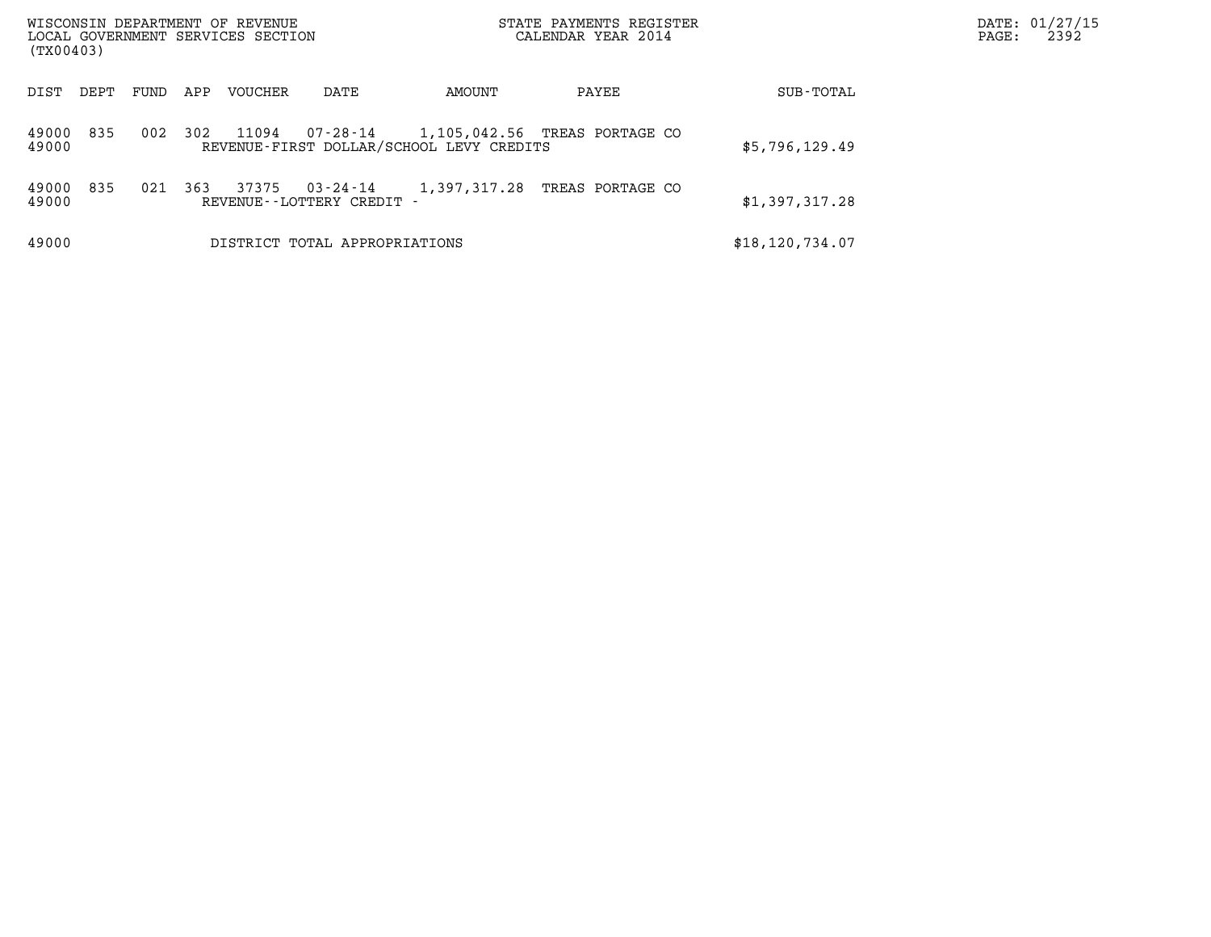| WISCONSIN DEPARTMENT OF REVENUE<br>LOCAL GOVERNMENT SERVICES SECTION<br>(TX00403) |      |      |     |                |                                          |                                                                                    | STATE PAYMENTS REGISTER<br>CALENDAR YEAR 2014 |                   | DATE: 01/27/15<br>2392<br>$\mathtt{PAGE}$ : |
|-----------------------------------------------------------------------------------|------|------|-----|----------------|------------------------------------------|------------------------------------------------------------------------------------|-----------------------------------------------|-------------------|---------------------------------------------|
| DIST                                                                              | DEPT | FUND | APP | <b>VOUCHER</b> | DATE                                     | AMOUNT                                                                             | PAYEE                                         | SUB-TOTAL         |                                             |
| 49000<br>49000                                                                    | 835  | 002  | 302 | 11094          |                                          | 07-28-14 1,105,042.56 TREAS PORTAGE CO<br>REVENUE-FIRST DOLLAR/SCHOOL LEVY CREDITS |                                               | \$5,796,129.49    |                                             |
| 49000<br>49000                                                                    | 835  | 021  | 363 | 37375          | 03-24-14<br>REVENUE - - LOTTERY CREDIT - | 1,397,317.28                                                                       | TREAS PORTAGE CO                              | \$1,397,317.28    |                                             |
| 49000                                                                             |      |      |     |                | DISTRICT TOTAL APPROPRIATIONS            |                                                                                    |                                               | \$18, 120, 734.07 |                                             |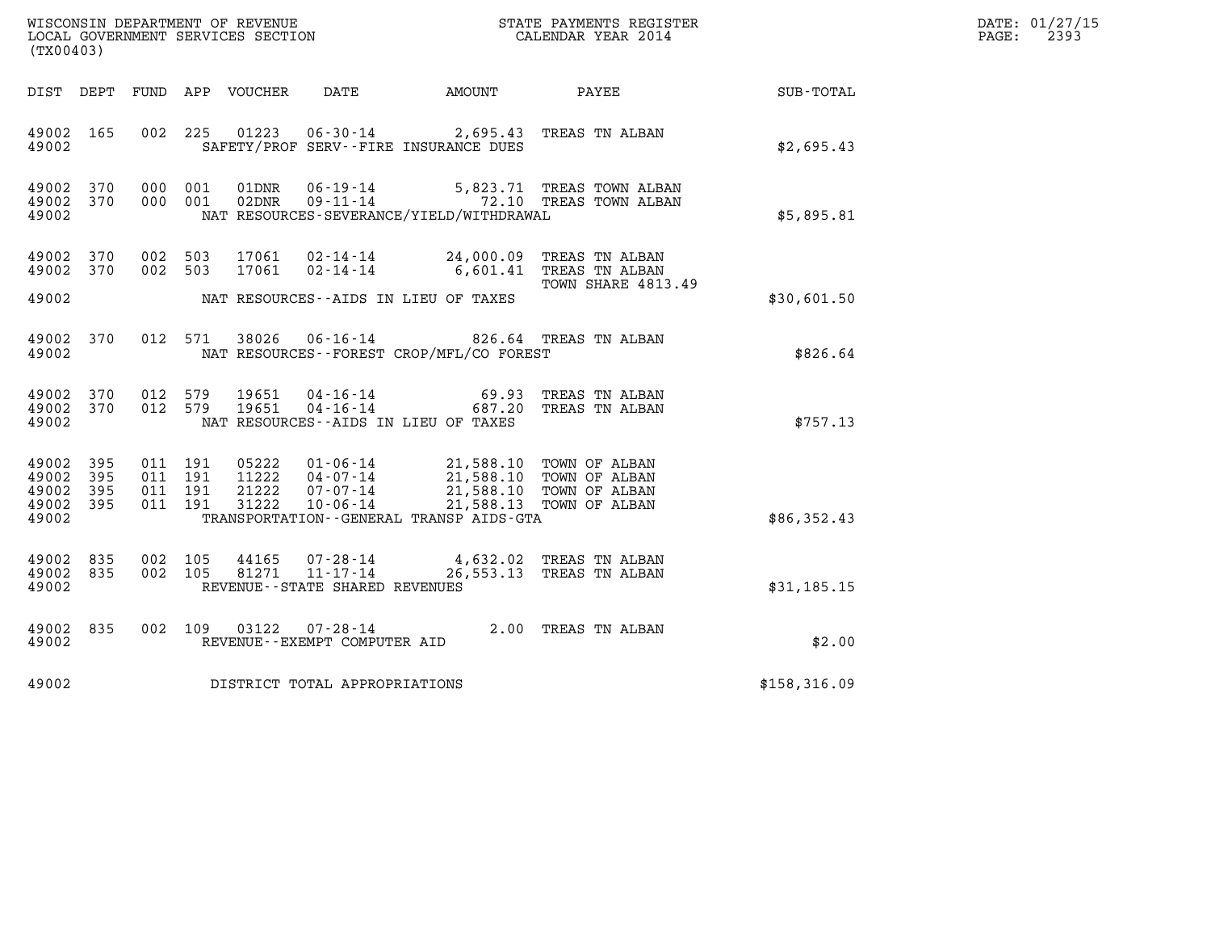| DATE: | 01/27/15 |
|-------|----------|
| PAGE: | 2393     |

| WISCONSIN DEPARTMENT OF REVENUE                               STATE PAYMENTS REGISTER LOCAL GOVERNMENT SERVICES SECTION                                 CALENDAR YEAR 2014<br>(TX00403) |                     |                                          |  |                                 |                                                                 |                                                                               |                                                                                                          |              | DATE: 01/27/15<br>$\mathtt{PAGE}$ :<br>2393 |
|-----------------------------------------------------------------------------------------------------------------------------------------------------------------------------------------|---------------------|------------------------------------------|--|---------------------------------|-----------------------------------------------------------------|-------------------------------------------------------------------------------|----------------------------------------------------------------------------------------------------------|--------------|---------------------------------------------|
|                                                                                                                                                                                         |                     |                                          |  | DIST DEPT FUND APP VOUCHER DATE |                                                                 | <b>AMOUNT</b>                                                                 | PAYEE                                                                                                    | SUB-TOTAL    |                                             |
| 49002 165<br>49002                                                                                                                                                                      |                     | 002 225                                  |  | 01223                           |                                                                 | 06-30-14 2,695.43 TREAS TN ALBAN<br>SAFETY/PROF SERV--FIRE INSURANCE DUES     |                                                                                                          | \$2,695.43   |                                             |
| 49002 370<br>49002 370<br>49002                                                                                                                                                         |                     | 000 001<br>000 001                       |  | 01DNR<br>02DNR                  | 06-19-14                                                        | NAT RESOURCES-SEVERANCE/YIELD/WITHDRAWAL                                      | 5,823.71 TREAS TOWN ALBAN<br>09-11-14 72.10 TREAS TOWN ALBAN                                             | \$5,895.81   |                                             |
| 49002 370<br>49002 370                                                                                                                                                                  |                     | 002 503<br>002 503                       |  | 17061<br>17061                  | $02 - 14 - 14$                                                  | 02-14-14 24,000.09 TREAS TN ALBAN                                             | 6,601.41 TREAS TN ALBAN                                                                                  |              |                                             |
| 49002                                                                                                                                                                                   |                     |                                          |  |                                 |                                                                 | NAT RESOURCES--AIDS IN LIEU OF TAXES                                          | TOWN SHARE 4813.49                                                                                       | \$30,601.50  |                                             |
| 49002 370<br>49002                                                                                                                                                                      |                     | 012 571                                  |  | 38026                           |                                                                 | 06-16-14 826.64 TREAS TN ALBAN<br>NAT RESOURCES - - FOREST CROP/MFL/CO FOREST |                                                                                                          | \$826.64     |                                             |
| 49002 370<br>49002                                                                                                                                                                      | 49002 370           | 012 579<br>012 579                       |  | 19651<br>19651                  | 04-16-14<br>$04 - 16 - 14$                                      | NAT RESOURCES--AIDS IN LIEU OF TAXES                                          | 69.93 TREAS TN ALBAN<br>687.20 TREAS TN ALBAN                                                            | \$757.13     |                                             |
| 49002<br>49002<br>49002<br>49002 395<br>49002                                                                                                                                           | 395<br>395<br>- 395 | 011 191<br>011 191<br>011 191<br>011 191 |  | 05222<br>31222                  | 01-06-14<br>11222  04-07-14<br>21222 07-07-14<br>$10 - 06 - 14$ | TRANSPORTATION - - GENERAL TRANSP AIDS - GTA                                  | 21,588.10 TOWN OF ALBAN<br>21,588.10 TOWN OF ALBAN<br>21,588.10 TOWN OF ALBAN<br>21,588.13 TOWN OF ALBAN | \$86,352.43  |                                             |
| 49002 835<br>49002 835<br>49002                                                                                                                                                         |                     | 002 105<br>002 105                       |  | 44165<br>81271                  | 07-28-14<br>$11 - 17 - 14$<br>REVENUE - - STATE SHARED REVENUES |                                                                               | 4,632.02 TREAS TN ALBAN<br>26,553.13 TREAS TN ALBAN                                                      | \$31,185.15  |                                             |
| 49002 835<br>49002                                                                                                                                                                      |                     | 002 109                                  |  | 03122                           | 07-28-14<br>REVENUE--EXEMPT COMPUTER AID                        |                                                                               | 2.00 TREAS TN ALBAN                                                                                      | \$2.00       |                                             |
| 49002                                                                                                                                                                                   |                     |                                          |  |                                 | DISTRICT TOTAL APPROPRIATIONS                                   |                                                                               |                                                                                                          | \$158,316.09 |                                             |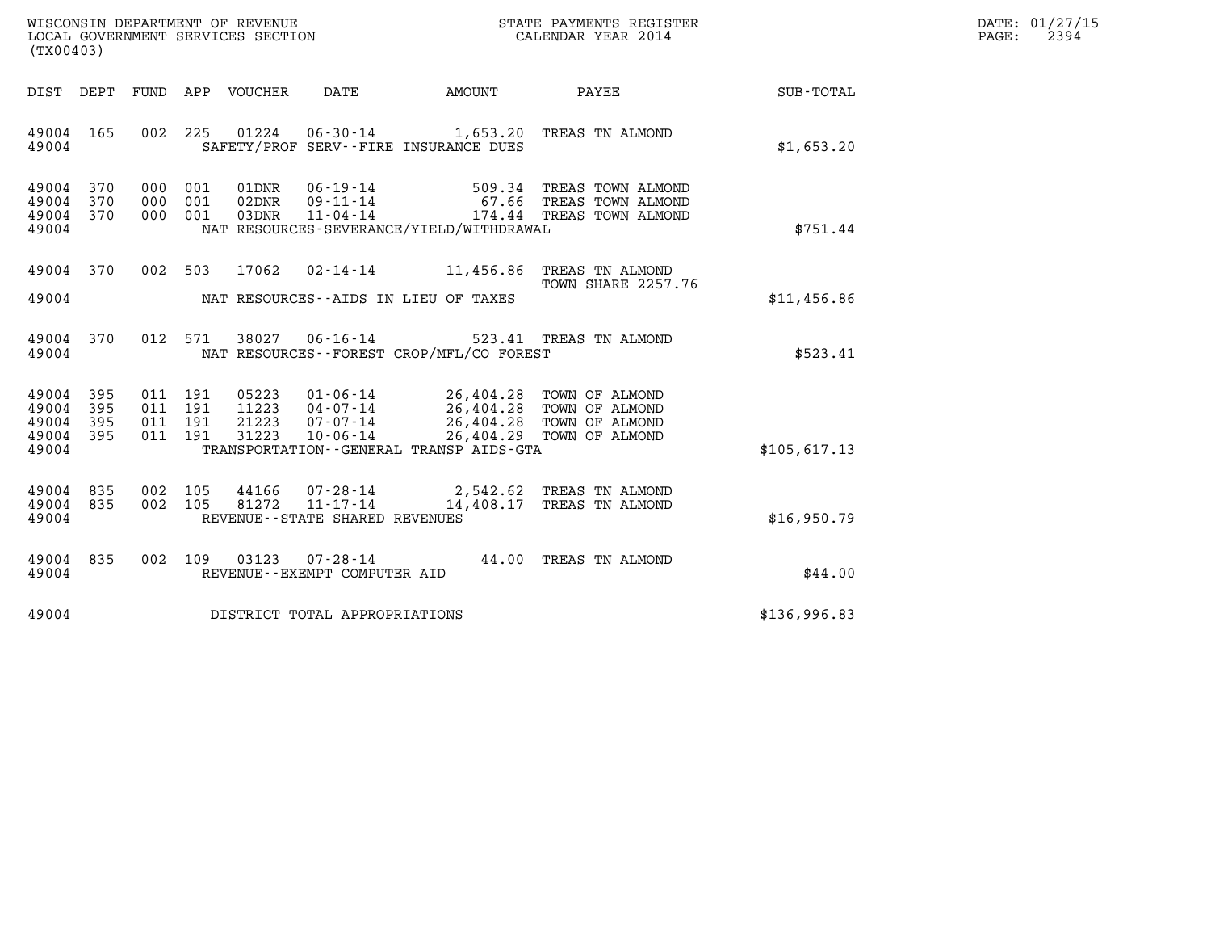| WISCONSIN DEPARTMENT OF REVENUE<br>LOCAL GOVERNMENT SERVICES SECTION | STATE PAYMENTS REGISTER<br>CALENDAR YEAR 2014 | DATE: 01/27/15<br>2394<br>PAGE: |
|----------------------------------------------------------------------|-----------------------------------------------|---------------------------------|

| (TX00403)                                 |                          |                          |                          |                         |                                                            |                                                                                       |                                                                                  |                  |
|-------------------------------------------|--------------------------|--------------------------|--------------------------|-------------------------|------------------------------------------------------------|---------------------------------------------------------------------------------------|----------------------------------------------------------------------------------|------------------|
| DIST DEPT                                 |                          | FUND                     | APP                      | VOUCHER                 | DATE                                                       | AMOUNT                                                                                | PAYEE                                                                            | <b>SUB-TOTAL</b> |
| 49004 165<br>49004                        |                          | 002                      | 225                      |                         |                                                            | SAFETY/PROF SERV--FIRE INSURANCE DUES                                                 | 01224  06-30-14  1,653.20 TREAS TN ALMOND                                        | \$1,653.20       |
| 49004<br>49004<br>49004<br>49004          | 370<br>370<br>370        | 000<br>000<br>000        | 001<br>001<br>001        | 01DNR<br>02DNR<br>03DNR | $06 - 19 - 14$<br>$09 - 11 - 14$<br>$11 - 04 - 14$         | NAT RESOURCES-SEVERANCE/YIELD/WITHDRAWAL                                              | 509.34 TREAS TOWN ALMOND<br>67.66 TREAS TOWN ALMOND<br>174.44 TREAS TOWN ALMOND  | \$751.44         |
| 49004<br>49004                            | 370                      | 002                      | 503                      | 17062                   |                                                            | NAT RESOURCES--AIDS IN LIEU OF TAXES                                                  | 02-14-14 11,456.86 TREAS TN ALMOND<br>TOWN SHARE 2257.76                         | \$11,456.86      |
| 49004 370<br>49004                        |                          |                          | 012 571                  |                         |                                                            | NAT RESOURCES - - FOREST CROP/MFL/CO FOREST                                           | 38027  06-16-14  523.41 TREAS TN ALMOND                                          | \$523.41         |
| 49004<br>49004<br>49004<br>49004<br>49004 | 395<br>395<br>395<br>395 | 011<br>011<br>011<br>011 | 191<br>191<br>191<br>191 | 21223<br>31223          | $11223$ $04 - 07 - 14$<br>$07 - 07 - 14$<br>$10 - 06 - 14$ | 05223  01-06-14  26,404.28  TOWN OF ALMOND<br>TRANSPORTATION--GENERAL TRANSP AIDS-GTA | 26,404.28 TOWN OF ALMOND<br>26,404.28 TOWN OF ALMOND<br>26,404.29 TOWN OF ALMOND | \$105,617.13     |
| 49004<br>49004<br>49004                   | 835<br>835               | 002<br>002               | 105<br>105               | 81272                   | REVENUE - - STATE SHARED REVENUES                          |                                                                                       | 44166 07-28-14 2,542.62 TREAS TN ALMOND<br>11-17-14 14,408.17 TREAS TN ALMOND    | \$16,950.79      |
| 49004<br>49004                            | 835                      | 002                      | 109                      | 03123                   | 07-28-14<br>REVENUE--EXEMPT COMPUTER AID                   |                                                                                       | 44.00 TREAS TN ALMOND                                                            | \$44.00          |
| 49004                                     |                          |                          |                          |                         | DISTRICT TOTAL APPROPRIATIONS                              |                                                                                       |                                                                                  | \$136,996.83     |
|                                           |                          |                          |                          |                         |                                                            |                                                                                       |                                                                                  |                  |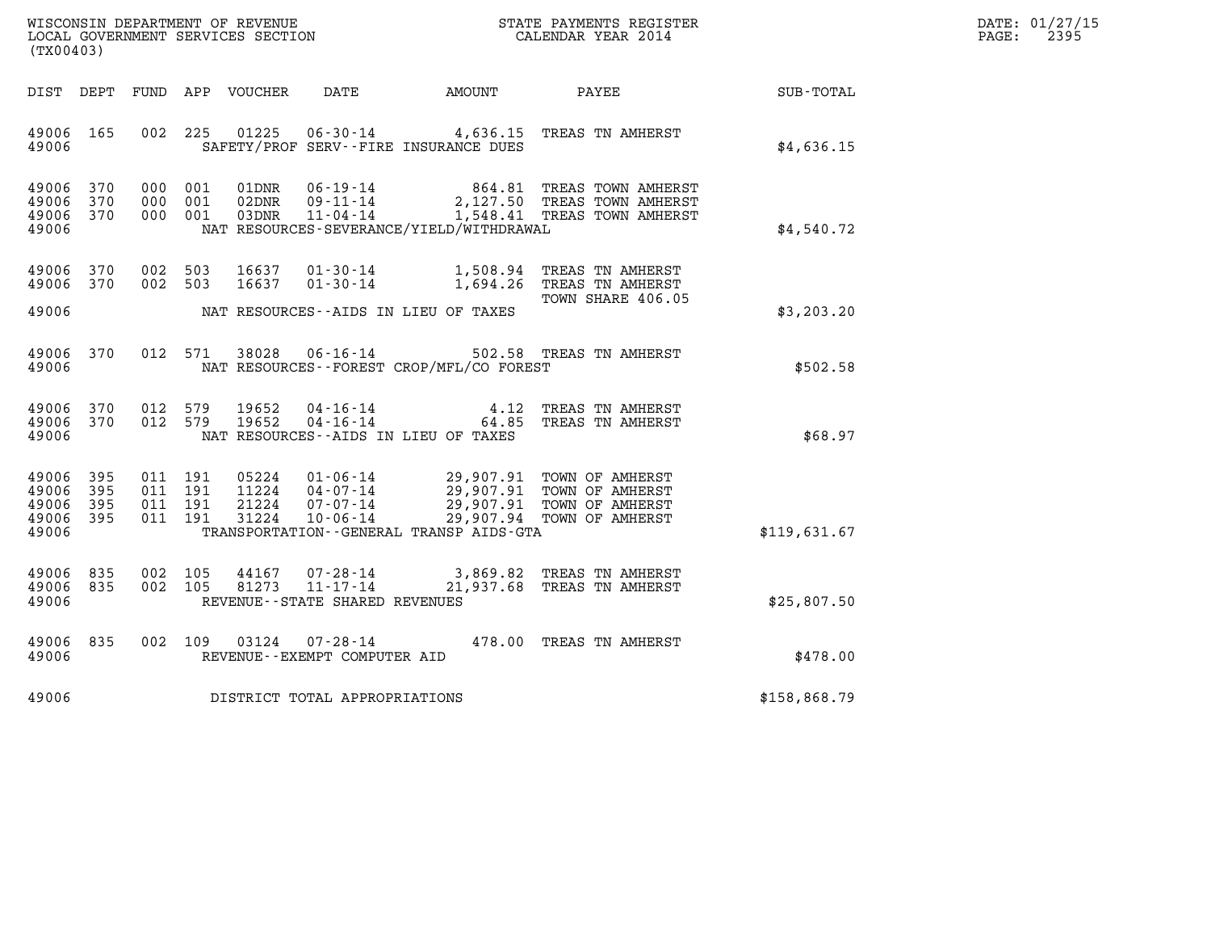| WISCONSIN DEPARTMENT OF REVENUE   | STATE PAYMENTS REGISTER | DATE: 01/27/15 |
|-----------------------------------|-------------------------|----------------|
| LOCAL GOVERNMENT SERVICES SECTION | CALENDAR YEAR 2014      | 2395<br>PAGE:  |

| WISCONSIN DEPARTMENT OF REVENUE<br>(TX00403)                                                      | LOCAL GOVERNMENT SERVICES SECTION                                                                                                                                               | STATE PAYMENTS REGISTER<br>CALENDAR YEAR 2014                                                                                |              |
|---------------------------------------------------------------------------------------------------|---------------------------------------------------------------------------------------------------------------------------------------------------------------------------------|------------------------------------------------------------------------------------------------------------------------------|--------------|
| DIST<br>DEPT<br>FUND                                                                              | APP<br>VOUCHER<br>DATE                                                                                                                                                          | AMOUNT<br>PAYEE                                                                                                              | SUB-TOTAL    |
| 49006<br>165<br>002<br>49006                                                                      | 225<br>01225<br>SAFETY/PROF SERV--FIRE INSURANCE DUES                                                                                                                           | 06-30-14 4,636.15 TREAS TN AMHERST                                                                                           | \$4,636.15   |
| 49006<br>370<br>000<br>49006<br>370<br>000<br>49006<br>370<br>000<br>49006                        | 001<br>01DNR<br>$06 - 19 - 14$<br>$09 - 11 - 14$<br>001<br>02DNR<br>$11 - 04 - 14$<br>001<br>03DNR<br>NAT RESOURCES-SEVERANCE/YIELD/WITHDRAWAL                                  | 864.81<br>TREAS TOWN AMHERST<br>2,127.50 TREAS TOWN AMHERST<br>1,548.41 TREAS TOWN AMHERST                                   | \$4,540.72   |
| 49006<br>370<br>002<br>49006<br>370<br>002<br>49006                                               | 503<br>16637<br>$01 - 30 - 14$<br>16637<br>503<br>$01 - 30 - 14$<br>NAT RESOURCES - AIDS IN LIEU OF TAXES                                                                       | TREAS TN AMHERST<br>1,508.94<br>1,694.26<br>TREAS TN AMHERST<br>TOWN SHARE 406.05                                            | \$3, 203.20  |
| 012<br>49006<br>370<br>49006                                                                      | $06 - 16 - 14$<br>571<br>38028<br>NAT RESOURCES - - FOREST CROP/MFL/CO FOREST                                                                                                   | 502.58 TREAS TN AMHERST                                                                                                      | \$502.58     |
| 49006<br>370<br>012<br>49006<br>012<br>370<br>49006                                               | 19652<br>$04 - 16 - 14$<br>579<br>579<br>19652<br>$04 - 16 - 14$<br>NAT RESOURCES -- AIDS IN LIEU OF TAXES                                                                      | 4.12<br>TREAS TN AMHERST<br>64.85<br>TREAS TN AMHERST                                                                        | \$68.97      |
| 49006<br>395<br>011<br>395<br>011<br>49006<br>49006<br>011<br>395<br>49006<br>395<br>011<br>49006 | 191<br>05224<br>$01 - 06 - 14$<br>11224<br>191<br>$04 - 07 - 14$<br>191<br>21224<br>$07 - 07 - 14$<br>31224<br>191<br>$10 - 06 - 14$<br>TRANSPORTATION--GENERAL TRANSP AIDS-GTA | 29,907.91<br>TOWN OF AMHERST<br>29,907.91<br>TOWN OF AMHERST<br>29,907.91<br>TOWN OF AMHERST<br>29,907.94<br>TOWN OF AMHERST | \$119,631.67 |
| 49006<br>835<br>002<br>49006<br>835<br>002<br>49006                                               | $07 - 28 - 14$<br>105<br>44167<br>105<br>81273<br>$11 - 17 - 14$<br>REVENUE--STATE SHARED REVENUES                                                                              | 3,869.82<br>TREAS TN AMHERST<br>21,937.68<br>TREAS TN AMHERST                                                                | \$25,807.50  |
| 49006<br>835<br>002<br>49006                                                                      | 03124<br>$07 - 28 - 14$<br>109<br>REVENUE--EXEMPT COMPUTER AID                                                                                                                  | 478.00 TREAS TN AMHERST                                                                                                      | \$478.00     |
| 49006                                                                                             | DISTRICT TOTAL APPROPRIATIONS                                                                                                                                                   |                                                                                                                              | \$158,868.79 |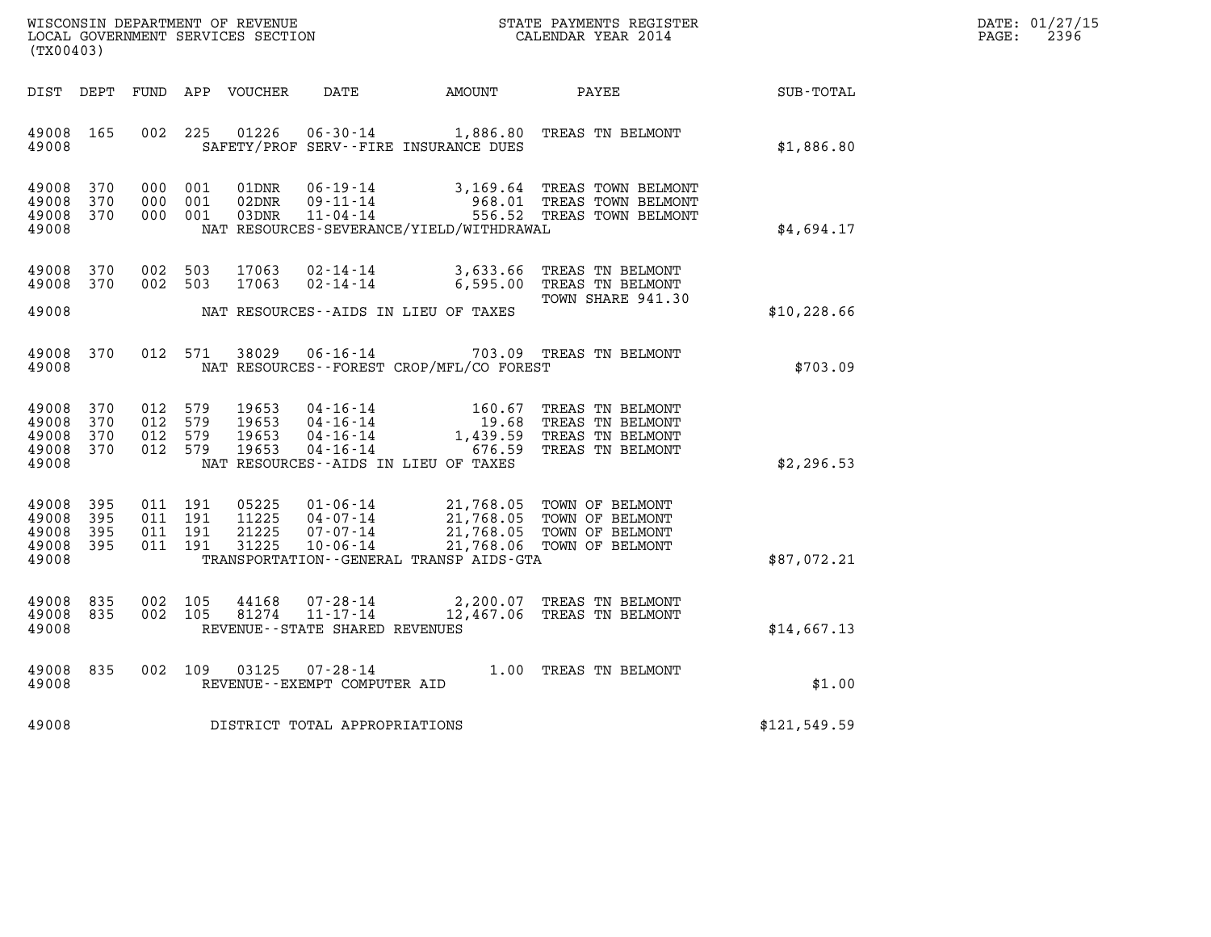| WISCONSIN DEPARTMENT OF REVENUE   | STATE PAYMENTS REGISTER | DATE: 01/27/15 |
|-----------------------------------|-------------------------|----------------|
| LOCAL GOVERNMENT SERVICES SECTION | CALENDAR YEAR 2014      | 2396<br>PAGE:  |

| WISCONSIN DEPARTMENT OF REVENUE<br>(TX00403)                                                      | LOCAL GOVERNMENT SERVICES SECTION                                                                                                                                               | STATE PAYMENTS REGISTER<br>CALENDAR YEAR 2014                                                                                |                  |
|---------------------------------------------------------------------------------------------------|---------------------------------------------------------------------------------------------------------------------------------------------------------------------------------|------------------------------------------------------------------------------------------------------------------------------|------------------|
| DIST<br>DEPT<br>FUND                                                                              | APP<br><b>VOUCHER</b><br><b>DATE</b>                                                                                                                                            | <b>AMOUNT</b><br>PAYEE                                                                                                       | <b>SUB-TOTAL</b> |
| 002<br>49008<br>165<br>49008                                                                      | 225<br>01226<br>$06 - 30 - 14$<br>SAFETY/PROF SERV--FIRE INSURANCE DUES                                                                                                         | 1,886.80<br>TREAS TN BELMONT                                                                                                 | \$1,886.80       |
| 370<br>49008<br>000<br>370<br>49008<br>000<br>49008<br>370<br>000<br>49008                        | 001<br>01DNR<br>$06 - 19 - 14$<br>001<br>02DNR<br>$09 - 11 - 14$<br>001<br>03DNR<br>$11 - 04 - 14$<br>NAT RESOURCES-SEVERANCE/YIELD/WITHDRAWAL                                  | 3,169.64<br>TREAS TOWN BELMONT<br>968.01<br>TREAS TOWN BELMONT<br>556.52<br>TREAS TOWN BELMONT                               | \$4,694.17       |
| 002<br>49008<br>370<br>49008<br>370<br>002                                                        | 503<br>17063<br>$02 - 14 - 14$<br>503<br>17063<br>$02 - 14 - 14$                                                                                                                | 3,633.66<br>TREAS TN BELMONT<br>6,595.00<br>TREAS TN BELMONT<br>TOWN SHARE 941.30                                            |                  |
| 49008                                                                                             | NAT RESOURCES--AIDS IN LIEU OF TAXES                                                                                                                                            |                                                                                                                              | \$10, 228.66     |
| 012<br>49008<br>370<br>49008                                                                      | 38029<br>571<br>$06 - 16 - 14$<br>NAT RESOURCES - - FOREST CROP/MFL/CO FOREST                                                                                                   | 703.09<br>TREAS TN BELMONT                                                                                                   | \$703.09         |
| 49008<br>370<br>012<br>370<br>49008<br>012<br>49008<br>370<br>012<br>49008<br>370<br>012<br>49008 | 579<br>19653<br>$04 - 16 - 14$<br>579<br>19653<br>$04 - 16 - 14$<br>579<br>19653<br>$04 - 16 - 14$<br>579<br>19653<br>$04 - 16 - 14$<br>NAT RESOURCES -- AIDS IN LIEU OF TAXES  | 160.67<br>TREAS TN BELMONT<br>19.68<br>TREAS TN BELMONT<br>1,439.59<br>TREAS TN BELMONT<br>676.59<br>TREAS TN BELMONT        | \$2,296.53       |
| 49008<br>395<br>011<br>395<br>49008<br>011<br>49008<br>395<br>011<br>49008<br>395<br>011<br>49008 | 191<br>05225<br>$01 - 06 - 14$<br>191<br>11225<br>$04 - 07 - 14$<br>21225<br>191<br>$07 - 07 - 14$<br>31225<br>$10 - 06 - 14$<br>191<br>TRANSPORTATION--GENERAL TRANSP AIDS-GTA | 21,768.05<br>TOWN OF BELMONT<br>21,768.05<br>TOWN OF BELMONT<br>21,768.05<br>TOWN OF BELMONT<br>21,768.06<br>TOWN OF BELMONT | \$87,072.21      |
| 835<br>002<br>49008<br>49008<br>835<br>002<br>49008                                               | 105<br>44168<br>$07 - 28 - 14$<br>105<br>81274<br>$11 - 17 - 14$<br>REVENUE - - STATE SHARED REVENUES                                                                           | 2,200.07<br>TREAS TN BELMONT<br>12,467.06<br>TREAS TN BELMONT                                                                | \$14,667.13      |
| 49008<br>835<br>002<br>49008                                                                      | 109<br>03125<br>$07 - 28 - 14$<br>REVENUE - - EXEMPT COMPUTER AID                                                                                                               | TREAS TN BELMONT<br>1,00                                                                                                     | \$1.00           |
| 49008                                                                                             | DISTRICT TOTAL APPROPRIATIONS                                                                                                                                                   |                                                                                                                              | \$121,549.59     |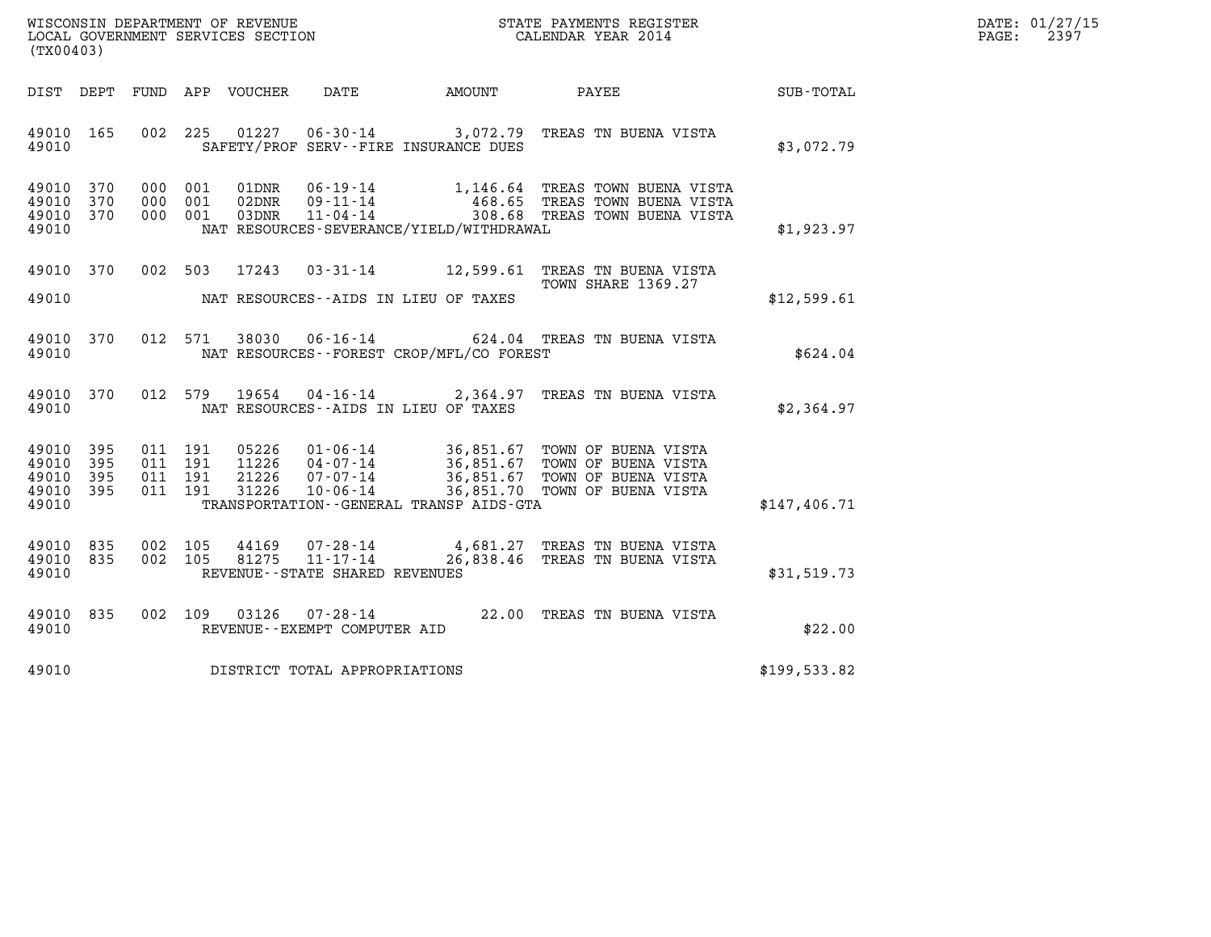| WISCONSIN DEPARTMENT OF REVENUE   | STATE PAYMENTS REGISTER | DATE: 01/27/15 |
|-----------------------------------|-------------------------|----------------|
| LOCAL GOVERNMENT SERVICES SECTION | CALENDAR YEAR 2014      | 2397<br>PAGE:  |

| WISCONSIN DEPARTMENT OF REVENUE<br>LOCAL GOVERNMENT SERVICES SECTION<br>(TX00403)                 |                                                                                                                                                                                      | STATE PAYMENTS REGISTER<br>CALENDAR YEAR 2014                                                                                    |              |
|---------------------------------------------------------------------------------------------------|--------------------------------------------------------------------------------------------------------------------------------------------------------------------------------------|----------------------------------------------------------------------------------------------------------------------------------|--------------|
| DIST<br>DEPT<br>FUND                                                                              | APP<br>VOUCHER<br>DATE<br><b>EXAMPLE THE AMOUNT</b>                                                                                                                                  | PAYEE                                                                                                                            | SUB-TOTAL    |
| 165<br>002<br>49010<br>49010                                                                      | 225<br>01227<br>$06 - 30 - 14$<br>SAFETY/PROF SERV--FIRE INSURANCE DUES                                                                                                              | 3,072.79 TREAS TN BUENA VISTA                                                                                                    | \$3,072.79   |
| 49010<br>370<br>000<br>49010<br>370<br>000<br>370<br>49010<br>000<br>49010                        | 001<br>$06 - 19 - 14$<br>01DNR<br>$09 - 11 - 14$<br>001<br>02DNR<br>$11 - 04 - 14$<br>03DNR<br>001<br>NAT RESOURCES-SEVERANCE/YIELD/WITHDRAWAL                                       | 1,146.64 TREAS TOWN BUENA VISTA<br>468.65 TREAS TOWN BUENA VISTA<br>308.68 TREAS TOWN BUENA VISTA                                | \$1,923.97   |
| 49010<br>370<br>002<br>49010                                                                      | 503<br>17243<br>$03 - 31 - 14$<br>NAT RESOURCES -- AIDS IN LIEU OF TAXES                                                                                                             | 12,599.61<br>TREAS TN BUENA VISTA<br><b>TOWN SHARE 1369.27</b>                                                                   | \$12,599.61  |
| 370<br>012<br>49010<br>49010                                                                      | 571<br>38030<br>NAT RESOURCES - - FOREST CROP/MFL/CO FOREST                                                                                                                          | 06-16-14 624.04 TREAS TN BUENA VISTA                                                                                             | \$624.04     |
| 49010<br>370<br>012<br>49010                                                                      | 579<br>19654<br>$04 - 16 - 14$ 2,364.97<br>NAT RESOURCES -- AIDS IN LIEU OF TAXES                                                                                                    | TREAS TN BUENA VISTA                                                                                                             | \$2,364.97   |
| 49010<br>395<br>011<br>395<br>011<br>49010<br>49010<br>395<br>011<br>395<br>49010<br>011<br>49010 | 191<br>05226<br>$01 - 06 - 14$<br>191<br>11226<br>$04 - 07 - 14$<br>$07 - 07 - 14$<br>191<br>21226<br>31226<br>$10 - 06 - 14$<br>191<br>TRANSPORTATION - - GENERAL TRANSP AIDS - GTA | 36,851.67 TOWN OF BUENA VISTA<br>36,851.67 TOWN OF BUENA VISTA<br>36,851.67 TOWN OF BUENA VISTA<br>36,851.70 TOWN OF BUENA VISTA | \$147,406.71 |
| 835<br>002<br>49010<br>002<br>49010<br>835<br>49010                                               | 105<br>44169<br>$07 - 28 - 14$<br>$11 - 17 - 14$<br>105<br>81275<br>REVENUE - - STATE SHARED REVENUES                                                                                | 4,681.27 TREAS TN BUENA VISTA<br>26,838.46<br>TREAS TN BUENA VISTA                                                               | \$31,519.73  |
| 49010<br>835<br>002<br>49010                                                                      | 109<br>03126<br>$07 - 28 - 14$<br>REVENUE - - EXEMPT COMPUTER AID                                                                                                                    | 22.00 TREAS TN BUENA VISTA                                                                                                       | \$22.00      |
| 49010                                                                                             | DISTRICT TOTAL APPROPRIATIONS                                                                                                                                                        |                                                                                                                                  | \$199,533.82 |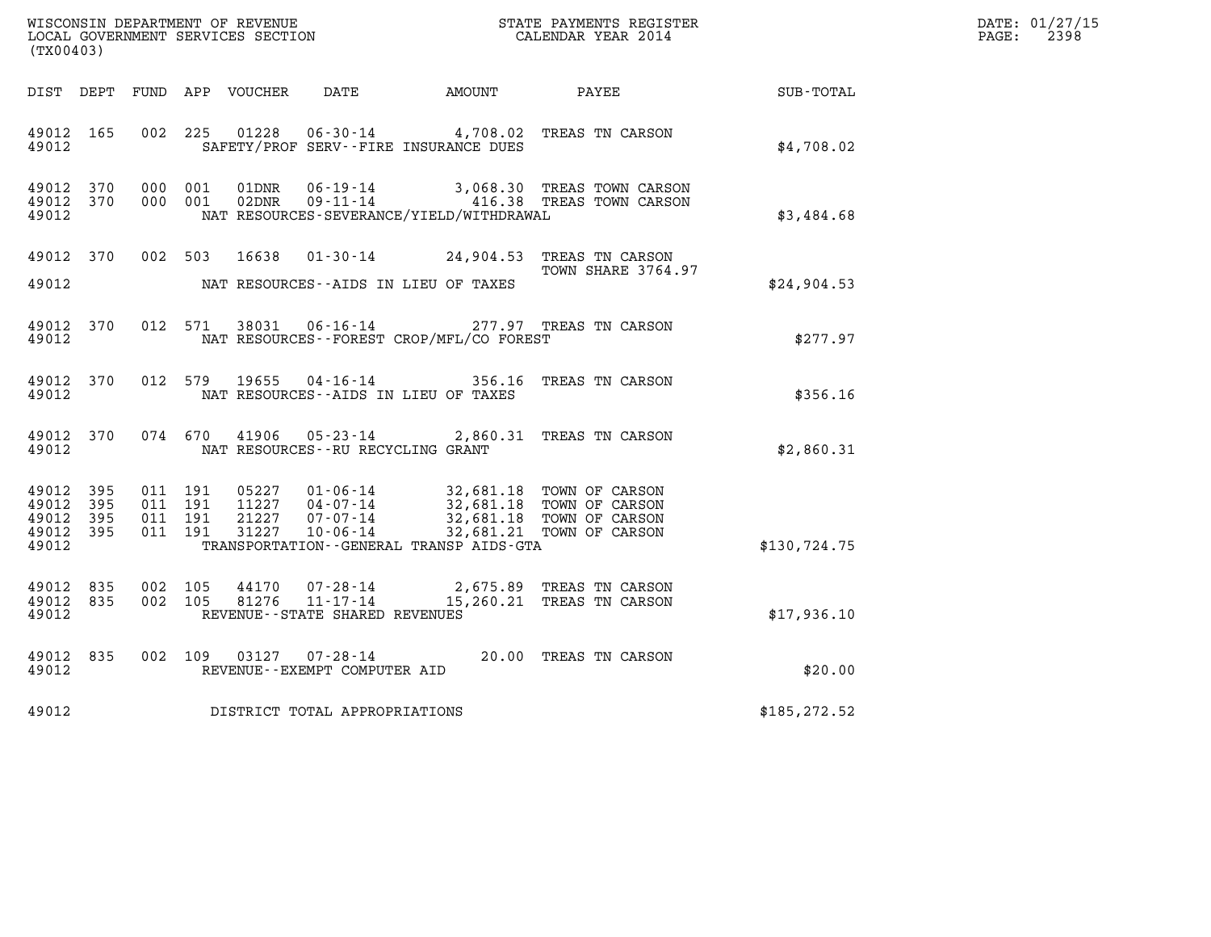| DATE: | 01/27/15 |
|-------|----------|
| PAGE: | 2398     |

| (TX00403)                                     |                     |                                          |         |                            |                                                | DATE: 01/27/15<br>$\mathtt{PAGE:}$<br>2398                                                                                          |                                                                        |               |  |
|-----------------------------------------------|---------------------|------------------------------------------|---------|----------------------------|------------------------------------------------|-------------------------------------------------------------------------------------------------------------------------------------|------------------------------------------------------------------------|---------------|--|
|                                               |                     |                                          |         | DIST DEPT FUND APP VOUCHER | DATE                                           | AMOUNT                                                                                                                              | PAYEE                                                                  | SUB-TOTAL     |  |
| 49012 165<br>49012                            |                     | 002 225                                  |         | 01228                      |                                                | SAFETY/PROF SERV--FIRE INSURANCE DUES                                                                                               | 06-30-14 4,708.02 TREAS TN CARSON                                      | \$4,708.02    |  |
| 49012 370<br>49012 370<br>49012               |                     | 000 001<br>000 001                       |         |                            |                                                | NAT RESOURCES-SEVERANCE/YIELD/WITHDRAWAL                                                                                            |                                                                        | \$3,484.68    |  |
| 49012 370<br>49012                            |                     |                                          |         |                            |                                                | NAT RESOURCES--AIDS IN LIEU OF TAXES                                                                                                | 002 503 16638 01-30-14 24,904.53 TREAS TN CARSON<br>TOWN SHARE 3764.97 | \$24,904.53   |  |
| 49012 370<br>49012                            |                     |                                          | 012 571 | 38031                      |                                                | NAT RESOURCES--FOREST CROP/MFL/CO FOREST                                                                                            | 06-16-14 277.97 TREAS TN CARSON                                        | \$277.97      |  |
| 49012 370<br>49012                            |                     |                                          |         |                            |                                                | NAT RESOURCES -- AIDS IN LIEU OF TAXES                                                                                              | 012 579 19655 04-16-14 356.16 TREAS TN CARSON                          | \$356.16      |  |
| 49012 370<br>49012                            |                     |                                          | 074 670 | 41906                      | NAT RESOURCES -- RU RECYCLING GRANT            |                                                                                                                                     | 05-23-14 2,860.31 TREAS TN CARSON                                      | \$2,860.31    |  |
| 49012<br>49012<br>49012<br>49012 395<br>49012 | 395<br>395<br>- 395 | 011 191<br>011 191<br>011 191<br>011 191 |         | 21227<br>31227             | $07 - 07 - 14$<br>$10 - 06 - 14$               | 05227  01-06-14  32,681.18  TOWN OF CARSON<br>11227  04-07-14  32,681.18  TOWN OF CARSON<br>TRANSPORTATION--GENERAL TRANSP AIDS-GTA | 32,681.18 TOWN OF CARSON<br>32,681.21 TOWN OF CARSON                   | \$130,724.75  |  |
| 49012 835<br>49012 835<br>49012               |                     | 002 105<br>002 105                       |         | 44170<br>81276             | 07-28-14<br>REVENUE--STATE SHARED REVENUES     |                                                                                                                                     | 2,675.89 TREAS TN CARSON<br>11-17-14 15,260.21 TREAS TN CARSON         | \$17,936.10   |  |
| 49012<br>49012                                | 835                 | 002 109                                  |         | 03127                      | $07 - 28 - 14$<br>REVENUE--EXEMPT COMPUTER AID |                                                                                                                                     | 20.00 TREAS TN CARSON                                                  | \$20.00       |  |
| 49012                                         |                     |                                          |         |                            | DISTRICT TOTAL APPROPRIATIONS                  |                                                                                                                                     |                                                                        | \$185, 272.52 |  |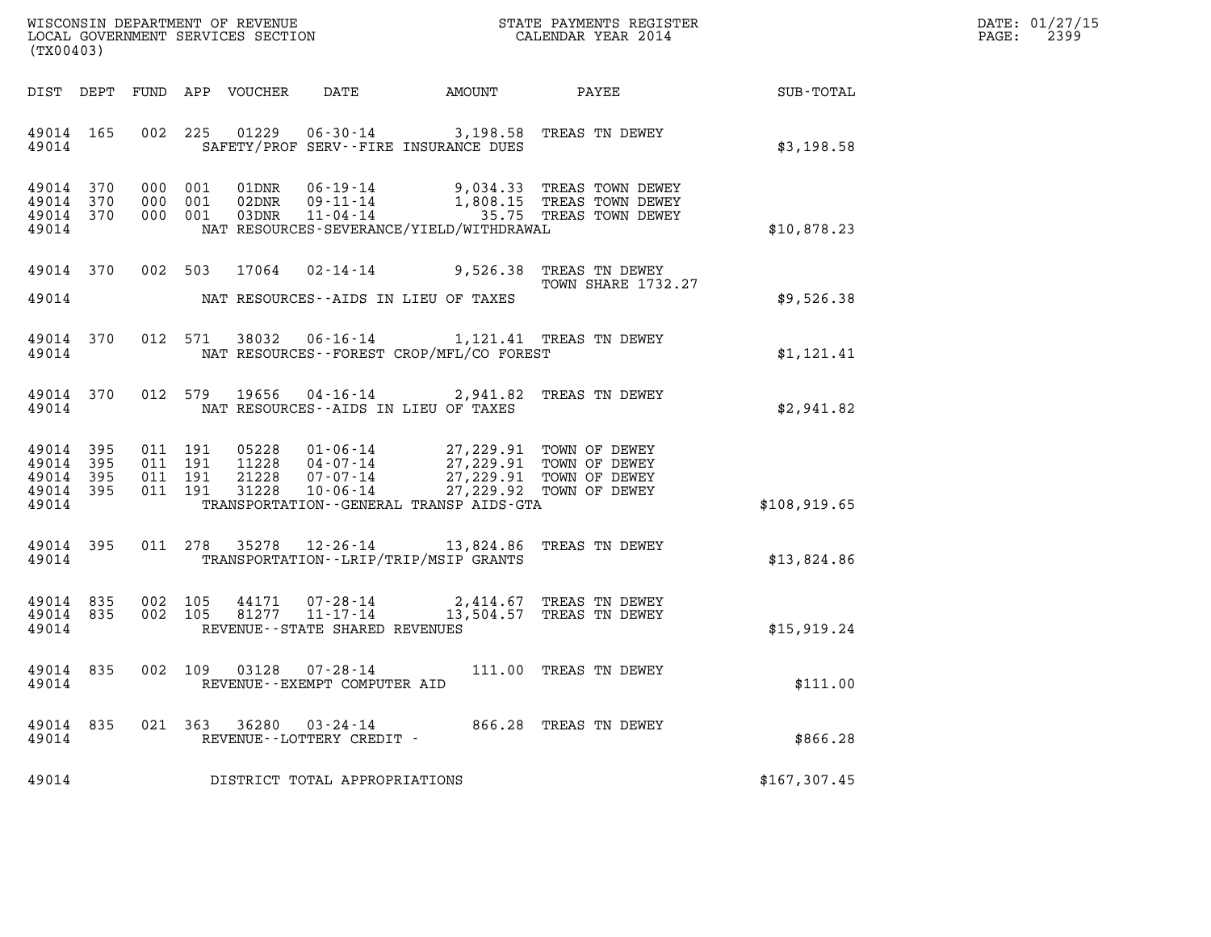| WISCONSIN DEPARTMENT OF REVENUE   | STATE PAYMENTS REGISTER | DATE: 01/27/15 |
|-----------------------------------|-------------------------|----------------|
| LOCAL GOVERNMENT SERVICES SECTION | CALENDAR YEAR 2014      | 2399<br>PAGE:  |

| (TX00403)                                 |                          |                          |                          | WISCONSIN DEPARTMENT OF REVENUE<br>LOCAL GOVERNMENT SERVICES SECTION |                                                                       |                                                                                                    | STATE PAYMENTS REGISTER<br>CALENDAR YEAR 2014                    |                  |
|-------------------------------------------|--------------------------|--------------------------|--------------------------|----------------------------------------------------------------------|-----------------------------------------------------------------------|----------------------------------------------------------------------------------------------------|------------------------------------------------------------------|------------------|
| DIST                                      | DEPT                     | FUND                     | APP                      | VOUCHER                                                              | DATE                                                                  | AMOUNT                                                                                             | PAYEE                                                            | <b>SUB-TOTAL</b> |
| 49014<br>49014                            | 165                      | 002                      | 225                      | 01229                                                                | $06 - 30 - 14$                                                        | 3,198.58<br>SAFETY/PROF SERV--FIRE INSURANCE DUES                                                  | TREAS TN DEWEY                                                   | \$3,198.58       |
| 49014<br>49014<br>49014<br>49014          | 370<br>370<br>370        | 000<br>000<br>000        | 001<br>001<br>001        | 01DNR<br>02DNR<br>03DNR                                              | $06 - 19 - 14$<br>$09 - 11 - 14$<br>$11 - 04 - 14$                    | 9,034.33<br>1,808.15<br>35.75<br>NAT RESOURCES-SEVERANCE/YIELD/WITHDRAWAL                          | TREAS TOWN DEWEY<br>TREAS TOWN DEWEY<br>TREAS TOWN DEWEY         | \$10,878.23      |
| 49014                                     | 370                      | 002                      | 503                      | 17064                                                                | $02 - 14 - 14$                                                        | 9,526.38                                                                                           | TREAS TN DEWEY<br><b>TOWN SHARE 1732.27</b>                      |                  |
| 49014                                     |                          |                          |                          |                                                                      |                                                                       | NAT RESOURCES -- AIDS IN LIEU OF TAXES                                                             |                                                                  | \$9,526.38       |
| 49014<br>49014                            | 370                      | 012                      | 571                      | 38032                                                                | $06 - 16 - 14$                                                        | NAT RESOURCES--FOREST CROP/MFL/CO FOREST                                                           | 1,121.41 TREAS TN DEWEY                                          | \$1,121.41       |
| 49014<br>49014                            | 370                      | 012                      | 579                      | 19656                                                                | $04 - 16 - 14$                                                        | 2,941.82<br>NAT RESOURCES--AIDS IN LIEU OF TAXES                                                   | TREAS TN DEWEY                                                   | \$2,941.82       |
| 49014<br>49014<br>49014<br>49014<br>49014 | 395<br>395<br>395<br>395 | 011<br>011<br>011<br>011 | 191<br>191<br>191<br>191 | 05228<br>11228<br>21228<br>31228                                     | $01 - 06 - 14$<br>$04 - 07 - 14$<br>$07 - 07 - 14$<br>$10 - 06 - 14$  | 27,229.91<br>27, 229.91<br>27,229.91<br>27, 229.92<br>TRANSPORTATION - - GENERAL TRANSP AIDS - GTA | TOWN OF DEWEY<br>TOWN OF DEWEY<br>TOWN OF DEWEY<br>TOWN OF DEWEY | \$108,919.65     |
| 49014<br>49014                            | 395                      | 011                      | 278                      | 35278                                                                | $12 - 26 - 14$                                                        | 13,824.86<br>TRANSPORTATION - - LRIP/TRIP/MSIP GRANTS                                              | TREAS TN DEWEY                                                   | \$13,824.86      |
| 49014<br>49014<br>49014                   | 835<br>835               | 002<br>002               | 105<br>105               | 44171<br>81277                                                       | $07 - 28 - 14$<br>$11 - 17 - 14$<br>REVENUE - - STATE SHARED REVENUES | 2,414.67<br>13,504.57                                                                              | TREAS TN DEWEY<br>TREAS TN DEWEY                                 | \$15,919.24      |
| 49014<br>49014                            | 835                      | 002                      | 109                      | 03128                                                                | $07 - 28 - 14$<br>REVENUE - - EXEMPT COMPUTER AID                     | 111.00                                                                                             | TREAS TN DEWEY                                                   | \$111.00         |
| 49014<br>49014                            | 835                      | 021                      | 363                      | 36280                                                                | $03 - 24 - 14$<br>REVENUE--LOTTERY CREDIT -                           | 866.28                                                                                             | TREAS TN DEWEY                                                   | \$866.28         |
| 49014                                     |                          |                          |                          |                                                                      | DISTRICT TOTAL APPROPRIATIONS                                         |                                                                                                    |                                                                  | \$167,307.45     |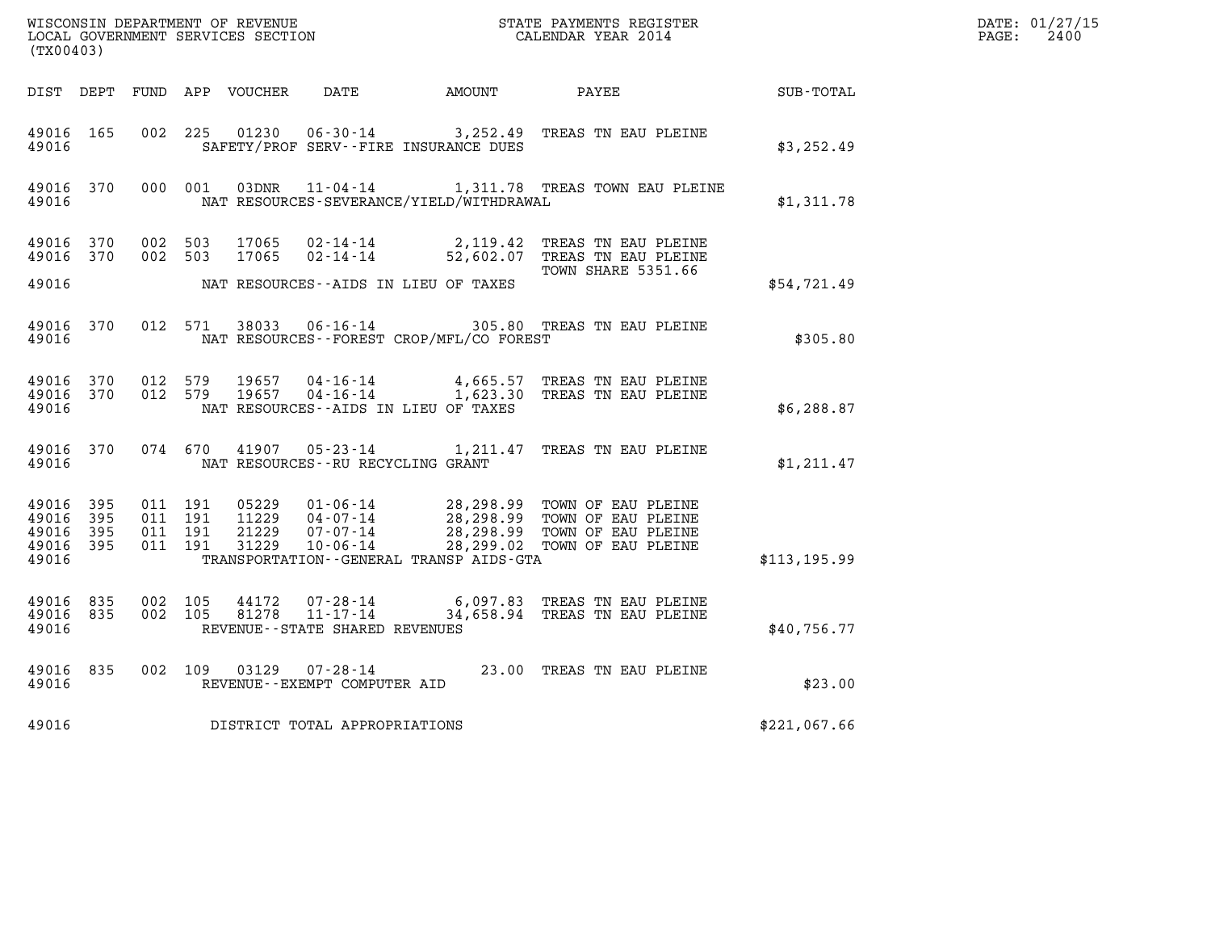| (TX00403)                                                 |           |                                          |  |                                         |                                              |                                                                                                                                                                                                      |              | DATE: 01/27/15<br>$\mathtt{PAGE:}$<br>2400 |
|-----------------------------------------------------------|-----------|------------------------------------------|--|-----------------------------------------|----------------------------------------------|------------------------------------------------------------------------------------------------------------------------------------------------------------------------------------------------------|--------------|--------------------------------------------|
|                                                           |           |                                          |  |                                         |                                              | DIST DEPT FUND APP VOUCHER DATE AMOUNT PAYEE SUB-TOTAL                                                                                                                                               |              |                                            |
| 49016 165<br>49016                                        |           |                                          |  |                                         | SAFETY/PROF SERV--FIRE INSURANCE DUES        | 002 225 01230 06-30-14 3,252.49 TREAS TN EAU PLEINE                                                                                                                                                  | \$3,252.49   |                                            |
| 49016                                                     |           |                                          |  |                                         | NAT RESOURCES-SEVERANCE/YIELD/WITHDRAWAL     | 49016 370 000 001 03DNR 11-04-14 1,311.78 TREAS TOWN EAU PLEINE                                                                                                                                      | \$1,311.78   |                                            |
| 49016 370                                                 |           | 49016 370 002 503<br>002 503             |  |                                         |                                              | 17065  02-14-14  2,119.42  TREAS TN EAU PLEINE<br>17065  02-14-14  52,602.07  TREAS TN EAU PLEINE<br><b>TOWN SHARE 5351.66</b>                                                                       |              |                                            |
| 49016                                                     |           |                                          |  |                                         | NAT RESOURCES--AIDS IN LIEU OF TAXES         |                                                                                                                                                                                                      | \$54,721.49  |                                            |
|                                                           | 49016     |                                          |  |                                         | NAT RESOURCES--FOREST CROP/MFL/CO FOREST     | 49016 370 012 571 38033 06-16-14 305.80 TREAS TN EAU PLEINE                                                                                                                                          | \$305.80     |                                            |
| 49016                                                     |           |                                          |  |                                         | NAT RESOURCES--AIDS IN LIEU OF TAXES         | 49016 370 012 579 19657 04-16-14 4,665.57 TREAS TN EAU PLEINE<br>49016 370 012 579 19657 04-16-14 1,623.30 TREAS TN EAU PLEINE                                                                       | \$6,288.87   |                                            |
|                                                           |           |                                          |  | 49016 MAT RESOURCES--RU RECYCLING GRANT |                                              | 49016 370 074 670 41907 05-23-14 1,211.47 TREAS TN EAU PLEINE                                                                                                                                        | \$1,211.47   |                                            |
| 49016 395<br>49016 395<br>49016 395<br>49016 395<br>49016 |           | 011 191<br>011 191<br>011 191<br>011 191 |  |                                         | TRANSPORTATION - - GENERAL TRANSP AIDS - GTA | 05229  01-06-14  28,298.99  TOWN OF EAU PLEINE<br>11229  04-07-14  28,298.99  TOWN OF EAU PLEINE<br>21229  07-07-14  28,298.99  TOWN OF EAU PLEINE<br>31229  10-06-14  28,299.02  TOWN OF EAU PLEINE | \$113,195.99 |                                            |
| 49016                                                     | 49016 835 | 49016 835 002 105<br>002 105             |  | REVENUE--STATE SHARED REVENUES          |                                              | 44172  07-28-14  6,097.83  TREAS TN EAU PLEINE<br>81278  11-17-14  34,658.94  TREAS TN EAU PLEINE                                                                                                    | \$40,756.77  |                                            |
| 49016                                                     | 49016 835 |                                          |  | REVENUE--EXEMPT COMPUTER AID            |                                              | 002 109 03129 07-28-14 23.00 TREAS TN EAU PLEINE                                                                                                                                                     | \$23.00      |                                            |
| 49016                                                     |           |                                          |  | DISTRICT TOTAL APPROPRIATIONS           |                                              |                                                                                                                                                                                                      | \$221,067.66 |                                            |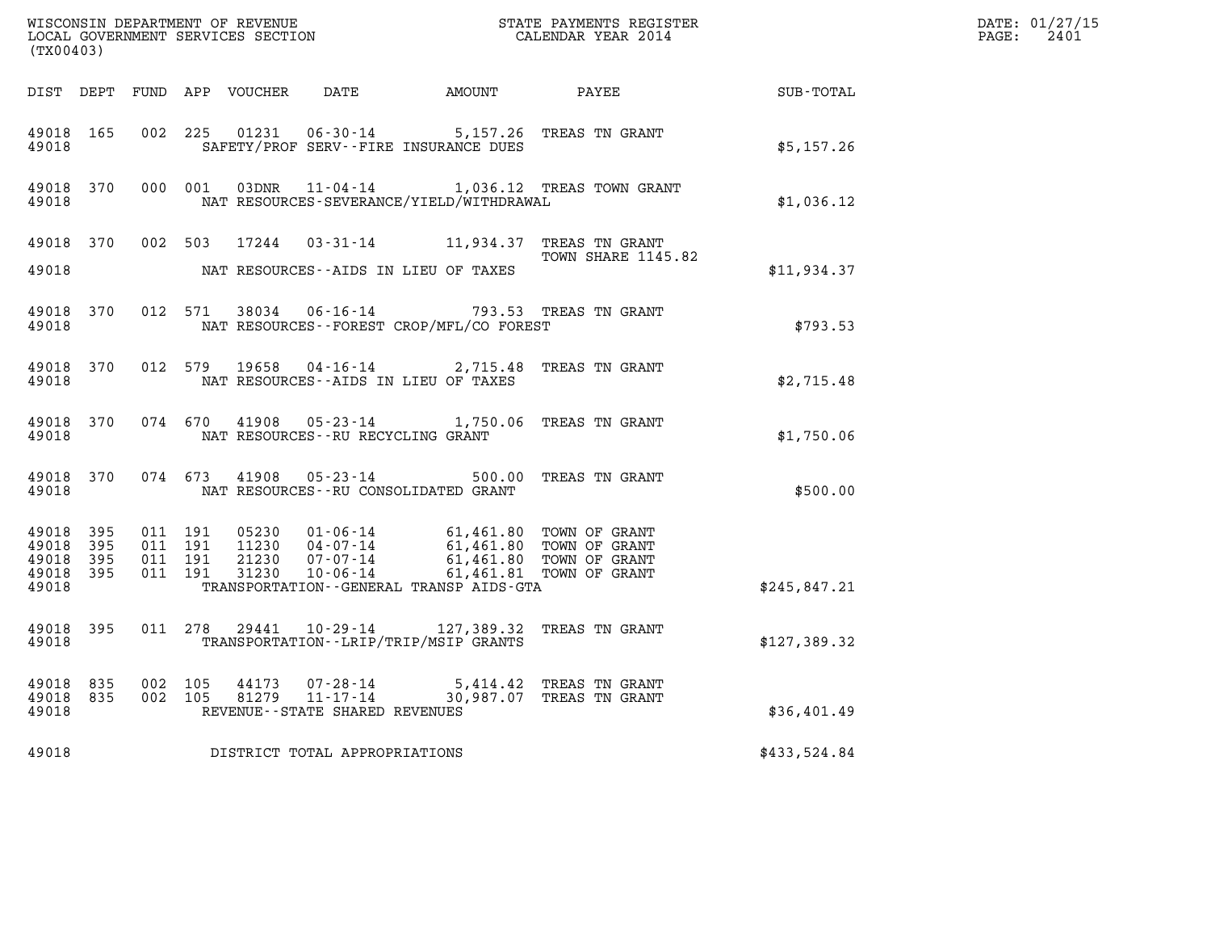| (TX00403)                                             |           |         |                               |                         |                                                                 |                                             |                                                                                                                                                                                  |              | DATE: 01/27/15<br>$\mathtt{PAGE:}$<br>2401 |
|-------------------------------------------------------|-----------|---------|-------------------------------|-------------------------|-----------------------------------------------------------------|---------------------------------------------|----------------------------------------------------------------------------------------------------------------------------------------------------------------------------------|--------------|--------------------------------------------|
|                                                       |           |         |                               |                         |                                                                 |                                             |                                                                                                                                                                                  | SUB-TOTAL    |                                            |
| 49018 165<br>49018                                    |           |         | 002 225                       | 01231                   |                                                                 | SAFETY/PROF SERV--FIRE INSURANCE DUES       | 06-30-14 5,157.26 TREAS TN GRANT                                                                                                                                                 | \$5,157.26   |                                            |
| 49018 370<br>49018                                    |           |         | 000 001                       |                         |                                                                 | NAT RESOURCES-SEVERANCE/YIELD/WITHDRAWAL    | 03DNR  11-04-14   1,036.12 TREAS TOWN GRANT                                                                                                                                      | \$1,036.12   |                                            |
| 49018                                                 |           |         |                               | 49018 370 002 503 17244 | NAT RESOURCES--AIDS IN LIEU OF TAXES                            |                                             | 03-31-14 11,934.37 TREAS TN GRANT<br>TOWN SHARE 1145.82                                                                                                                          | \$11,934.37  |                                            |
| 49018 370<br>49018                                    |           |         | 012 571                       | 38034                   | $06 - 16 - 14$                                                  | NAT RESOURCES - - FOREST CROP/MFL/CO FOREST | 793.53 TREAS TN GRANT                                                                                                                                                            | \$793.53     |                                            |
| 49018                                                 | 49018 370 |         | 012 579                       | 19658                   | NAT RESOURCES -- AIDS IN LIEU OF TAXES                          |                                             | 04-16-14 2,715.48 TREAS TN GRANT                                                                                                                                                 | \$2,715.48   |                                            |
| 49018 370<br>49018                                    |           |         |                               |                         | NAT RESOURCES - - RU RECYCLING GRANT                            |                                             | 074 670 41908 05-23-14 1,750.06 TREAS TN GRANT                                                                                                                                   | \$1,750.06   |                                            |
| 49018 370<br>49018                                    |           |         |                               | 074 673 41908           | $05 - 23 - 14$<br>NAT RESOURCES - - RU CONSOLIDATED GRANT       |                                             | 500.00 TREAS TN GRANT                                                                                                                                                            | \$500.00     |                                            |
| 49018<br>49018 395<br>49018 395<br>49018 395<br>49018 | 395       | 011 191 | 011 191<br>011 191<br>011 191 |                         |                                                                 | TRANSPORTATION--GENERAL TRANSP AIDS-GTA     | 05230  01-06-14  61,461.80  TOWN OF GRANT<br>11230  04-07-14  61,461.80  TOWN OF GRANT<br>21230  07-07-14  61,461.80  TOWN OF GRANT<br>31230  10-06-14  61,461.81  TOWN OF GRANT | \$245,847.21 |                                            |
| 49018 395<br>49018                                    |           |         | 011 278                       |                         |                                                                 | TRANSPORTATION - - LRIP/TRIP/MSIP GRANTS    | 29441  10-29-14  127,389.32  TREAS TN GRANT                                                                                                                                      | \$127,389.32 |                                            |
| 49018 835<br>49018 835<br>49018                       |           |         | 002 105<br>002 105            | 44173                   | 07-28-14<br>81279 11-17-14<br>REVENUE - - STATE SHARED REVENUES |                                             | 5,414.42 TREAS TN GRANT<br>30,987.07 TREAS TN GRANT                                                                                                                              | \$36,401.49  |                                            |
| 49018                                                 |           |         |                               |                         | DISTRICT TOTAL APPROPRIATIONS                                   |                                             |                                                                                                                                                                                  | \$433,524.84 |                                            |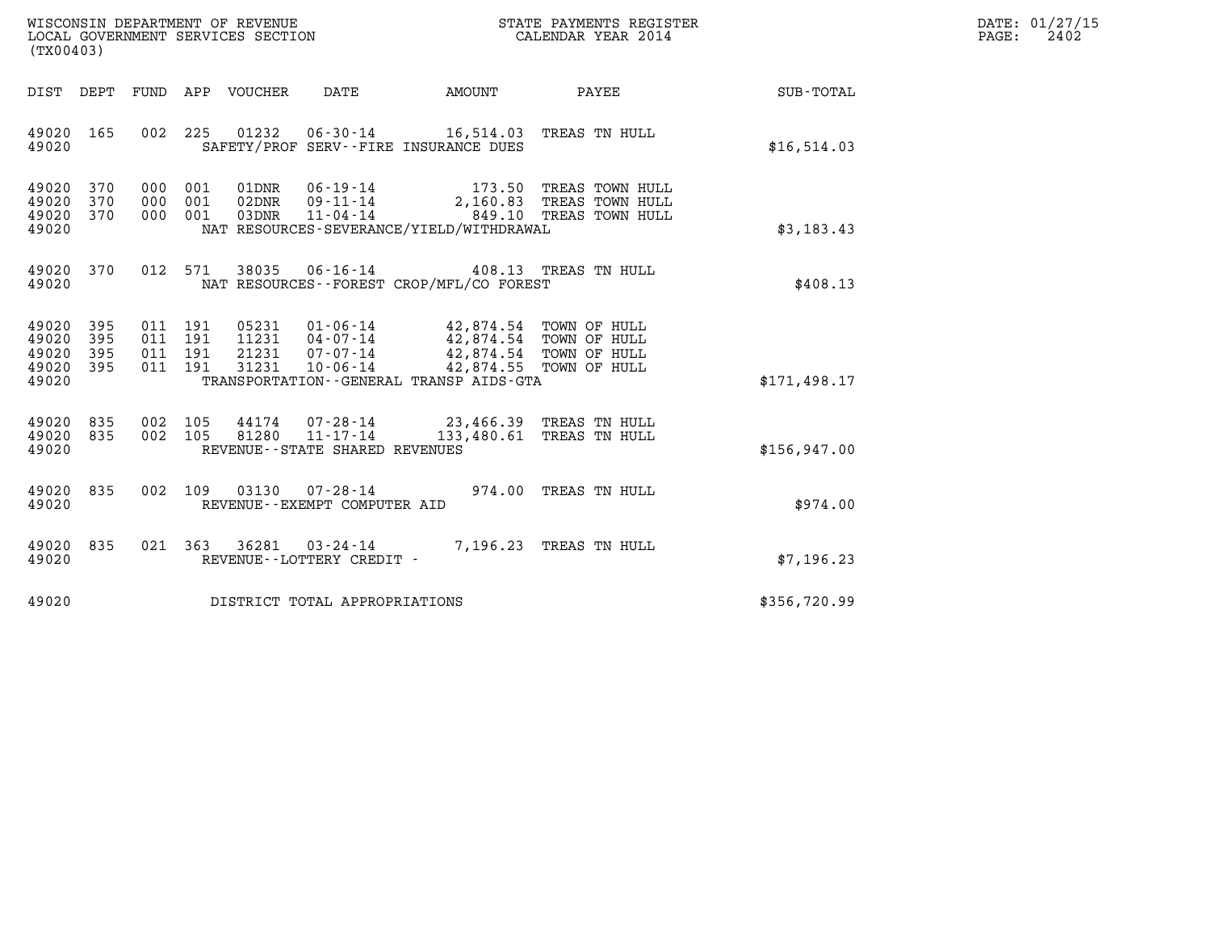| WISCONSIN DEPARTMENT OF REVENUE   | STATE PAYMENTS REGISTER | DATE: 01/27/15 |
|-----------------------------------|-------------------------|----------------|
| LOCAL GOVERNMENT SERVICES SECTION | CALENDAR YEAR 2014      | 2402<br>PAGE:  |

| WISCONSIN DEPARTMENT OF REVENUE                             STATE PAYMENTS REGIS' LOCAL GOVERNMENT SERVICES SECTION                               CALENDAR YEAR 2014<br>(TX00403)                                                                                         | STATE PAYMENTS REGISTER                                                                                                |              | DATE: 01/27/15<br>PAGE:<br>2402 |
|---------------------------------------------------------------------------------------------------------------------------------------------------------------------------------------------------------------------------------------------------------------------------|------------------------------------------------------------------------------------------------------------------------|--------------|---------------------------------|
| DIST DEPT<br>FUND APP VOUCHER<br>DATE                                                                                                                                                                                                                                     | AMOUNT<br>PAYEE                                                                                                        | SUB-TOTAL    |                                 |
| 002 225 01232 06-30-14 16,514.03<br>49020 165<br>49020<br>SAFETY/PROF SERV--FIRE INSURANCE DUES                                                                                                                                                                           | TREAS TN HULL                                                                                                          | \$16,514.03  |                                 |
| 000 001 01DNR 06-19-14 173.50 TREAS TOWN HULL<br>000 001 02DNR 09-11-14 2,160.83 TREAS TOWN HULL<br>000 001 03DNR 11-04-14 849.10 TREAS TOWN HULL<br>49020<br>370<br>49020<br>370<br>49020<br>370<br>49020<br>NAT RESOURCES-SEVERANCE/YIELD/WITHDRAWAL                    |                                                                                                                        | \$3,183.43   |                                 |
| 012 571 38035 06-16-14 408.13 TREAS TN HULL<br>49020 370<br>NAT RESOURCES - - FOREST CROP/MFL/CO FOREST<br>49020                                                                                                                                                          |                                                                                                                        | \$408.13     |                                 |
| 49020<br>395<br>011 191<br>49020<br>011 191<br>11231  04-07-14<br>395<br>011 191 21231 07-07-14<br>49020<br>395<br>011 191 31231<br>49020<br>395<br>$10 - 06 - 14$<br>49020<br>TRANSPORTATION--GENERAL TRANSP AIDS-GTA                                                    | 05231  01-06-14  42,874.54  TOWN OF HULL<br>42,874.54 TOWN OF HULL<br>42,874.54 TOWN OF HULL<br>42,874.55 TOWN OF HULL | \$171,498.17 |                                 |
| $\begin{array}{cccc} 002 & 105 & 44174 & 07\text{-}28\text{-}14 & 23,466.39 & \text{TREAS TN HULL} \\ 002 & 105 & 81280 & 11\text{-}17\text{-}14 & 133,480.61 & \text{TREAS TN HULL} \end{array}$<br>49020 835<br>49020 835<br>49020<br>REVENUE - - STATE SHARED REVENUES |                                                                                                                        | \$156.947.00 |                                 |
| 002 109 03130 07-28-14 974.00 TREAS TN HULL<br>49020 835<br>49020<br>REVENUE--EXEMPT COMPUTER AID                                                                                                                                                                         |                                                                                                                        | \$974.00     |                                 |
| 49020 835<br>021 363 36281<br>03-24-14<br>49020<br>REVENUE--LOTTERY CREDIT -                                                                                                                                                                                              | 7,196.23 TREAS TN HULL                                                                                                 | \$7,196.23   |                                 |
| 49020<br>DISTRICT TOTAL APPROPRIATIONS                                                                                                                                                                                                                                    |                                                                                                                        | \$356,720.99 |                                 |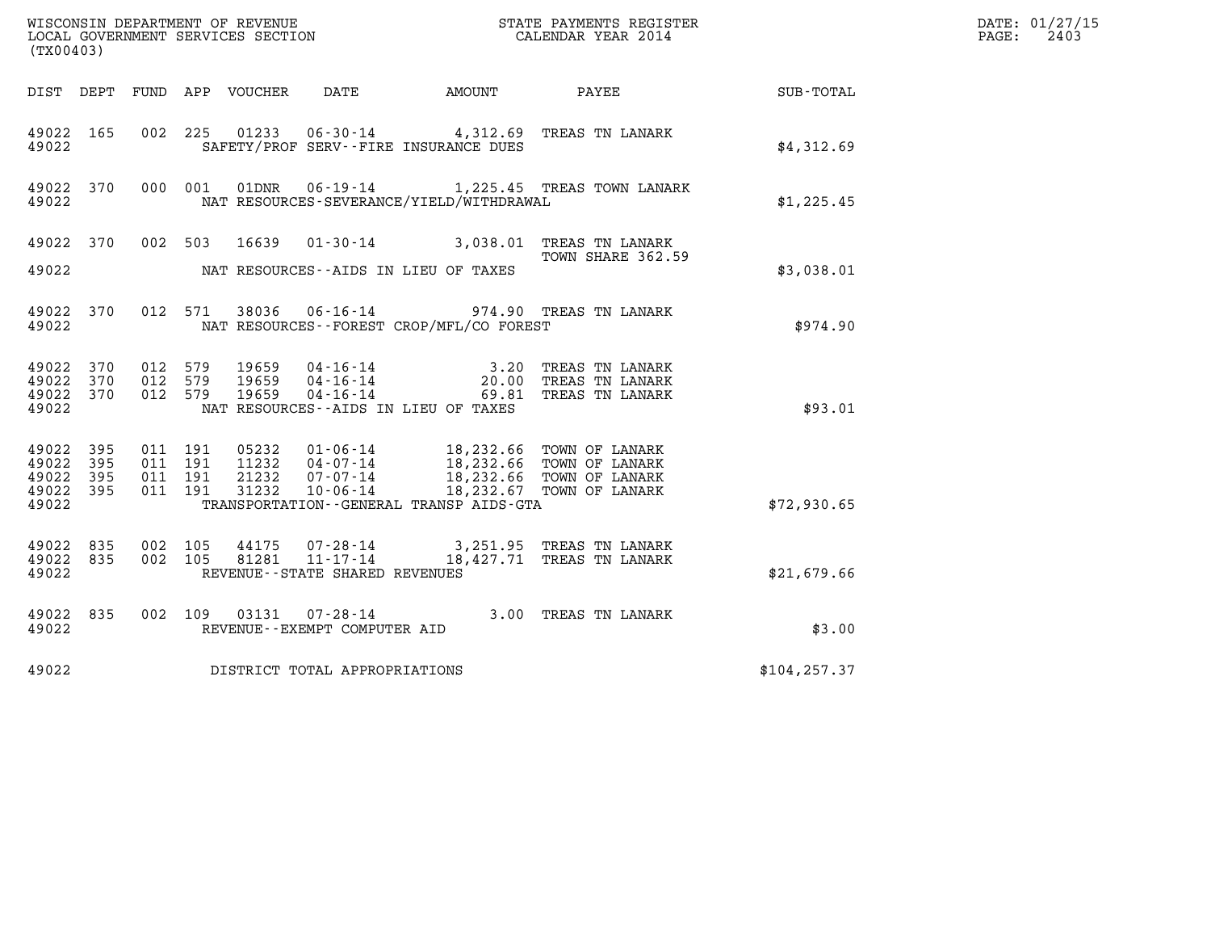| (TX00403)                                                 |  |                                                   |  |  |                                |                                              |                                                                                                                                                                          | DATE: 01/27/15<br>$\mathtt{PAGE:}$<br>2403 |  |
|-----------------------------------------------------------|--|---------------------------------------------------|--|--|--------------------------------|----------------------------------------------|--------------------------------------------------------------------------------------------------------------------------------------------------------------------------|--------------------------------------------|--|
|                                                           |  |                                                   |  |  |                                |                                              | DIST DEPT FUND APP VOUCHER DATE AMOUNT PAYEE SUB-TOTAL                                                                                                                   |                                            |  |
| 49022 165<br>49022                                        |  |                                                   |  |  |                                | SAFETY/PROF SERV--FIRE INSURANCE DUES        | 002 225 01233 06-30-14 4,312.69 TREAS TN LANARK                                                                                                                          | \$4,312.69                                 |  |
| 49022                                                     |  |                                                   |  |  |                                | NAT RESOURCES-SEVERANCE/YIELD/WITHDRAWAL     | 49022 370 000 001 01DNR 06-19-14 1,225.45 TREAS TOWN LANARK                                                                                                              | \$1,225.45                                 |  |
|                                                           |  |                                                   |  |  |                                |                                              | 49022 370 002 503 16639 01-30-14 3,038.01 TREAS TN LANARK<br>TOWN SHARE 362.59                                                                                           |                                            |  |
| 49022                                                     |  |                                                   |  |  |                                | NAT RESOURCES--AIDS IN LIEU OF TAXES         |                                                                                                                                                                          | \$3,038.01                                 |  |
| 49022 370<br>49022                                        |  |                                                   |  |  |                                | NAT RESOURCES - - FOREST CROP/MFL/CO FOREST  | 012 571 38036 06-16-14 974.90 TREAS TN LANARK                                                                                                                            | \$974.90                                   |  |
| 49022 370<br>49022                                        |  | 49022 370 012 579<br>012 579<br>49022 370 012 579 |  |  |                                | NAT RESOURCES--AIDS IN LIEU OF TAXES         |                                                                                                                                                                          | \$93.01                                    |  |
| 49022 395<br>49022 395<br>49022 395<br>49022 395<br>49022 |  | 011 191<br>011 191<br>011 191<br>011 191          |  |  |                                | TRANSPORTATION - - GENERAL TRANSP AIDS - GTA | 05232 01-06-14 18,232.66 TOWN OF LANARK<br>11232 04-07-14 18,232.66 TOWN OF LANARK<br>21232 07-07-14 18,232.66 TOWN OF LANARK<br>31232 10-06-14 18,232.67 TOWN OF LANARK | \$72,930.65                                |  |
| 49022 835<br>49022 835<br>49022                           |  | 002 105<br>002 105                                |  |  | REVENUE--STATE SHARED REVENUES |                                              | 44175  07-28-14  3,251.95  TREAS TN LANARK<br>81281  11-17-14  18,427.71  TREAS TN LANARK                                                                                | \$21,679.66                                |  |
| 49022 835<br>49022                                        |  |                                                   |  |  | REVENUE--EXEMPT COMPUTER AID   |                                              | 002 109 03131 07-28-14 3.00 TREAS TN LANARK                                                                                                                              | \$3.00                                     |  |
| 49022                                                     |  |                                                   |  |  | DISTRICT TOTAL APPROPRIATIONS  |                                              |                                                                                                                                                                          | \$104, 257.37                              |  |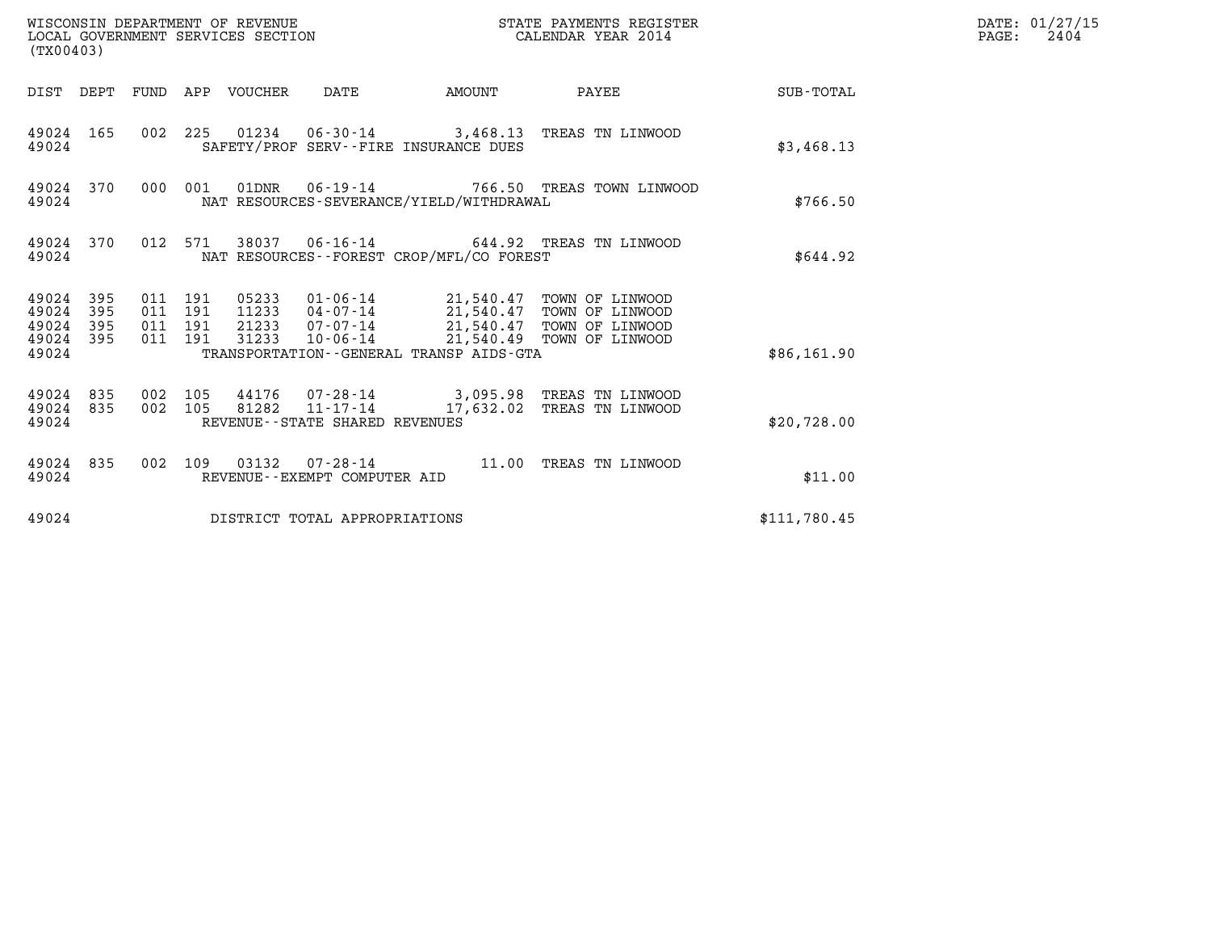| WISCONSIN DEPARTMENT OF REVENUE<br>(TX00403)                    | LOCAL GOVERNMENT SERVICES SECTION                                                                                                                | STATE PAYMENTS REGISTER<br>CALENDAR YEAR 2014 |                        | DATE: 01/27/15<br>$\mathtt{PAGE:}$<br>2404 |  |
|-----------------------------------------------------------------|--------------------------------------------------------------------------------------------------------------------------------------------------|-----------------------------------------------|------------------------|--------------------------------------------|--|
|                                                                 | DIST DEPT FUND APP VOUCHER DATE                                                                                                                  |                                               | AMOUNT PAYEE SUB-TOTAL |                                            |  |
| 49024 165<br>49024                                              | 002 225 01234 06-30-14 3,468.13 TREAS TN LINWOOD<br>SAFETY/PROF SERV--FIRE INSURANCE DUES                                                        |                                               |                        | \$3,468.13                                 |  |
| 49024 370<br>49024                                              | 000 001 01DNR  06-19-14  766.50 TREAS TOWN LINWOOD<br>NAT RESOURCES-SEVERANCE/YIELD/WITHDRAWAL                                                   |                                               |                        | \$766.50                                   |  |
| 49024 370<br>49024                                              | 012 571 38037 06-16-14 644.92 TREAS TN LINWOOD<br>NAT RESOURCES--FOREST CROP/MFL/CO FOREST                                                       |                                               |                        | \$644.92                                   |  |
| 49024 395<br>49024<br>395<br>49024<br>395<br>49024 395<br>49024 | 011 191<br>011 191<br>011 191<br>10-06-14 21,540.49 TOWN OF LINWOOD<br>011 191<br>31233<br>TRANSPORTATION - - GENERAL TRANSP AIDS - GTA          |                                               |                        | \$86,161.90                                |  |
| 49024 835<br>49024 835<br>49024                                 | 44176 07-28-14 3,095.98 TREAS TN LINWOOD<br>002 105<br>81282  11-17-14  17,632.02  TREAS TN LINWOOD<br>002 105<br>REVENUE--STATE SHARED REVENUES |                                               |                        | \$20,728.00                                |  |
| 49024 835<br>49024                                              | 002 109 03132 07-28-14 11.00 TREAS TN LINWOOD<br>REVENUE--EXEMPT COMPUTER AID                                                                    |                                               |                        | \$11.00                                    |  |
| 49024                                                           | DISTRICT TOTAL APPROPRIATIONS                                                                                                                    |                                               |                        | \$111,780.45                               |  |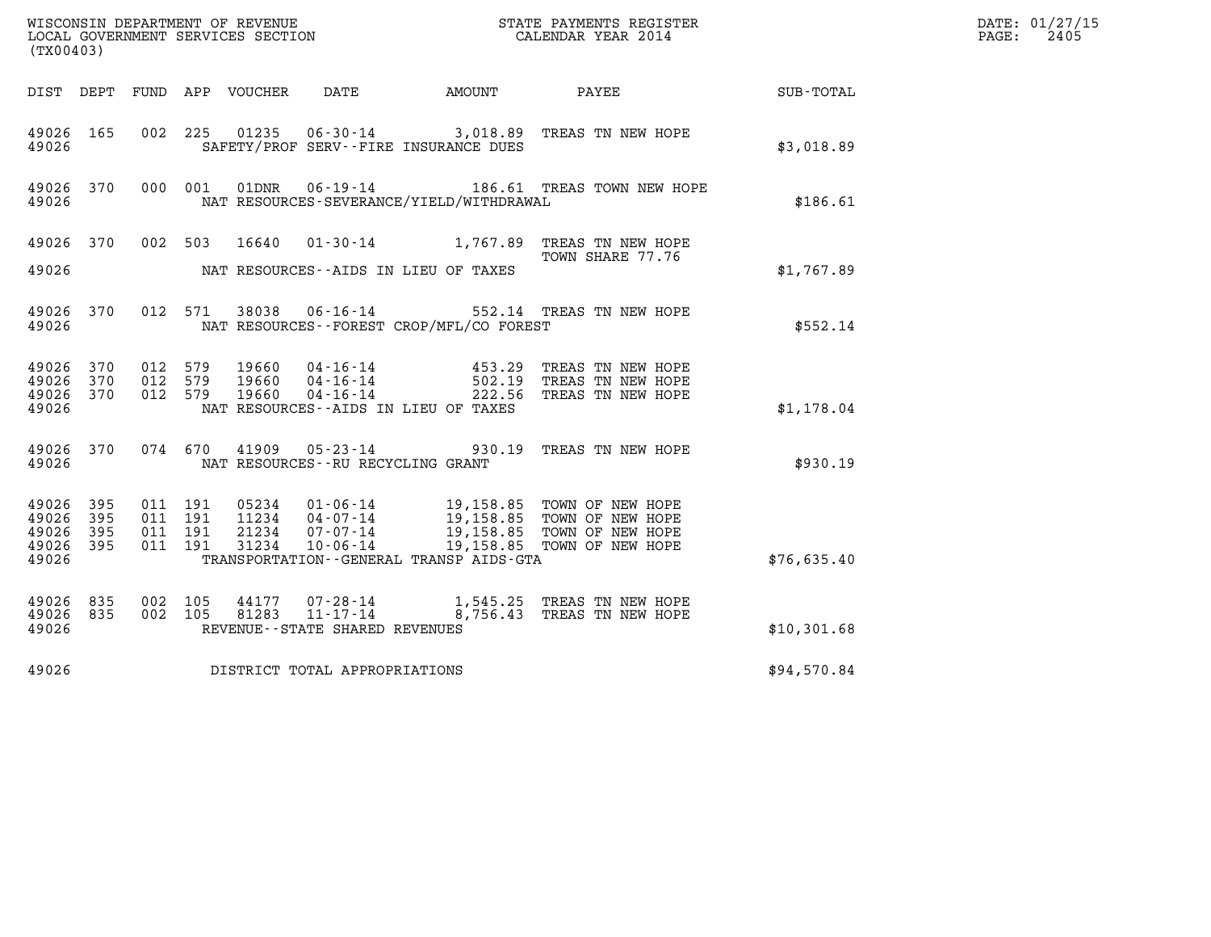| (TX00403)                                                          |                                                                                                                                                                                                                                                                                              | DATE: 01/27/15<br>$\mathtt{PAGE:}$<br>2405 |
|--------------------------------------------------------------------|----------------------------------------------------------------------------------------------------------------------------------------------------------------------------------------------------------------------------------------------------------------------------------------------|--------------------------------------------|
|                                                                    | DIST DEPT FUND APP VOUCHER DATE<br>AMOUNT PAYEE                                                                                                                                                                                                                                              | SUB-TOTAL                                  |
| 49026 165<br>49026                                                 | 01235  06-30-14  3,018.89  TREAS TN NEW HOPE<br>002 225<br>SAFETY/PROF SERV--FIRE INSURANCE DUES                                                                                                                                                                                             | \$3,018.89                                 |
| 49026 370<br>49026                                                 | 000 001<br>01DNR  06-19-14  186.61 TREAS TOWN NEW HOPE<br>NAT RESOURCES-SEVERANCE/YIELD/WITHDRAWAL                                                                                                                                                                                           | \$186.61                                   |
| 49026 370                                                          | 16640  01-30-14  1,767.89  TREAS TN NEW HOPE<br>002 503<br>TOWN SHARE 77.76                                                                                                                                                                                                                  |                                            |
| 49026                                                              | NAT RESOURCES--AIDS IN LIEU OF TAXES                                                                                                                                                                                                                                                         | \$1,767.89                                 |
| 49026 370<br>49026                                                 | 06-16-14 552.14 TREAS TN NEW HOPE<br>012 571<br>38038<br>NAT RESOURCES - - FOREST CROP/MFL/CO FOREST                                                                                                                                                                                         | \$552.14                                   |
| 49026 370<br>49026<br>370<br>49026<br>370<br>49026                 | 012 579<br>19660<br>TREAS TN NEW HOPE<br>012 579<br>19660<br>TREAS TN NEW HOPE<br>012 579<br>19660<br>TREAS TN NEW HOPE<br>NAT RESOURCES - AIDS IN LIEU OF TAXES                                                                                                                             | \$1,178.04                                 |
| 49026 370<br>49026                                                 | $05 - 23 - 14$<br>074 670<br>41909<br>930.19 TREAS TN NEW HOPE<br>NAT RESOURCES--RU RECYCLING GRANT                                                                                                                                                                                          | \$930.19                                   |
| 49026 395<br>49026<br>395<br>49026<br>395<br>395<br>49026<br>49026 | 011 191<br>05234<br>01-06-14 19,158.85 TOWN OF NEW HOPE<br>04-07-14 19,158.85 TOWN OF NEW HOPE<br>07-07-14 19,158.85 TOWN OF NEW HOPE<br>011 191<br>11234<br>011 191<br>21234<br>011 191<br>31234<br>$10 - 06 - 14$<br>19,158.85 TOWN OF NEW HOPE<br>TRANSPORTATION--GENERAL TRANSP AIDS-GTA | \$76,635.40                                |
| 49026 835<br>835<br>49026<br>49026                                 | 002 105<br>44177<br>07-28-14<br>1,545.25 TREAS TN NEW HOPE<br>8,756.43 TREAS TN NEW HOPE<br>$11 - 17 - 14$<br>002 105<br>81283<br>REVENUE - - STATE SHARED REVENUES                                                                                                                          | \$10,301.68                                |
| 49026                                                              | DISTRICT TOTAL APPROPRIATIONS                                                                                                                                                                                                                                                                | \$94,570.84                                |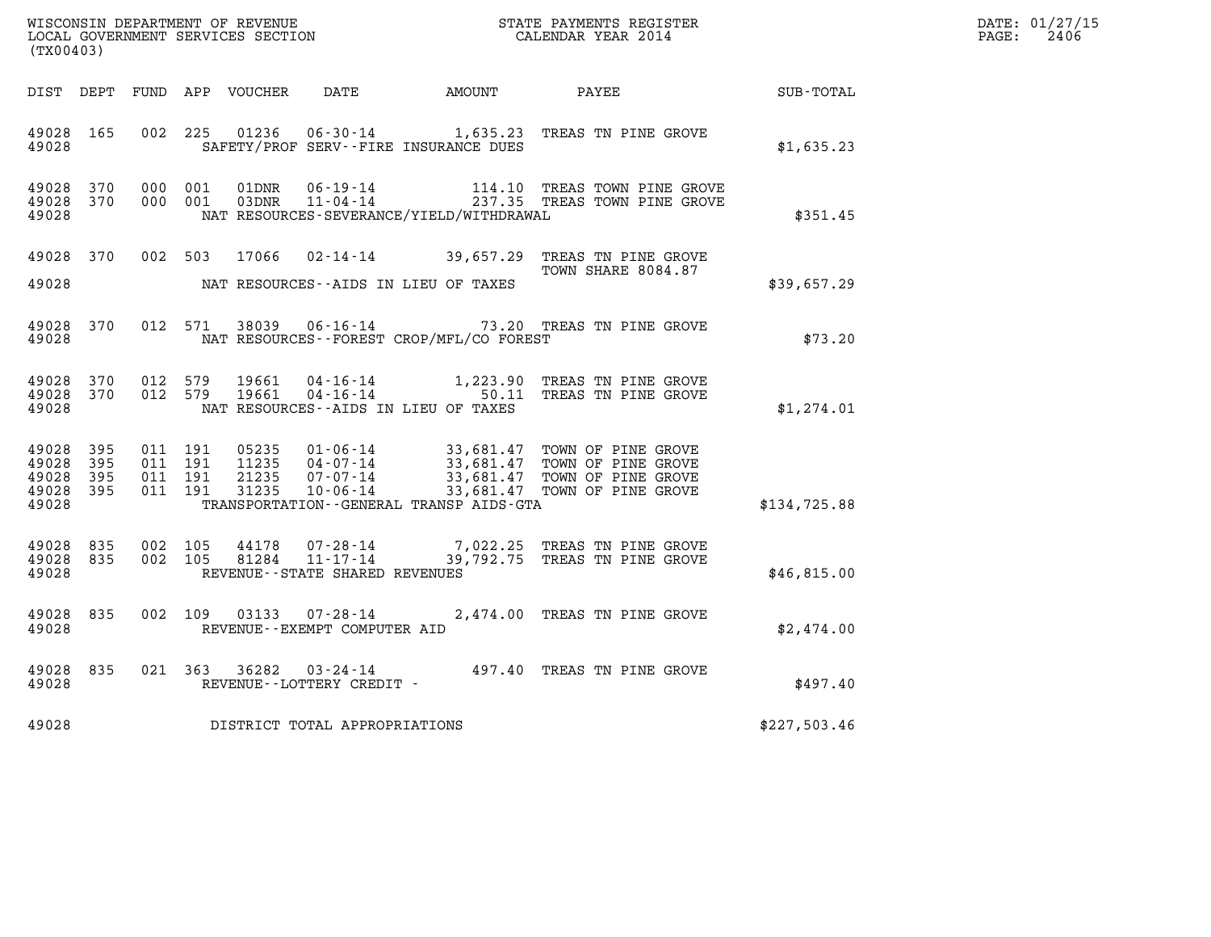| WISCONSIN DEPARTMENT OF REVENUE   | STATE PAYMENTS REGISTER | DATE: 01/27/15 |
|-----------------------------------|-------------------------|----------------|
| LOCAL GOVERNMENT SERVICES SECTION | CALENDAR YEAR 2014      | 2406<br>PAGE:  |

| WISCONSIN DEPARTMENT OF REVENUE<br>LOCAL GOVERNMENT SERVICES SECTION $\rm CALENDAR$ YEAR 2014<br>(TX00403) |                        |  |  |  |                                |                                             |                                                                                                                                                                                                                                                    | DATE: 01/27/15<br>$\mathtt{PAGE:}$<br>2406 |  |
|------------------------------------------------------------------------------------------------------------|------------------------|--|--|--|--------------------------------|---------------------------------------------|----------------------------------------------------------------------------------------------------------------------------------------------------------------------------------------------------------------------------------------------------|--------------------------------------------|--|
|                                                                                                            |                        |  |  |  |                                |                                             | DIST DEPT FUND APP VOUCHER DATE AMOUNT PAYEE                                                                                                                                                                                                       | SUB-TOTAL                                  |  |
|                                                                                                            |                        |  |  |  |                                | 49028 SAFETY/PROF SERV--FIRE INSURANCE DUES | 49028 165 002 225 01236 06-30-14 1,635.23 TREAS TN PINE GROVE                                                                                                                                                                                      | \$1,635.23                                 |  |
| 49028                                                                                                      |                        |  |  |  |                                | NAT RESOURCES-SEVERANCE/YIELD/WITHDRAWAL    | $\begin{array}{cccc} 49028 & 370 & 000 & 001 & 01 \text{DNR} & 06 \cdot 19 \cdot 14 & 114.10 & \text{TREAS TOWN PINE GROVE} \\ 49028 & 370 & 000 & 001 & 03 \text{DNR} & 11 \cdot 04 \cdot 14 & 237.35 & \text{TREAS TOWN PINE GROVE} \end{array}$ | \$351.45                                   |  |
| 49028                                                                                                      |                        |  |  |  |                                | NAT RESOURCES--AIDS IN LIEU OF TAXES        | 49028 370 002 503 17066 02-14-14 39,657.29 TREAS TN PINE GROVE<br>TOWN SHARE 8084.87                                                                                                                                                               | \$39,657.29                                |  |
| 49028                                                                                                      |                        |  |  |  |                                | NAT RESOURCES--FOREST CROP/MFL/CO FOREST    | 49028 370 012 571 38039 06-16-14 73.20 TREAS TN PINE GROVE                                                                                                                                                                                         | \$73.20                                    |  |
| 49028                                                                                                      |                        |  |  |  |                                | NAT RESOURCES--AIDS IN LIEU OF TAXES        | 49028 370 012 579 19661 04-16-14 1,223.90 TREAS TN PINE GROVE 49028 370 012 579 19661 04-16-14 50.11 TREAS TN PINE GROVE                                                                                                                           | \$1,274.01                                 |  |
| 49028 395<br>49028 395<br>49028                                                                            | 49028 395<br>49028 395 |  |  |  |                                | TRANSPORTATION - GENERAL TRANSP AIDS - GTA  |                                                                                                                                                                                                                                                    | \$134,725.88                               |  |
| 49028                                                                                                      |                        |  |  |  | REVENUE--STATE SHARED REVENUES |                                             | 49028 835 002 105 44178 07-28-14 7,022.25 TREAS TN PINE GROVE 49028 835 002 105 81284 11-17-14 39,792.75 TREAS TN PINE GROVE                                                                                                                       | \$46,815.00                                |  |
| 49028                                                                                                      |                        |  |  |  | REVENUE--EXEMPT COMPUTER AID   |                                             | 49028 835 002 109 03133 07-28-14 2,474.00 TREAS TN PINE GROVE                                                                                                                                                                                      | \$2,474.00                                 |  |
| 49028                                                                                                      |                        |  |  |  | REVENUE--LOTTERY CREDIT -      |                                             | 49028 835 021 363 36282 03-24-14 497.40 TREAS TN PINE GROVE                                                                                                                                                                                        | \$497.40                                   |  |
| 49028                                                                                                      |                        |  |  |  | DISTRICT TOTAL APPROPRIATIONS  |                                             |                                                                                                                                                                                                                                                    | \$227,503.46                               |  |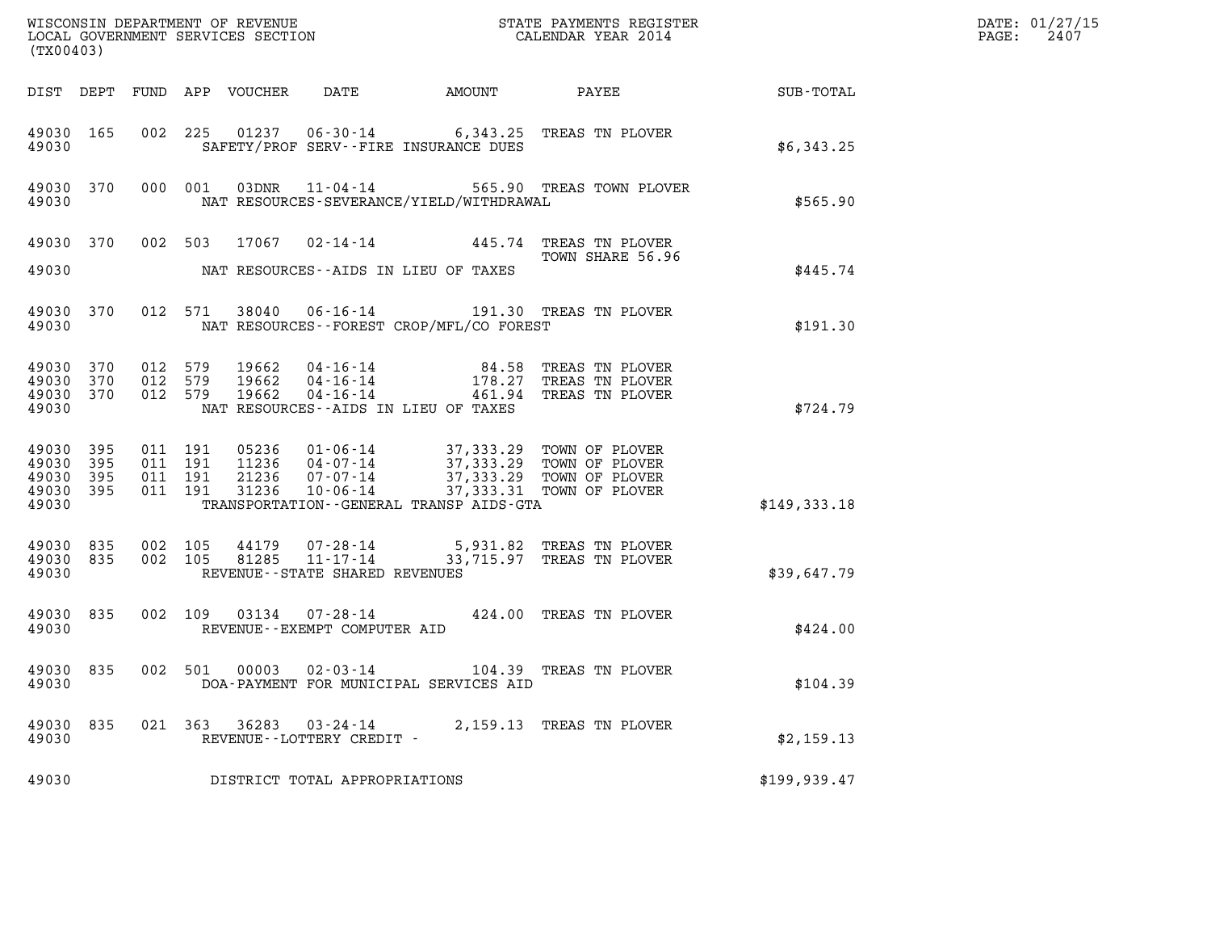|                                                           | (TX00403) |                                          |  |                         |                                                     |                                             |                                                                                                                                                                    |               | DATE: 01/27/15<br>2407<br>$\mathtt{PAGE:}$ |
|-----------------------------------------------------------|-----------|------------------------------------------|--|-------------------------|-----------------------------------------------------|---------------------------------------------|--------------------------------------------------------------------------------------------------------------------------------------------------------------------|---------------|--------------------------------------------|
|                                                           |           |                                          |  |                         |                                                     |                                             |                                                                                                                                                                    |               |                                            |
| 49030 165<br>49030                                        |           |                                          |  |                         |                                                     | SAFETY/PROF SERV--FIRE INSURANCE DUES       | 002 225 01237 06-30-14 6,343.25 TREAS TN PLOVER                                                                                                                    | \$6,343.25    |                                            |
| 49030                                                     |           |                                          |  |                         |                                                     | NAT RESOURCES-SEVERANCE/YIELD/WITHDRAWAL    | 49030 370 000 001 03DNR 11-04-14 565.90 TREAS TOWN PLOVER                                                                                                          | \$565.90      |                                            |
|                                                           |           |                                          |  |                         |                                                     |                                             | 49030 370 002 503 17067 02-14-14 445.74 TREAS TN PLOVER<br>TOWN SHARE 56.96                                                                                        |               |                                            |
| 49030                                                     |           |                                          |  |                         |                                                     | NAT RESOURCES--AIDS IN LIEU OF TAXES        |                                                                                                                                                                    | \$445.74      |                                            |
| 49030 370<br>49030                                        |           |                                          |  |                         |                                                     | NAT RESOURCES - - FOREST CROP/MFL/CO FOREST | 012 571 38040 06-16-14 191.30 TREAS TN PLOVER                                                                                                                      | \$191.30      |                                            |
| 49030 370<br>49030 370<br>49030 370<br>49030              |           | 012 579<br>012 579<br>012 579            |  | 19662<br>19662<br>19662 |                                                     | NAT RESOURCES--AIDS IN LIEU OF TAXES        | 04-16-14 84.58 TREAS TN PLOVER<br>04-16-14 178.27 TREAS TN PLOVER<br>04-16-14 461.94 TREAS TN PLOVER                                                               | \$724.79      |                                            |
| 49030 395<br>49030 395<br>49030 395<br>49030 395<br>49030 |           | 011 191<br>011 191<br>011 191<br>011 191 |  | 31236                   |                                                     | TRANSPORTATION--GENERAL TRANSP AIDS-GTA     | 05236 01-06-14 37,333.29 TOWN OF PLOVER<br>11236 04-07-14 37,333.29 TOWN OF PLOVER<br>21236 07-07-14 37,333.29 TOWN OF PLOVER<br>10-06-14 37,333.31 TOWN OF PLOVER | \$149,333.18  |                                            |
| 49030 835<br>49030 835<br>49030                           |           | 002 105<br>002 105                       |  | 81285                   | $11 - 17 - 14$<br>REVENUE - - STATE SHARED REVENUES |                                             | 44179  07-28-14  5,931.82  TREAS TN PLOVER<br>33,715.97 TREAS TN PLOVER                                                                                            | \$39,647.79   |                                            |
| 49030 835<br>49030                                        |           |                                          |  |                         | REVENUE--EXEMPT COMPUTER AID                        |                                             | 002 109 03134 07-28-14 424.00 TREAS TN PLOVER                                                                                                                      | \$424.00      |                                            |
| 49030 835<br>49030                                        |           | 002 501                                  |  |                         | $00003$ $02 - 03 - 14$                              | DOA-PAYMENT FOR MUNICIPAL SERVICES AID      | 104.39 TREAS TN PLOVER                                                                                                                                             | \$104.39      |                                            |
| 49030 835<br>49030                                        |           |                                          |  |                         | 021 363 36283 03-24-14<br>REVENUE--LOTTERY CREDIT - |                                             | 2,159.13 TREAS TN PLOVER                                                                                                                                           | \$2,159.13    |                                            |
| 49030                                                     |           |                                          |  |                         | DISTRICT TOTAL APPROPRIATIONS                       |                                             |                                                                                                                                                                    | \$199, 939.47 |                                            |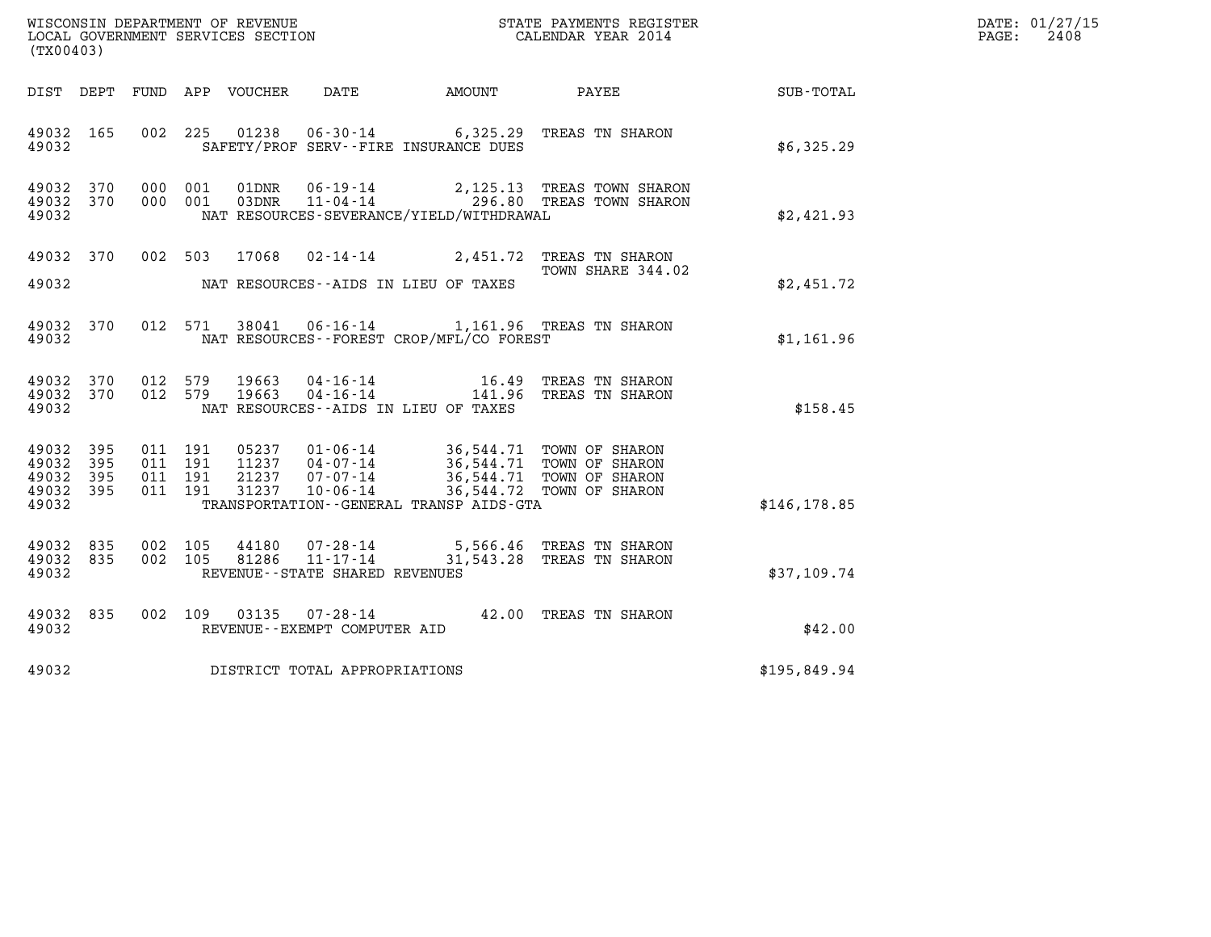| DATE: | 01/27/15 |
|-------|----------|
| PAGE: | 2408     |

| %WISCONSIN DEPARTMENT OF REVENUE $$\tt STATE$ PAYMENTS REGISTER LOCAL GOVERNMENT SERVICES SECTION $$\tt CALEINDAR$ YEAR 2014<br>(TX00403) |           |                                          |         |                |                                                                 |                                              |                                                                                                                                                                    |               | DATE: 01/27/15<br>2408<br>$\mathtt{PAGE:}$ |
|-------------------------------------------------------------------------------------------------------------------------------------------|-----------|------------------------------------------|---------|----------------|-----------------------------------------------------------------|----------------------------------------------|--------------------------------------------------------------------------------------------------------------------------------------------------------------------|---------------|--------------------------------------------|
|                                                                                                                                           |           |                                          |         |                |                                                                 |                                              |                                                                                                                                                                    | SUB-TOTAL     |                                            |
| 49032 165<br>49032                                                                                                                        |           |                                          |         |                |                                                                 | SAFETY/PROF SERV--FIRE INSURANCE DUES        | 002 225 01238 06-30-14 6,325.29 TREAS TN SHARON                                                                                                                    | \$6,325.29    |                                            |
| 49032 370<br>49032 370<br>49032                                                                                                           |           | 000 001<br>000 001                       |         |                |                                                                 | NAT RESOURCES-SEVERANCE/YIELD/WITHDRAWAL     | 01DNR  06-19-14  2,125.13 TREAS TOWN SHARON<br>03DNR  11-04-14  296.80 TREAS TOWN SHARON                                                                           | \$2,421.93    |                                            |
| 49032                                                                                                                                     |           |                                          |         |                |                                                                 | NAT RESOURCES--AIDS IN LIEU OF TAXES         | 49032 370 002 503 17068 02-14-14 2,451.72 TREAS TN SHARON<br>TOWN SHARE 344.02                                                                                     | \$2,451.72    |                                            |
| 49032                                                                                                                                     | 49032 370 |                                          | 012 571 |                |                                                                 | NAT RESOURCES--FOREST CROP/MFL/CO FOREST     | 38041  06-16-14  1,161.96  TREAS TN SHARON                                                                                                                         | \$1,161.96    |                                            |
| 49032                                                                                                                                     | 49032 370 | 49032 370 012 579<br>012 579             |         | 19663<br>19663 |                                                                 | NAT RESOURCES--AIDS IN LIEU OF TAXES         | 04-16-14 16.49 TREAS TN SHARON<br>04-16-14 141.96 TREAS TN SHARON                                                                                                  | \$158.45      |                                            |
| 49032 395<br>49032<br>49032 395<br>49032 395<br>49032                                                                                     | 395       | 011 191<br>011 191<br>011 191<br>011 191 |         |                | 31237 10-06-14                                                  | TRANSPORTATION - - GENERAL TRANSP AIDS - GTA | 05237  01-06-14  36,544.71  TOWN OF SHARON<br>11237  04-07-14  36,544.71  TOWN OF SHARON<br>21237  07-07-14  36,544.71  TOWN OF SHARON<br>36,544.72 TOWN OF SHARON | \$146, 178.85 |                                            |
| 49032 835<br>49032 835<br>49032                                                                                                           |           | 002 105<br>002 105                       |         | 44180<br>81286 | 07-28-14<br>$11 - 17 - 14$<br>REVENUE - - STATE SHARED REVENUES |                                              | 5,566.46   TREAS  TN  SHARON<br>31,543.28 TREAS TN SHARON                                                                                                          | \$37,109.74   |                                            |
| 49032 835<br>49032                                                                                                                        |           |                                          |         |                | REVENUE--EXEMPT COMPUTER AID                                    |                                              | 002 109 03135 07-28-14 42.00 TREAS TN SHARON                                                                                                                       | \$42.00       |                                            |
| 49032                                                                                                                                     |           |                                          |         |                | DISTRICT TOTAL APPROPRIATIONS                                   |                                              |                                                                                                                                                                    | \$195,849.94  |                                            |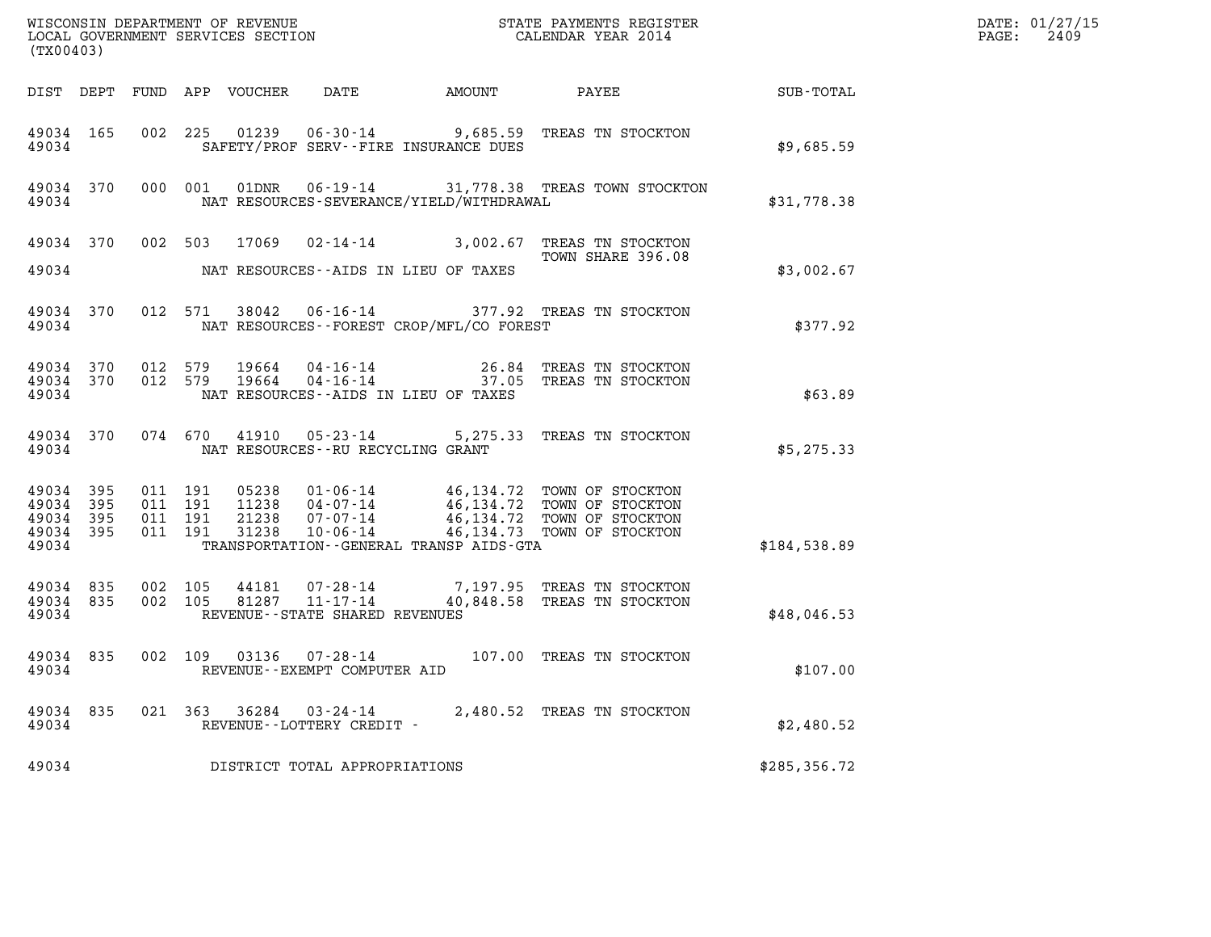|                                          | (TX00403)                              |                                          |  |  |                                                     |                                             |                                                                                                                                                                                              |               | DATE: 01/27/15<br>2409<br>$\mathtt{PAGE:}$ |
|------------------------------------------|----------------------------------------|------------------------------------------|--|--|-----------------------------------------------------|---------------------------------------------|----------------------------------------------------------------------------------------------------------------------------------------------------------------------------------------------|---------------|--------------------------------------------|
|                                          |                                        |                                          |  |  |                                                     |                                             |                                                                                                                                                                                              |               |                                            |
| 49034                                    | 49034 165                              |                                          |  |  |                                                     | SAFETY/PROF SERV--FIRE INSURANCE DUES       | 002 225 01239 06-30-14 9,685.59 TREAS TN STOCKTON                                                                                                                                            | \$9,685.59    |                                            |
| 49034                                    |                                        |                                          |  |  |                                                     | NAT RESOURCES-SEVERANCE/YIELD/WITHDRAWAL    | 49034 370 000 001 01DNR 06-19-14 31,778.38 TREAS TOWN STOCKTON                                                                                                                               | \$31,778.38   |                                            |
|                                          |                                        |                                          |  |  |                                                     |                                             | 49034 370 002 503 17069 02-14-14 3,002.67 TREAS TN STOCKTON<br>TOWN SHARE 396.08                                                                                                             |               |                                            |
|                                          |                                        |                                          |  |  |                                                     | 49034 NAT RESOURCES--AIDS IN LIEU OF TAXES  |                                                                                                                                                                                              | \$3,002.67    |                                            |
| 49034                                    | 49034 370                              |                                          |  |  |                                                     | NAT RESOURCES - - FOREST CROP/MFL/CO FOREST | 012 571 38042 06-16-14 377.92 TREAS TN STOCKTON                                                                                                                                              | \$377.92      |                                            |
| 49034                                    | 49034 370 012 579<br>49034 370 012 579 |                                          |  |  |                                                     | NAT RESOURCES--AIDS IN LIEU OF TAXES        | $19664$ $04 - 16 - 14$ $26.84$ TREAS TN STOCKTON<br>$19664$ $04 - 16 - 14$ $37.05$ TREAS TN STOCKTON                                                                                         | \$63.89       |                                            |
|                                          |                                        |                                          |  |  | 49034 NAT RESOURCES--RU RECYCLING GRANT             |                                             | 49034 370 074 670 41910 05-23-14 5,275.33 TREAS TN STOCKTON                                                                                                                                  | \$5,275.33    |                                            |
| 49034 395<br>49034<br>49034 395<br>49034 | 395<br>49034 395                       | 011 191<br>011 191<br>011 191<br>011 191 |  |  |                                                     | TRANSPORTATION--GENERAL TRANSP AIDS-GTA     | 05238  01-06-14  46,134.72  TOWN OF STOCKTON<br>11238  04-07-14  46,134.72  TOWN OF STOCKTON<br>21238  07-07-14  46,134.72  TOWN OF STOCKTON<br>31238  10-06-14  46,134.73  TOWN OF STOCKTON | \$184,538.89  |                                            |
| 49034 835<br>49034                       | 49034 835                              | 002 105<br>002 105                       |  |  | REVENUE--STATE SHARED REVENUES                      |                                             | 44181  07-28-14  7,197.95 TREAS TN STOCKTON<br>81287  11-17-14  40,848.58 TREAS TN STOCKTON                                                                                                  | \$48,046.53   |                                            |
| 49034                                    |                                        |                                          |  |  | REVENUE - - EXEMPT COMPUTER AID                     |                                             | 49034 835 002 109 03136 07-28-14 107.00 TREAS TN STOCKTON                                                                                                                                    | \$107.00      |                                            |
| 49034 835<br>49034                       |                                        |                                          |  |  | 021 363 36284 03-24-14<br>REVENUE--LOTTERY CREDIT - |                                             | 2,480.52 TREAS TN STOCKTON                                                                                                                                                                   | \$2,480.52    |                                            |
| 49034                                    |                                        |                                          |  |  | DISTRICT TOTAL APPROPRIATIONS                       |                                             |                                                                                                                                                                                              | \$285, 356.72 |                                            |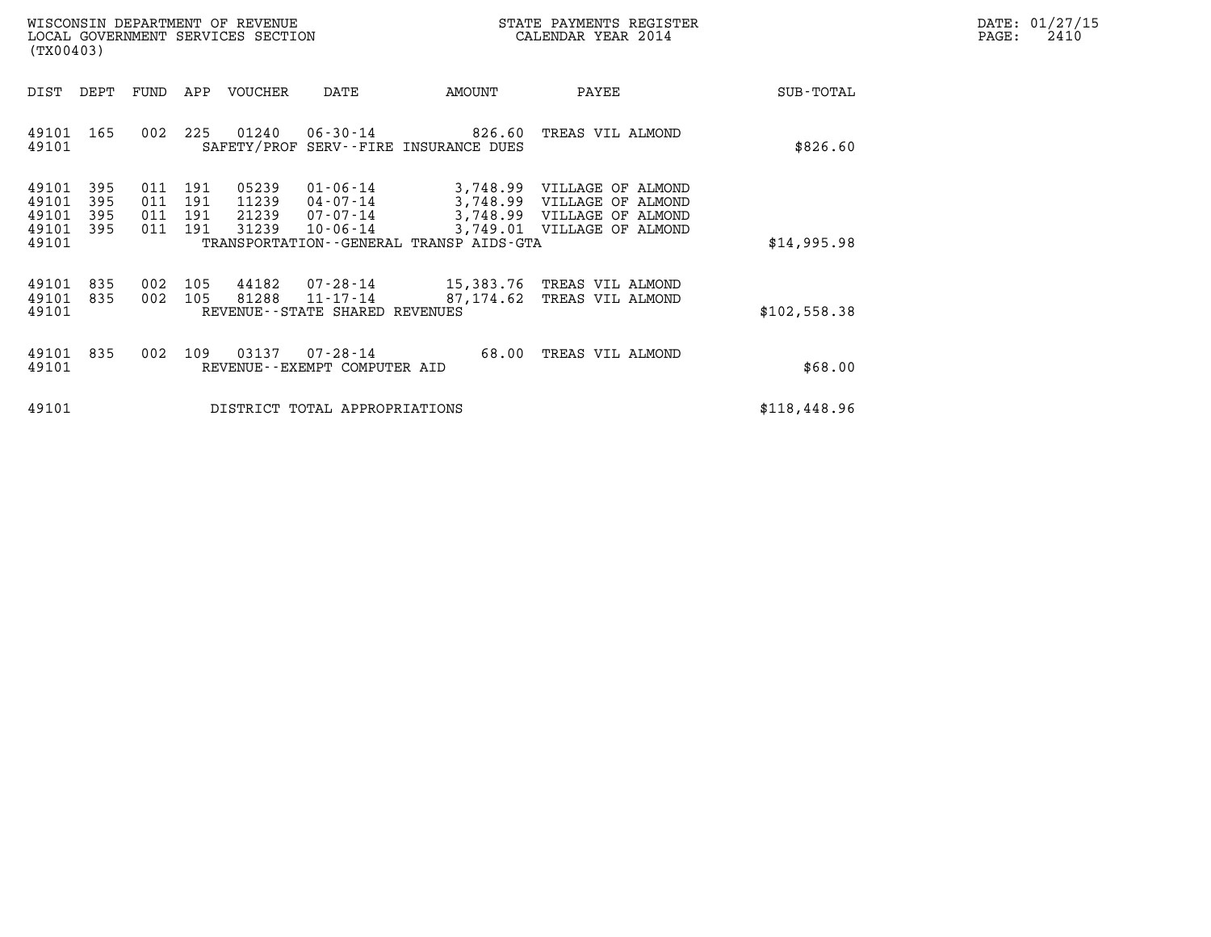| DATE: | 01/27/15 |
|-------|----------|
| PAGE: | 2410     |

| WISCONSIN DEPARTMENT OF REVENUE<br>LOCAL GOVERNMENT SERVICES SECTION<br>(TX00403)                                                                                 |                                                                                                                             | STATE PAYMENTS REGISTER<br>CALENDAR YEAR 2014                                                         | DATE: 01/27/15<br>$\mathtt{PAGE}$ :<br>2410 |
|-------------------------------------------------------------------------------------------------------------------------------------------------------------------|-----------------------------------------------------------------------------------------------------------------------------|-------------------------------------------------------------------------------------------------------|---------------------------------------------|
| DEPT<br>FUND<br>APP VOUCHER<br>DIST                                                                                                                               | AMOUNT<br>DATE                                                                                                              | PAYEE<br>SUB-TOTAL                                                                                    |                                             |
| 225<br>49101 165<br>002<br>49101                                                                                                                                  | 01240   06-30-14   826.60<br>SAFETY/PROF SERV--FIRE INSURANCE DUES                                                          | TREAS VIL ALMOND<br>\$826.60                                                                          |                                             |
| 49101<br>395<br>191<br>05239<br>011<br>011<br>49101<br>395<br>191<br>11239<br>49101<br>011<br>21239<br>395<br>191<br>31239<br>49101<br>395<br>011<br>191<br>49101 | 01-06-14<br>3,748.99 VILLAGE OF ALMOND<br>04-07-14<br>07-07-14<br>$10 - 06 - 14$<br>TRANSPORTATION--GENERAL TRANSP AIDS-GTA | 3,748.99 VILLAGE OF ALMOND<br>3,748.99 VILLAGE OF ALMOND<br>3,749.01 VILLAGE OF ALMOND<br>\$14,995.98 |                                             |
| 49101<br>835<br>105<br>44182<br>002<br>002 105<br>81288<br>49101<br>835<br>49101                                                                                  | 07-28-14 15,383.76 TREAS VIL ALMOND<br>11-17-14<br>87,174.62<br>REVENUE - - STATE SHARED REVENUES                           | TREAS VIL ALMOND<br>\$102,558.38                                                                      |                                             |
| 49101<br>835<br>109<br>03137<br>002<br>49101                                                                                                                      | 07-28-14<br>68.00<br>REVENUE--EXEMPT COMPUTER AID                                                                           | TREAS VIL ALMOND<br>\$68.00                                                                           |                                             |
| 49101                                                                                                                                                             | DISTRICT TOTAL APPROPRIATIONS                                                                                               | \$118,448.96                                                                                          |                                             |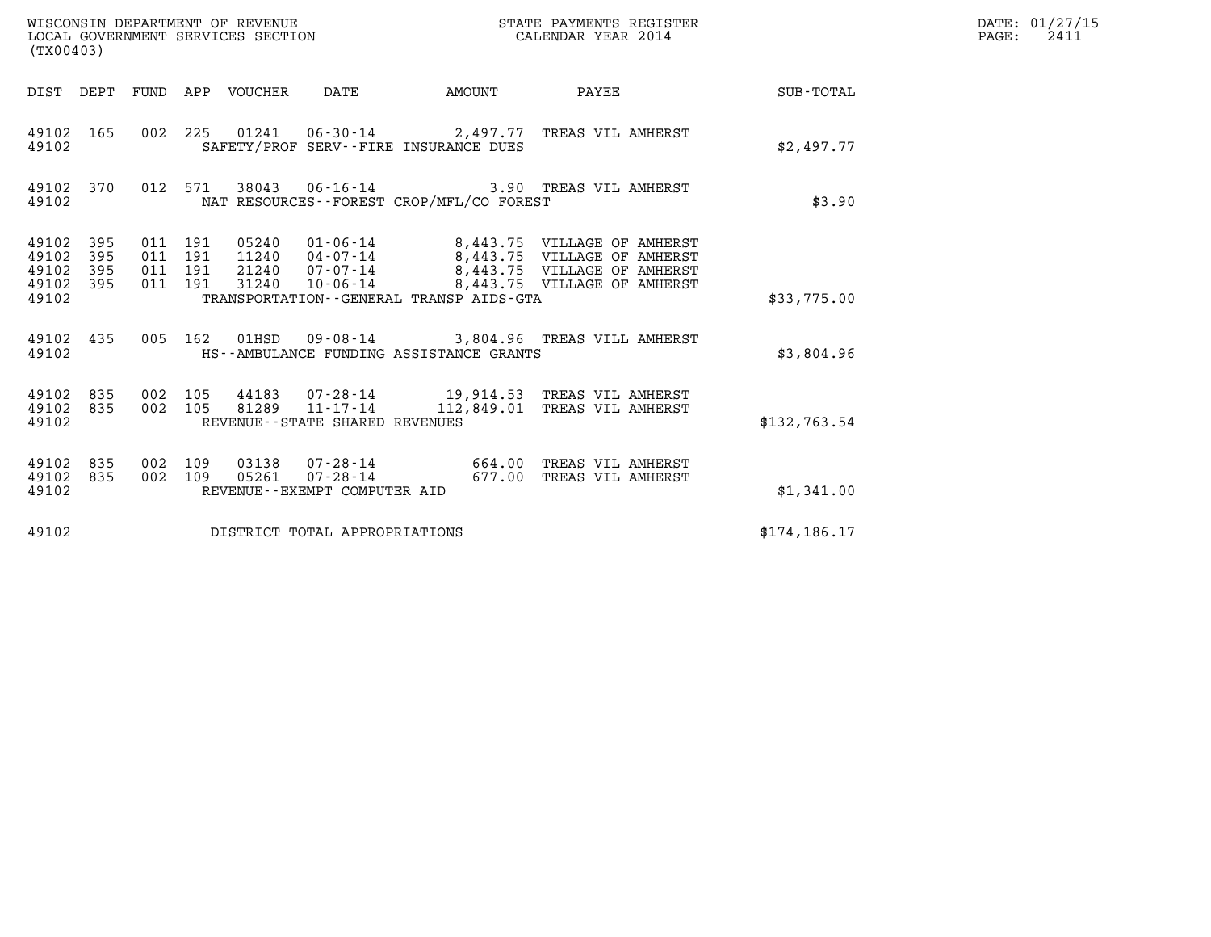| (TX00403)                                         |            |                                          |  | WISCONSIN DEPARTMENT OF REVENUE<br>LOCAL GOVERNMENT SERVICES SECTION |                                          | STATE PAYMENTS REGISTER<br>CALENDAR YEAR 2014 |                                                                                                                                                                                                  |               | $\mathtt{PAGE:}$ | DATE: 01/27/15<br>2411 |
|---------------------------------------------------|------------|------------------------------------------|--|----------------------------------------------------------------------|------------------------------------------|-----------------------------------------------|--------------------------------------------------------------------------------------------------------------------------------------------------------------------------------------------------|---------------|------------------|------------------------|
| DIST DEPT FUND APP VOUCHER DATE                   |            |                                          |  |                                                                      |                                          |                                               | AMOUNT PAYEE SUB-TOTAL                                                                                                                                                                           |               |                  |                        |
| 49102 165<br>49102                                |            |                                          |  |                                                                      | SAFETY/PROF SERV--FIRE INSURANCE DUES    |                                               | 002 225 01241 06-30-14 2,497.77 TREAS VIL AMHERST                                                                                                                                                | \$2,497.77    |                  |                        |
| 49102                                             |            |                                          |  |                                                                      | NAT RESOURCES--FOREST CROP/MFL/CO FOREST |                                               | 49102 370 012 571 38043 06-16-14 3.90 TREAS VIL AMHERST                                                                                                                                          | \$3.90        |                  |                        |
| 49102 395<br>49102<br>49102<br>49102 395<br>49102 | 395<br>395 | 011 191<br>011 191<br>011 191<br>011 191 |  |                                                                      | TRANSPORTATION--GENERAL TRANSP AIDS-GTA  |                                               | 05240  01-06-14  8,443.75  VILLAGE OF AMHERST<br>11240  04-07-14  8,443.75  VILLAGE OF AMHERST<br>21240  07-07-14  8,443.75  VILLAGE OF AMHERST<br>31240  10-06-14  8,443.75  VILLAGE OF AMHERST | \$33,775.00   |                  |                        |
| 49102 435<br>49102                                |            |                                          |  |                                                                      | HS--AMBULANCE FUNDING ASSISTANCE GRANTS  |                                               | 005 162 01HSD 09-08-14 3,804.96 TREAS VILL AMHERST                                                                                                                                               | \$3,804.96    |                  |                        |
| 49102 835<br>49102 835<br>49102                   |            | 002 105<br>002 105                       |  | REVENUE - - STATE SHARED REVENUES                                    |                                          |                                               | 44183  07-28-14  19,914.53  TREAS VIL AMHERST<br>81289  11-17-14  112,849.01  TREAS VIL AMHERST                                                                                                  | \$132,763.54  |                  |                        |
| 49102 835<br>49102 835<br>49102                   |            | 002 109<br>002 109                       |  | REVENUE--EXEMPT COMPUTER AID                                         |                                          |                                               | 03138  07-28-14  664.00  TREAS VIL AMHERST<br>05261  07-28-14  677.00 TREAS VIL AMHERST                                                                                                          | \$1,341.00    |                  |                        |
| 49102                                             |            |                                          |  | DISTRICT TOTAL APPROPRIATIONS                                        |                                          |                                               |                                                                                                                                                                                                  | \$174, 186.17 |                  |                        |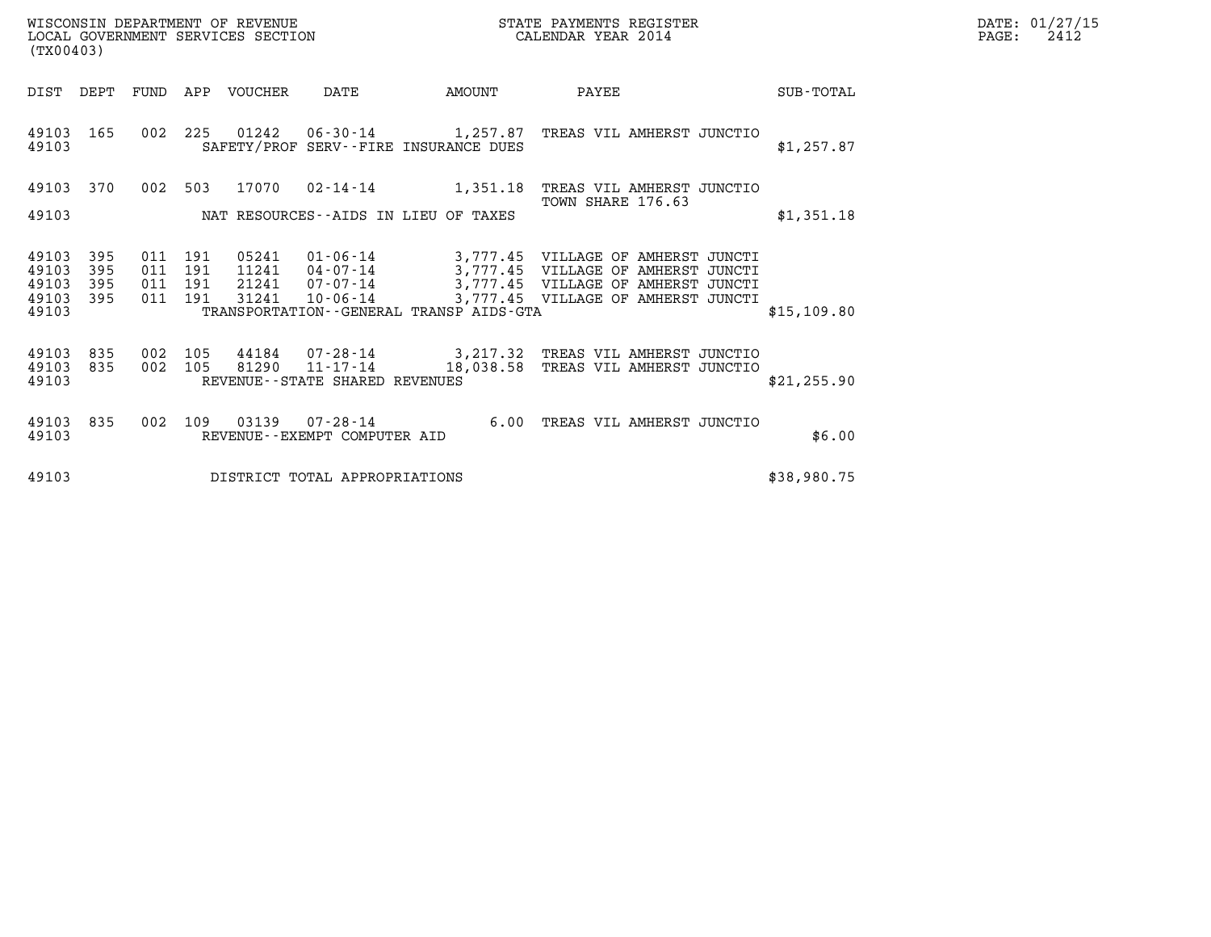| DATE: | 01/27/15 |
|-------|----------|
| PAGE: | 2412     |

| WISCONSIN DEPARTMENT OF REVENUE<br>LOCAL GOVERNMENT SERVICES SECTION<br>STATE PAYMENTS REGISTER<br>CALENDAR YEAR 2014<br>(TX00403) |                                                                                                                                               |                                          |  |                            |                                   |                                         |                                                                                                                                                                                                            |  |              | DATE: 01/27/15<br>$\mathtt{PAGE:}$<br>2412 |
|------------------------------------------------------------------------------------------------------------------------------------|-----------------------------------------------------------------------------------------------------------------------------------------------|------------------------------------------|--|----------------------------|-----------------------------------|-----------------------------------------|------------------------------------------------------------------------------------------------------------------------------------------------------------------------------------------------------------|--|--------------|--------------------------------------------|
|                                                                                                                                    |                                                                                                                                               |                                          |  | DIST DEPT FUND APP VOUCHER | DATE                              | AMOUNT                                  | PAYEE                                                                                                                                                                                                      |  | SUB-TOTAL    |                                            |
| 49103 165<br>49103                                                                                                                 |                                                                                                                                               |                                          |  |                            |                                   | SAFETY/PROF SERV--FIRE INSURANCE DUES   | 002 225 01242 06-30-14 1,257.87 TREAS VIL AMHERST JUNCTIO                                                                                                                                                  |  | \$1,257.87   |                                            |
| 49103                                                                                                                              | 49103 370<br>002 503<br>17070  02-14-14    1,351.18<br>TREAS VIL AMHERST JUNCTIO<br>TOWN SHARE 176.63<br>NAT RESOURCES--AIDS IN LIEU OF TAXES |                                          |  |                            |                                   |                                         |                                                                                                                                                                                                            |  | \$1,351.18   |                                            |
| 49103<br>49103<br>49103<br>49103<br>49103                                                                                          | 395<br>395<br>395<br>395                                                                                                                      | 011 191<br>011 191<br>011 191<br>011 191 |  | 31241                      | $10 - 06 - 14$                    | TRANSPORTATION--GENERAL TRANSP AIDS-GTA | 05241  01-06-14  3,777.45  VILLAGE OF AMHERST JUNCTI<br>11241  04-07-14  3,777.45  VILLAGE OF AMHERST JUNCTI<br>21241  07-07-14  3,777.45  VILLAGE OF AMHERST JUNCTI<br>3,777.45 VILLAGE OF AMHERST JUNCTI |  | \$15,109.80  |                                            |
| 49103<br>49103<br>49103                                                                                                            | 835<br>835                                                                                                                                    | 002 105<br>002 105                       |  | 81290                      | REVENUE - - STATE SHARED REVENUES |                                         | 44184  07-28-14  3,217.32  TREAS VIL AMHERST JUNCTIO<br>11-17-14 18,038.58 TREAS VIL AMHERST JUNCTIO                                                                                                       |  | \$21, 255.90 |                                            |
| 49103<br>49103                                                                                                                     | 835                                                                                                                                           | 002 109                                  |  |                            | REVENUE--EXEMPT COMPUTER AID      |                                         | 6.00 TREAS VIL AMHERST JUNCTIO                                                                                                                                                                             |  | \$6.00       |                                            |
| 49103                                                                                                                              |                                                                                                                                               |                                          |  |                            | DISTRICT TOTAL APPROPRIATIONS     |                                         |                                                                                                                                                                                                            |  | \$38,980.75  |                                            |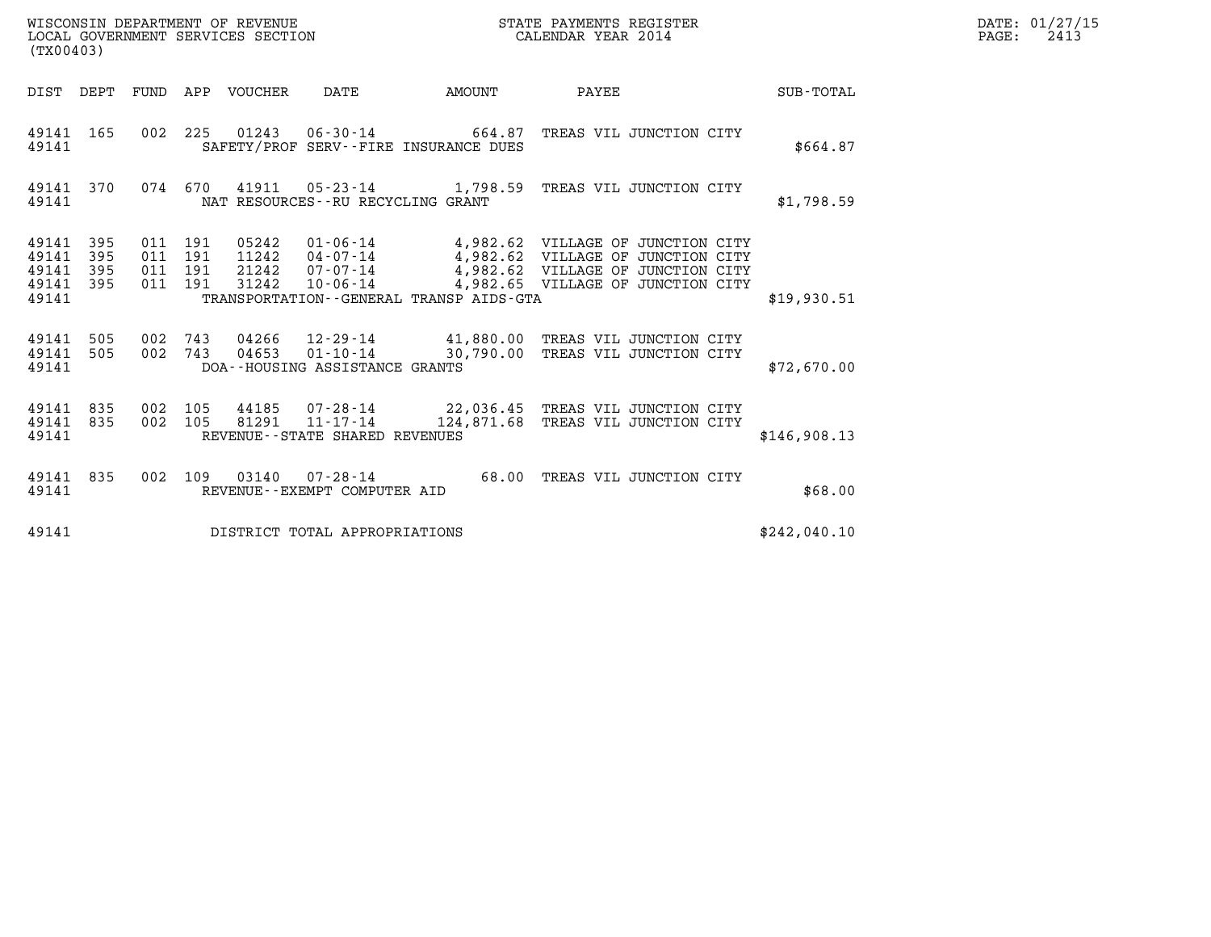| WISCONSIN DEPARTMENT OF REVENUE   | STATE PAYMENTS REGISTER | DATE: 01/27/15 |
|-----------------------------------|-------------------------|----------------|
| LOCAL GOVERNMENT SERVICES SECTION | CALENDAR YEAR 2014      | 2413<br>PAGE:  |

|                                           | WISCONSIN DEPARTMENT OF REVENUE<br>STATE PAYMENTS REGISTER<br>LOCAL GOVERNMENT SERVICES SECTION<br>CALENDAR YEAR 2014<br>(TX00403) |                          |                          |                                  |                                                                                                           |                          |                                                                                                                                                  |                  |  |
|-------------------------------------------|------------------------------------------------------------------------------------------------------------------------------------|--------------------------|--------------------------|----------------------------------|-----------------------------------------------------------------------------------------------------------|--------------------------|--------------------------------------------------------------------------------------------------------------------------------------------------|------------------|--|
| DIST                                      | DEPT                                                                                                                               | FUND                     | APP                      | <b>VOUCHER</b>                   | DATE                                                                                                      | <b>EXAMPLE TO AMOUNT</b> | PAYEE                                                                                                                                            | <b>SUB-TOTAL</b> |  |
| 49141<br>49141                            | 165                                                                                                                                | 002                      | 225                      | 01243                            | $06 - 30 - 14$ 664.87<br>SAFETY/PROF SERV--FIRE INSURANCE DUES                                            |                          | TREAS VIL JUNCTION CITY                                                                                                                          | \$664.87         |  |
| 49141<br>49141                            | 370                                                                                                                                | 074                      | 670                      | 41911                            | NAT RESOURCES - - RU RECYCLING GRANT                                                                      |                          | 05-23-14 1,798.59 TREAS VIL JUNCTION CITY                                                                                                        | \$1,798.59       |  |
| 49141<br>49141<br>49141<br>49141<br>49141 | 395<br>395<br>395<br>395                                                                                                           | 011<br>011<br>011<br>011 | 191<br>191<br>191<br>191 | 05242<br>11242<br>21242<br>31242 | $01 - 06 - 14$<br>$04 - 07 - 14$<br>07-07-14<br>$10 - 06 - 14$<br>TRANSPORTATION--GENERAL TRANSP AIDS-GTA |                          | 4,982.62 VILLAGE OF JUNCTION CITY<br>4,982.62 VILLAGE OF JUNCTION CITY<br>4,982.62 VILLAGE OF JUNCTION CITY<br>4,982.65 VILLAGE OF JUNCTION CITY | \$19,930.51      |  |
| 49141<br>49141<br>49141                   | 505<br>505                                                                                                                         | 002<br>002               | 743<br>743               | 04266<br>04653                   | $01 - 10 - 14$<br>DOA--HOUSING ASSISTANCE GRANTS                                                          |                          | 12-29-14 41,880.00 TREAS VIL JUNCTION CITY<br>30,790.00 TREAS VIL JUNCTION CITY                                                                  | \$72,670.00      |  |
| 49141<br>49141<br>49141                   | 835<br>835                                                                                                                         | 002<br>002               | 105<br>105               | 44185<br>81291                   | 07-28-14<br>$11 - 17 - 14$<br>REVENUE - - STATE SHARED REVENUES                                           |                          | 22,036.45 TREAS VIL JUNCTION CITY<br>124,871.68 TREAS VIL JUNCTION CITY                                                                          | \$146,908.13     |  |
| 49141<br>49141                            | 835                                                                                                                                | 002                      | 109                      | 03140                            | $07 - 28 - 14$<br>REVENUE - - EXEMPT COMPUTER AID                                                         | 68.00                    | TREAS VIL JUNCTION CITY                                                                                                                          | \$68.00          |  |
| 49141                                     |                                                                                                                                    |                          |                          |                                  | DISTRICT TOTAL APPROPRIATIONS                                                                             |                          |                                                                                                                                                  | \$242,040.10     |  |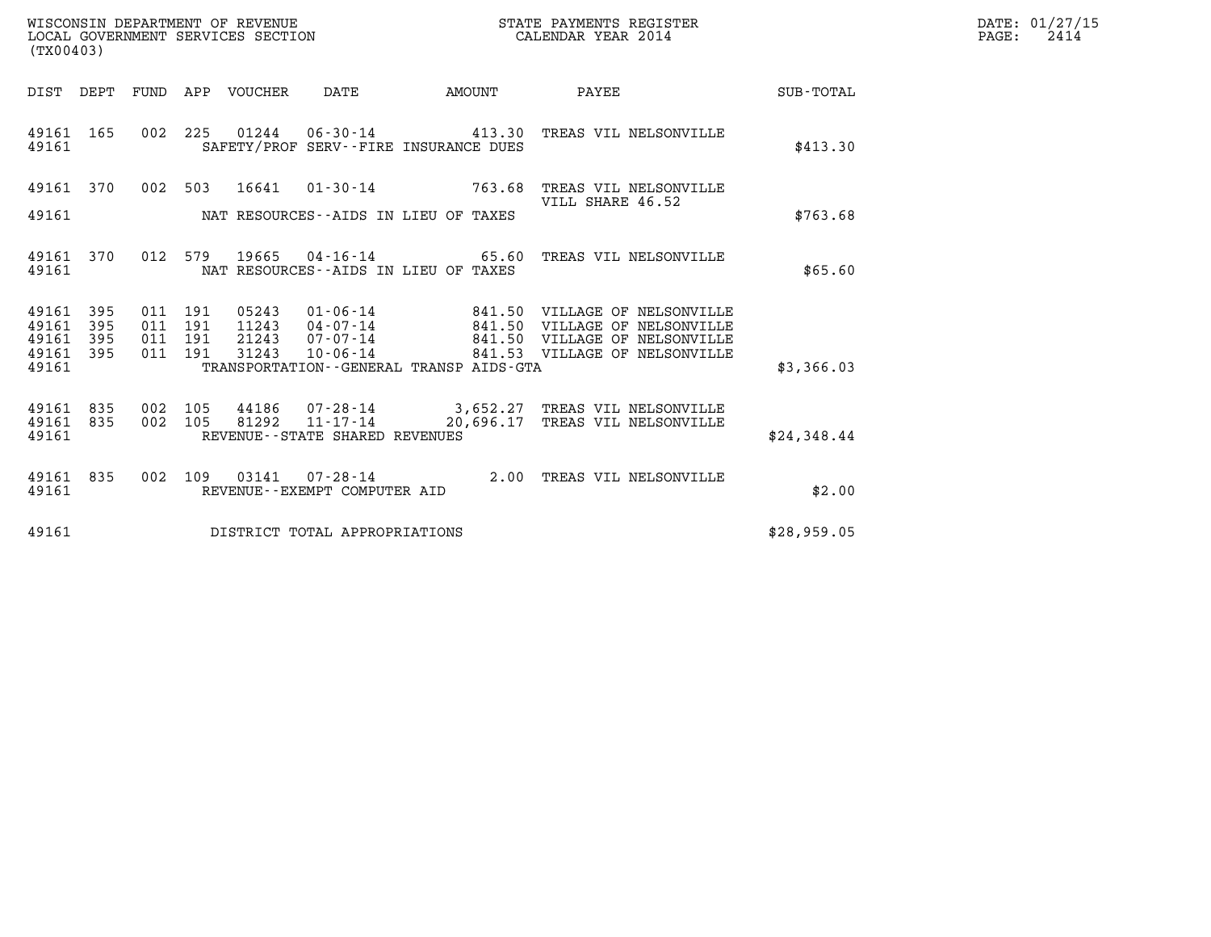| WISCONSIN DEPARTMENT OF REVENUE<br>LOCAL GOVERNMENT SERVICES SECTION | STATE PAYMENTS REGISTER<br>CALENDAR YEAR 2014 | DATE: 01/27/15<br>2414<br>PAGE: |
|----------------------------------------------------------------------|-----------------------------------------------|---------------------------------|

|                         | WISCONSIN DEPARTMENT OF REVENUE<br>STATE PAYMENTS REGISTER<br>LOCAL GOVERNMENT SERVICES SECTION<br>CALENDAR YEAR 2014<br>(TX00403) |            |            |                |                                                                       |                                                                |                                                         |                  |  |  |
|-------------------------|------------------------------------------------------------------------------------------------------------------------------------|------------|------------|----------------|-----------------------------------------------------------------------|----------------------------------------------------------------|---------------------------------------------------------|------------------|--|--|
| DIST                    | DEPT                                                                                                                               | FUND       | APP        | VOUCHER        | DATE                                                                  | AMOUNT                                                         | PAYEE                                                   | <b>SUB-TOTAL</b> |  |  |
| 49161<br>49161          | 165                                                                                                                                | 002        | 225        | 01244          | $06 - 30 - 14$                                                        | 413.30<br>SAFETY/PROF SERV--FIRE INSURANCE DUES                | TREAS VIL NELSONVILLE                                   | \$413.30         |  |  |
| 49161                   | 370                                                                                                                                | 002        | 503        | 16641          | $01 - 30 - 14$                                                        | 763.68                                                         | TREAS VIL NELSONVILLE<br>VILL SHARE 46.52               |                  |  |  |
| 49161                   |                                                                                                                                    |            |            |                |                                                                       | NAT RESOURCES--AIDS IN LIEU OF TAXES                           |                                                         | \$763.68         |  |  |
| 49161<br>49161          | 370                                                                                                                                | 012        | 579        | 19665          |                                                                       | $04 - 16 - 14$ 65.60<br>NAT RESOURCES -- AIDS IN LIEU OF TAXES | TREAS VIL NELSONVILLE                                   | \$65.60          |  |  |
| 49161<br>49161          | 395<br>395                                                                                                                         | 011<br>011 | 191<br>191 | 05243<br>11243 | $01 - 06 - 14$<br>04-07-14                                            | 841.50<br>841.50                                               | VILLAGE OF NELSONVILLE<br>VILLAGE OF NELSONVILLE        |                  |  |  |
| 49161<br>49161          | 395<br>395                                                                                                                         | 011<br>011 | 191<br>191 | 21243<br>31243 | 07-07-14<br>$10 - 06 - 14$                                            | 841.50                                                         | VILLAGE OF NELSONVILLE<br>841.53 VILLAGE OF NELSONVILLE |                  |  |  |
| 49161                   |                                                                                                                                    |            |            |                |                                                                       | TRANSPORTATION - - GENERAL TRANSP AIDS - GTA                   |                                                         | \$3,366.03       |  |  |
| 49161<br>49161<br>49161 | 835<br>835                                                                                                                         | 002<br>002 | 105<br>105 | 44186<br>81292 | $07 - 28 - 14$<br>$11 - 17 - 14$<br>REVENUE - - STATE SHARED REVENUES | 3,652.27<br>20,696.17                                          | TREAS VIL NELSONVILLE<br>TREAS VIL NELSONVILLE          | \$24,348.44      |  |  |
|                         |                                                                                                                                    |            |            |                |                                                                       |                                                                |                                                         |                  |  |  |
| 49161<br>49161          | 835                                                                                                                                | 002        | 109        | 03141          | $07 - 28 - 14$<br>REVENUE - - EXEMPT COMPUTER AID                     | 2.00                                                           | TREAS VIL NELSONVILLE                                   | \$2.00           |  |  |
| 49161                   |                                                                                                                                    |            |            |                | DISTRICT TOTAL APPROPRIATIONS                                         |                                                                |                                                         | \$28,959.05      |  |  |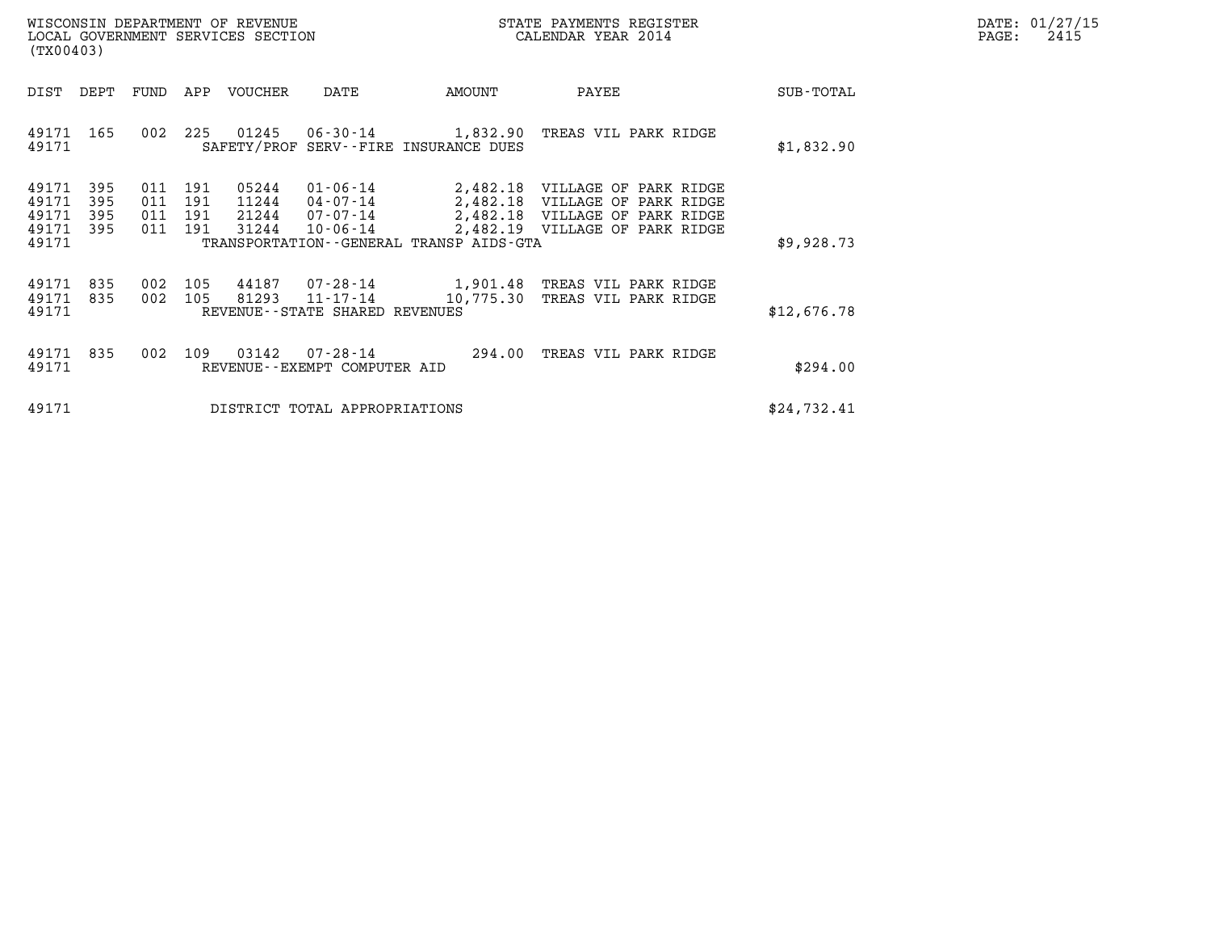| WISCONSIN DEPARTMENT OF REVENUE   | STATE PAYMENTS REGISTER | DATE: 01/27/15 |
|-----------------------------------|-------------------------|----------------|
| LOCAL GOVERNMENT SERVICES SECTION | CALENDAR YEAR 2014      | 2415<br>PAGE:  |

| WISCONSIN DEPARTMENT OF REVENUE<br>LOCAL GOVERNMENT SERVICES SECTION<br>(TX00403)                                                                                                                                   |                                                            | STATE PAYMENTS REGISTER<br>CALENDAR YEAR 2014                                                                               |             | DATE: 01/27/15<br>$\mathtt{PAGE:}$<br>2415 |
|---------------------------------------------------------------------------------------------------------------------------------------------------------------------------------------------------------------------|------------------------------------------------------------|-----------------------------------------------------------------------------------------------------------------------------|-------------|--------------------------------------------|
| DIST DEPT<br>FUND APP VOUCHER<br>DATE                                                                                                                                                                               | AMOUNT                                                     | PAYEE                                                                                                                       | SUB-TOTAL   |                                            |
| 225 01245<br>49171 165<br>002<br>49171                                                                                                                                                                              | 06-30-14 1,832.90<br>SAFETY/PROF SERV--FIRE INSURANCE DUES | TREAS VIL PARK RIDGE                                                                                                        | \$1,832.90  |                                            |
| 49171<br>05244<br>$01 - 06 - 14$<br>395<br>191<br>011<br>395<br>49171<br>011<br>191<br>11244<br>04-07-14<br>49171<br>395<br>011<br>191 21244<br>07-07-14<br>49171<br>31244<br>- 395<br>011 191<br>10-06-14<br>49171 | 2,482.18<br>TRANSPORTATION--GENERAL TRANSP AIDS-GTA        | 2,482.18 VILLAGE OF PARK RIDGE<br>VILLAGE OF PARK RIDGE<br>2,482.18 VILLAGE OF PARK RIDGE<br>2,482.19 VILLAGE OF PARK RIDGE | \$9,928.73  |                                            |
| 49171<br>835<br>002<br>81293<br>49171<br>835<br>002 105<br>11-17-14<br>49171<br>REVENUE--STATE SHARED REVENUES                                                                                                      | 105 44187 07-28-14 1,901.48<br>10,775.30                   | TREAS VIL PARK RIDGE<br>TREAS VIL PARK RIDGE                                                                                | \$12,676.78 |                                            |
| 49171 835<br>002<br>109  03142<br>49171<br>REVENUE--EXEMPT COMPUTER AID                                                                                                                                             | 07-28-14 294.00                                            | TREAS VIL PARK RIDGE                                                                                                        | \$294.00    |                                            |
| 49171<br>DISTRICT TOTAL APPROPRIATIONS                                                                                                                                                                              |                                                            |                                                                                                                             | \$24,732.41 |                                            |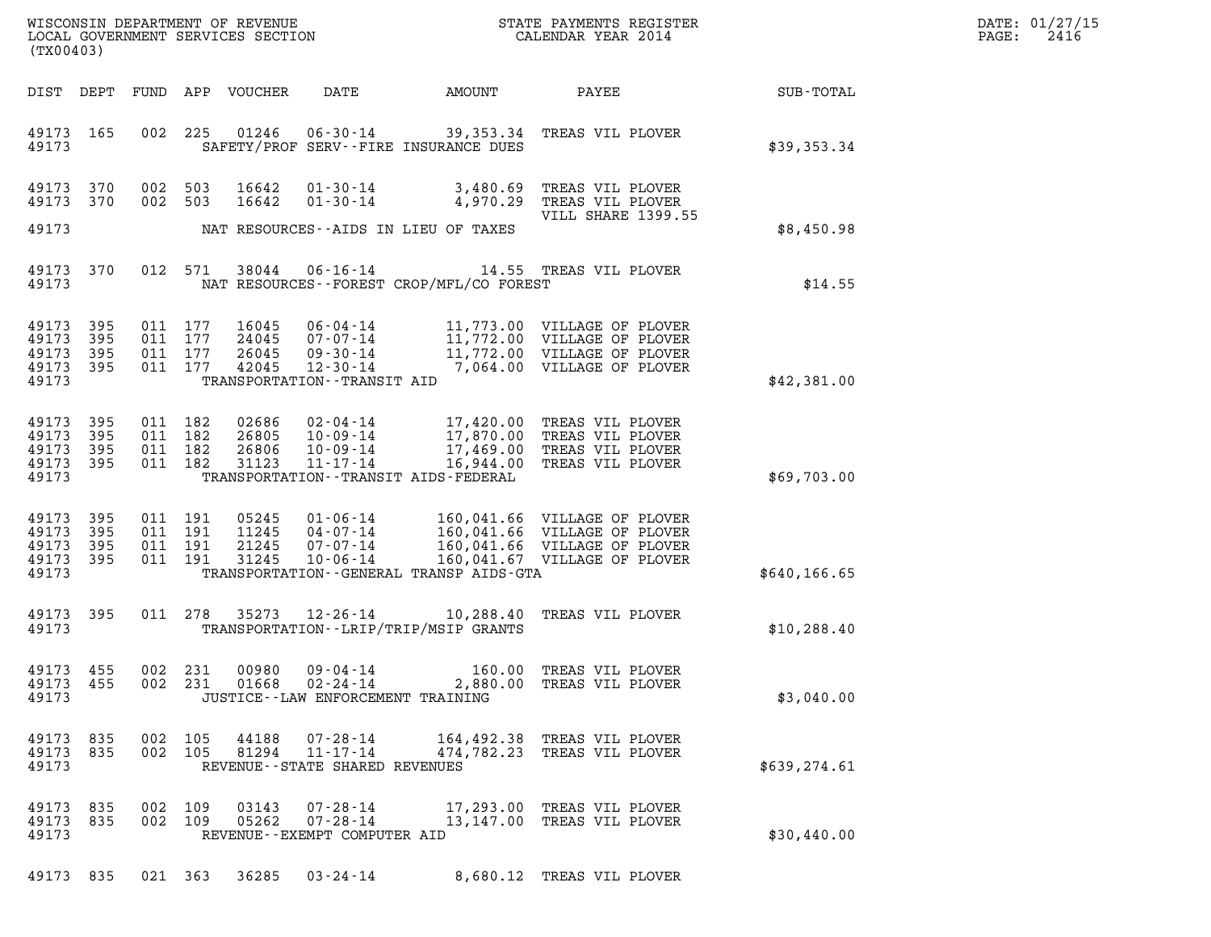| DATE: | 01/27/15 |
|-------|----------|
| PAGE: | 2416     |

| (TX00403)                                         |                   |                                          |     |                                  |                                                                              |                                           |                                                                                                                                                             |               | DATE: 01/27/15<br>2416<br>$\mathtt{PAGE}$ : |
|---------------------------------------------------|-------------------|------------------------------------------|-----|----------------------------------|------------------------------------------------------------------------------|-------------------------------------------|-------------------------------------------------------------------------------------------------------------------------------------------------------------|---------------|---------------------------------------------|
| DIST DEPT                                         |                   |                                          |     | FUND APP VOUCHER                 | DATE                                                                         | AMOUNT                                    | PAYEE                                                                                                                                                       | SUB-TOTAL     |                                             |
| 49173 165<br>49173                                |                   |                                          |     |                                  |                                                                              | SAFETY/PROF SERV--FIRE INSURANCE DUES     | 002 225 01246 06-30-14 39,353.34 TREAS VIL PLOVER                                                                                                           | \$39,353.34   |                                             |
| 49173 370<br>49173 370                            |                   | 002 503<br>002 503                       |     | 16642<br>16642                   |                                                                              | NAT RESOURCES--AIDS IN LIEU OF TAXES      | 01-30-14 3,480.69 TREAS VIL PLOVER<br>01-30-14 4,970.29 TREAS VIL PLOVER<br>VILL SHARE 1399.55                                                              |               |                                             |
| 49173                                             |                   |                                          |     |                                  |                                                                              |                                           |                                                                                                                                                             | \$8,450.98    |                                             |
| 49173                                             | 49173 370         |                                          |     | 012 571 38044                    |                                                                              | NAT RESOURCES--FOREST CROP/MFL/CO FOREST  | 06-16-14 14.55 TREAS VIL PLOVER                                                                                                                             | \$14.55       |                                             |
| 49173 395<br>49173<br>49173<br>49173 395<br>49173 | 395<br>395        | 011 177<br>011 177<br>011 177<br>011 177 |     | 16045<br>24045<br>26045<br>42045 | TRANSPORTATION - - TRANSIT AID                                               |                                           | 06-04-14 11,773.00 VILLAGE OF PLOVER<br>07-07-14 11,772.00 VILLAGE OF PLOVER<br>09-30-14 11,772.00 VILLAGE OF PLOVER<br>12-30-14 7,064.00 VILLAGE OF PLOVER | \$42,381.00   |                                             |
| 49173<br>49173<br>49173<br>49173 395<br>49173     | 395<br>395<br>395 | 011 182<br>011 182<br>011 182<br>011 182 |     | 02686<br>26805<br>26806<br>31123 | $11 - 17 - 14$                                                               | TRANSPORTATION - - TRANSIT AIDS - FEDERAL | 02-04-14 17,420.00 TREAS VIL PLOVER<br>10-09-14 17,870.00 TREAS VIL PLOVER<br>10-09-14 17,469.00 TREAS VIL PLOVER<br>16,944.00 TREAS VIL PLOVER             | \$69,703.00   |                                             |
| 49173 395<br>49173<br>49173<br>49173 395<br>49173 | 395<br>395        | 011 191<br>011 191<br>011 191<br>011 191 |     | 05245<br>11245<br>21245<br>31245 | $01 - 06 - 14$<br>04 - 07 - 14<br>07 - 07 - 14<br>07-07-14<br>$10 - 06 - 14$ | TRANSPORTATION--GENERAL TRANSP AIDS-GTA   | 160,041.66 VILLAGE OF PLOVER<br>160,041.66 VILLAGE OF PLOVER<br>160,041.66 VILLAGE OF PLOVER<br>160,041.67 VILLAGE OF PLOVER                                | \$640, 166.65 |                                             |
| 49173 395<br>49173                                |                   | 011 278                                  |     | 35273                            |                                                                              | TRANSPORTATION - - LRIP/TRIP/MSIP GRANTS  | 12-26-14 10,288.40 TREAS VIL PLOVER                                                                                                                         | \$10, 288.40  |                                             |
| 49173 455<br>49173 455<br>49173                   |                   | 002<br>002 231                           | 231 | 00980<br>01668                   | $09 - 04 - 14$<br>02-24-14<br>JUSTICE - - LAW ENFORCEMENT TRAINING           |                                           | 160.00 TREAS VIL PLOVER<br>2,880.00 TREAS VIL PLOVER                                                                                                        | \$3,040.00    |                                             |
| 49173 835<br>49173<br>49173                       | 835               | 002 105<br>002 105                       |     | 44188<br>81294                   | $07 - 28 - 14$<br>$11 - 17 - 14$<br>REVENUE - - STATE SHARED REVENUES        | 474,782.23                                | 164,492.38 TREAS VIL PLOVER<br>TREAS VIL PLOVER                                                                                                             | \$639, 274.61 |                                             |
| 49173 835<br>49173 835<br>49173                   |                   | 002 109<br>002 109                       |     | 03143<br>05262                   | $07 - 28 - 14$<br>$07 - 28 - 14$<br>REVENUE - - EXEMPT COMPUTER AID          |                                           | 17,293.00 TREAS VIL PLOVER<br>13,147.00 TREAS VIL PLOVER                                                                                                    | \$30,440.00   |                                             |

49173 835 021 363 36285 03-24-14 8,680.12 TREAS VIL PLOVER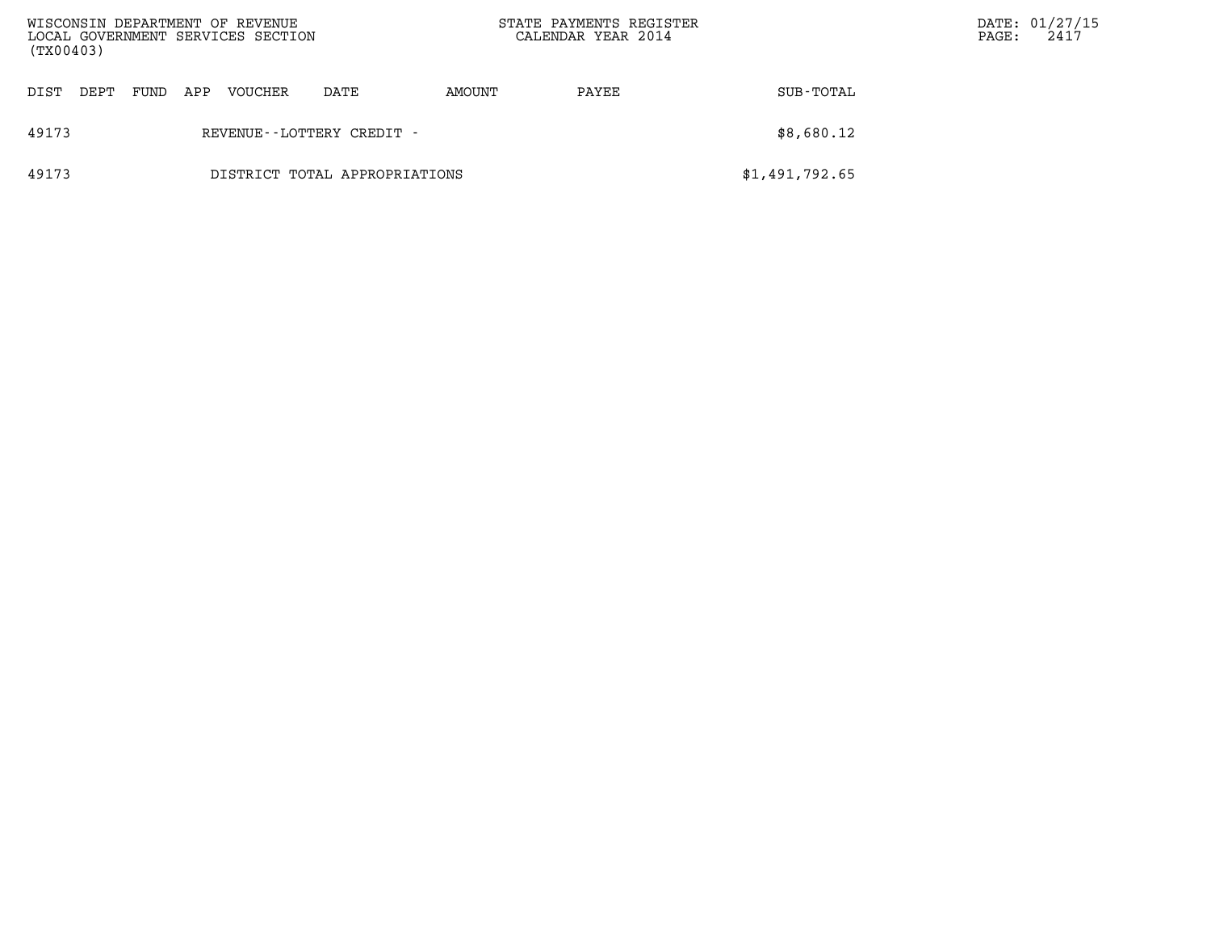| WISCONSIN DEPARTMENT OF REVENUE<br>LOCAL GOVERNMENT SERVICES SECTION<br>(TX00403) |      |     |         |                               | STATE PAYMENTS REGISTER<br>CALENDAR YEAR 2014 |       |                | $\mathtt{PAGE}$ : | DATE: 01/27/15<br>2417 |
|-----------------------------------------------------------------------------------|------|-----|---------|-------------------------------|-----------------------------------------------|-------|----------------|-------------------|------------------------|
| DIST<br>DEPT                                                                      | FUND | APP | VOUCHER | DATE                          | AMOUNT                                        | PAYEE | SUB-TOTAL      |                   |                        |
| 49173                                                                             |      |     |         | REVENUE--LOTTERY CREDIT -     |                                               |       | \$8,680.12     |                   |                        |
| 49173                                                                             |      |     |         | DISTRICT TOTAL APPROPRIATIONS |                                               |       | \$1,491,792.65 |                   |                        |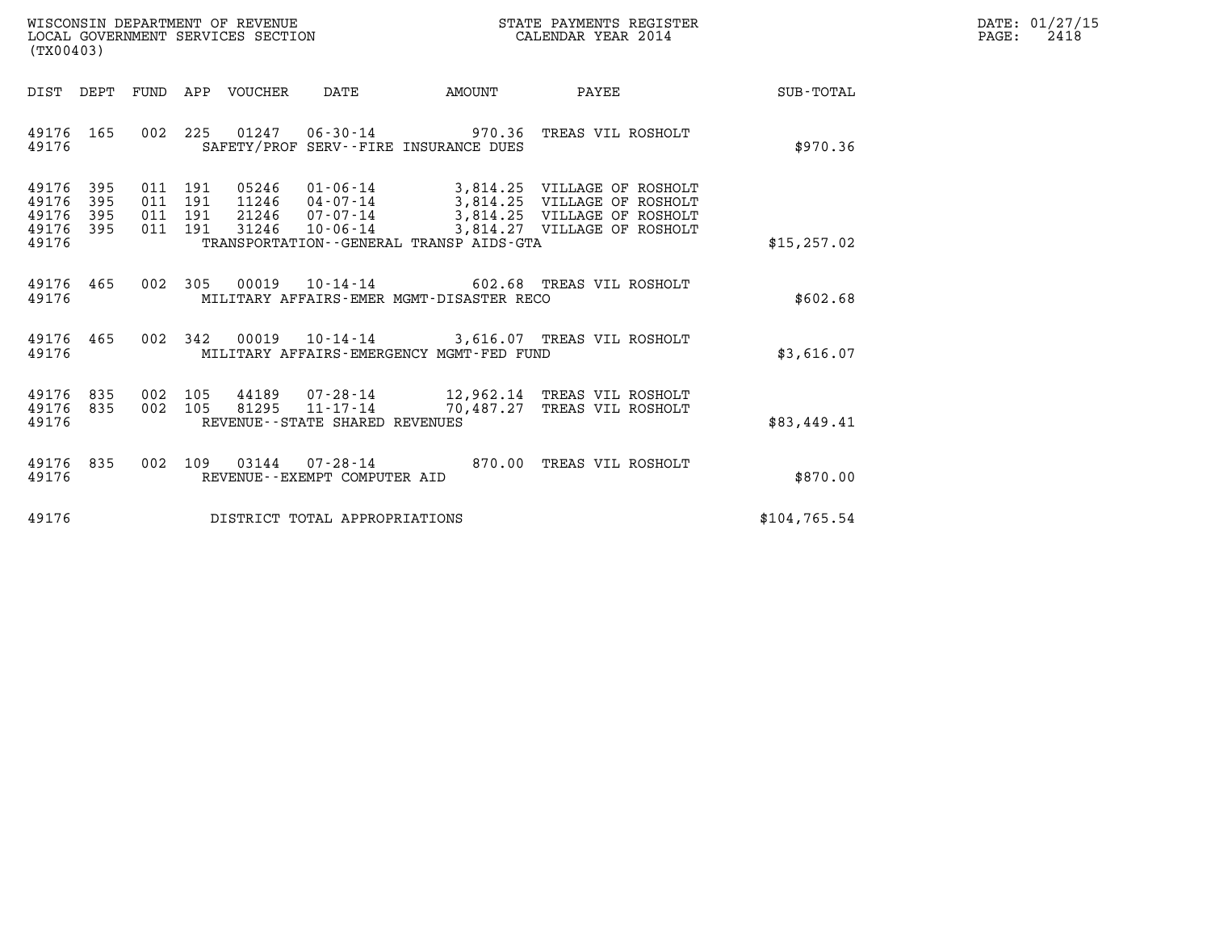| WISCONSIN DEPARTMENT OF REVENUE<br>LOCAL GOVERNMENT SERVICES SECTION | STATE PAYMENTS REGISTER<br>CALENDAR YEAR 2014 | DATE: 01/27/15<br>2418<br>PAGE: |
|----------------------------------------------------------------------|-----------------------------------------------|---------------------------------|

| (TX00403)                                                             |                                                                                                                                                                                                                                                                                                                       |                  |
|-----------------------------------------------------------------------|-----------------------------------------------------------------------------------------------------------------------------------------------------------------------------------------------------------------------------------------------------------------------------------------------------------------------|------------------|
| DIST<br>DEPT                                                          | FUND<br>APP<br>VOUCHER<br>DATE<br>AMOUNT<br>PAYEE                                                                                                                                                                                                                                                                     | <b>SUB-TOTAL</b> |
| 165<br>49176<br>49176                                                 | 002<br>225<br>01247 06-30-14 970.36<br>TREAS VIL ROSHOLT<br>SAFETY/PROF SERV--FIRE INSURANCE DUES                                                                                                                                                                                                                     | \$970.36         |
| 49176<br>395<br>49176<br>395<br>49176<br>395<br>49176<br>395<br>49176 | 05246<br>011<br>191<br>01-06-14<br>3,814.25 VILLAGE OF ROSHOLT<br>191<br>11246<br>3,814.25 VILLAGE OF ROSHOLT<br>011<br>04-07-14<br>3,814.25 VILLAGE OF ROSHOLT<br>011<br>191<br>21246<br>07-07-14<br>3,814.27 VILLAGE OF ROSHOLT<br>011<br>191<br>31246<br>$10 - 06 - 14$<br>TRANSPORTATION--GENERAL TRANSP AIDS-GTA | \$15, 257.02     |
| 49176<br>465<br>49176                                                 | 002<br>305<br>00019<br>$10 - 14 - 14$ 602.68<br>TREAS VIL ROSHOLT<br>MILITARY AFFAIRS-EMER MGMT-DISASTER RECO                                                                                                                                                                                                         | \$602.68         |
| 49176<br>465<br>49176                                                 | 002<br>342<br>00019<br>10-14-14 3,616.07 TREAS VIL ROSHOLT<br>MILITARY AFFAIRS-EMERGENCY MGMT-FED FUND                                                                                                                                                                                                                | \$3,616.07       |
| 49176<br>835<br>49176<br>835<br>49176                                 | 002<br>105<br>44189  07-28-14  12,962.14  TREAS VIL ROSHOLT<br>002<br>105<br>81295<br>$11 - 17 - 14$<br>70,487.27 TREAS VIL ROSHOLT<br>REVENUE - - STATE SHARED REVENUES                                                                                                                                              | \$83,449.41      |
| 49176<br>835<br>49176                                                 | 002<br>109<br>03144<br>870.00<br>$07 - 28 - 14$<br>TREAS VIL ROSHOLT<br>REVENUE--EXEMPT COMPUTER AID                                                                                                                                                                                                                  | \$870.00         |
| 49176                                                                 | DISTRICT TOTAL APPROPRIATIONS                                                                                                                                                                                                                                                                                         | \$104, 765.54    |

(TX00403)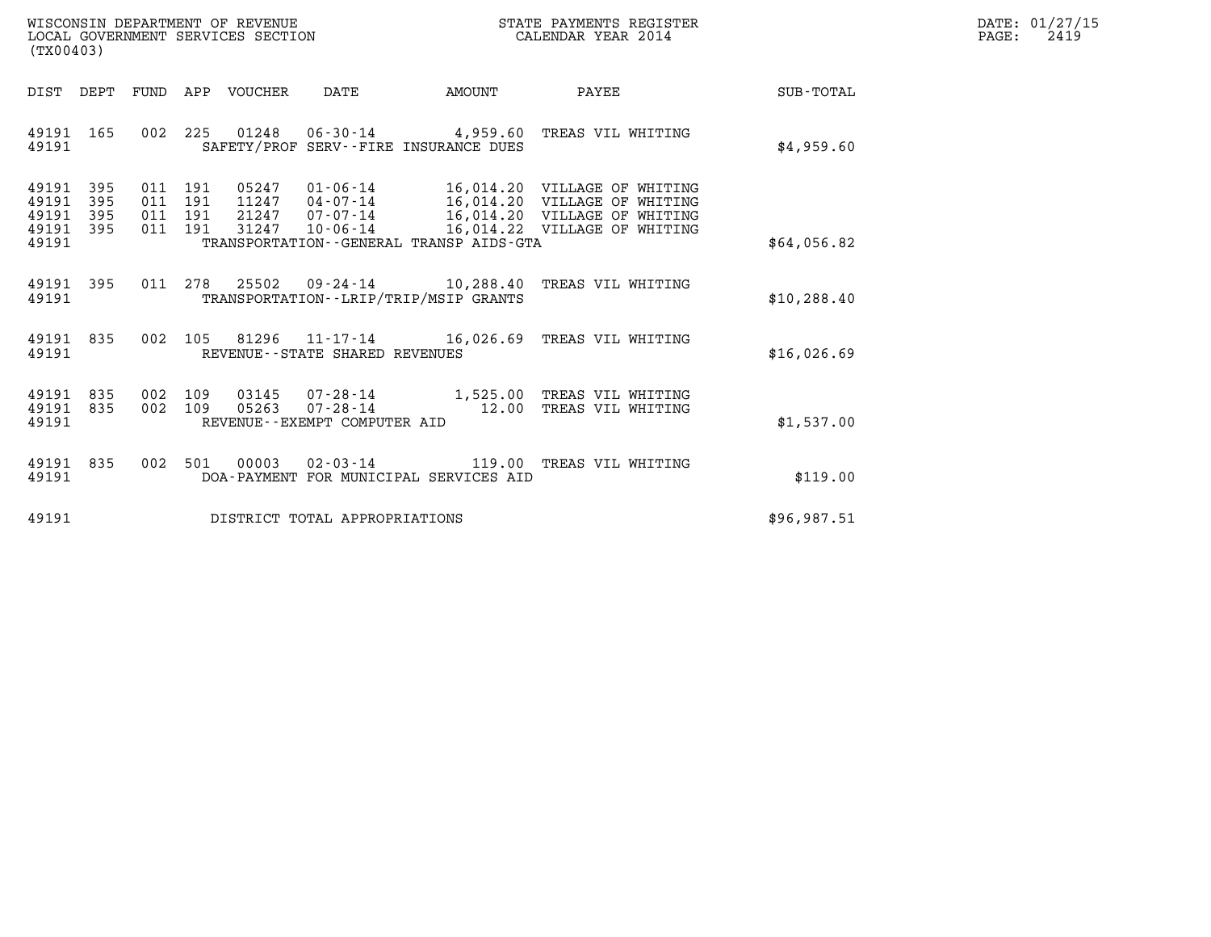| WISCONSIN DEPARTMENT OF REVENUE   | STATE PAYMENTS REGISTER | DATE: 01/27/15 |
|-----------------------------------|-------------------------|----------------|
| LOCAL GOVERNMENT SERVICES SECTION | CALENDAR YEAR 2014      | 2419<br>PAGE:  |

| (TX00403)                                                             |                                                      |                                                                                              |                                                                      |                                                                                                                    |              |
|-----------------------------------------------------------------------|------------------------------------------------------|----------------------------------------------------------------------------------------------|----------------------------------------------------------------------|--------------------------------------------------------------------------------------------------------------------|--------------|
| DIST<br>DEPT                                                          | FUND<br>APP                                          | VOUCHER<br>DATE                                                                              | AMOUNT                                                               | PAYEE                                                                                                              | SUB-TOTAL    |
| 49191<br>165<br>49191                                                 | 002<br>225                                           | 01248<br>06-30-14                                                                            | SAFETY/PROF SERV--FIRE INSURANCE DUES                                | 4,959.60 TREAS VIL WHITING                                                                                         | \$4,959.60   |
| 395<br>49191<br>395<br>49191<br>49191<br>395<br>49191<br>395<br>49191 | 011<br>191<br>191<br>011<br>011<br>191<br>011<br>191 | 05247<br>01-06-14<br>11247<br>$04 - 07 - 14$<br>21247<br>07-07-14<br>31247<br>$10 - 06 - 14$ | 16,014.22<br>TRANSPORTATION--GENERAL TRANSP AIDS-GTA                 | 16,014.20 VILLAGE OF WHITING<br>16,014.20 VILLAGE OF WHITING<br>16,014.20 VILLAGE OF WHITING<br>VILLAGE OF WHITING | \$64,056.82  |
| 395<br>49191<br>49191                                                 | 011<br>278                                           | 25502                                                                                        | $09 - 24 - 14$ 10,288.40<br>TRANSPORTATION - - LRIP/TRIP/MSIP GRANTS | TREAS VIL WHITING                                                                                                  | \$10, 288.40 |
| 49191<br>835<br>49191                                                 | 002<br>105                                           | 81296<br>REVENUE - - STATE SHARED REVENUES                                                   | $11 - 17 - 14$ 16,026.69                                             | TREAS VIL WHITING                                                                                                  | \$16,026.69  |
| 835<br>49191<br>835<br>49191<br>49191                                 | 002<br>109<br>002<br>109                             | 03145<br>$07 - 28 - 14$<br>05263<br>$07 - 28 - 14$<br>REVENUE--EXEMPT COMPUTER AID           | 1,525.00<br>12.00                                                    | TREAS VIL WHITING<br>TREAS VIL WHITING                                                                             | \$1,537.00   |
| 835<br>49191<br>49191                                                 | 002<br>501                                           | 00003<br>$02 - 03 - 14$                                                                      | 119.00<br>DOA-PAYMENT FOR MUNICIPAL SERVICES AID                     | TREAS VIL WHITING                                                                                                  | \$119.00     |
| 49191                                                                 |                                                      | DISTRICT TOTAL APPROPRIATIONS                                                                |                                                                      |                                                                                                                    | \$96,987.51  |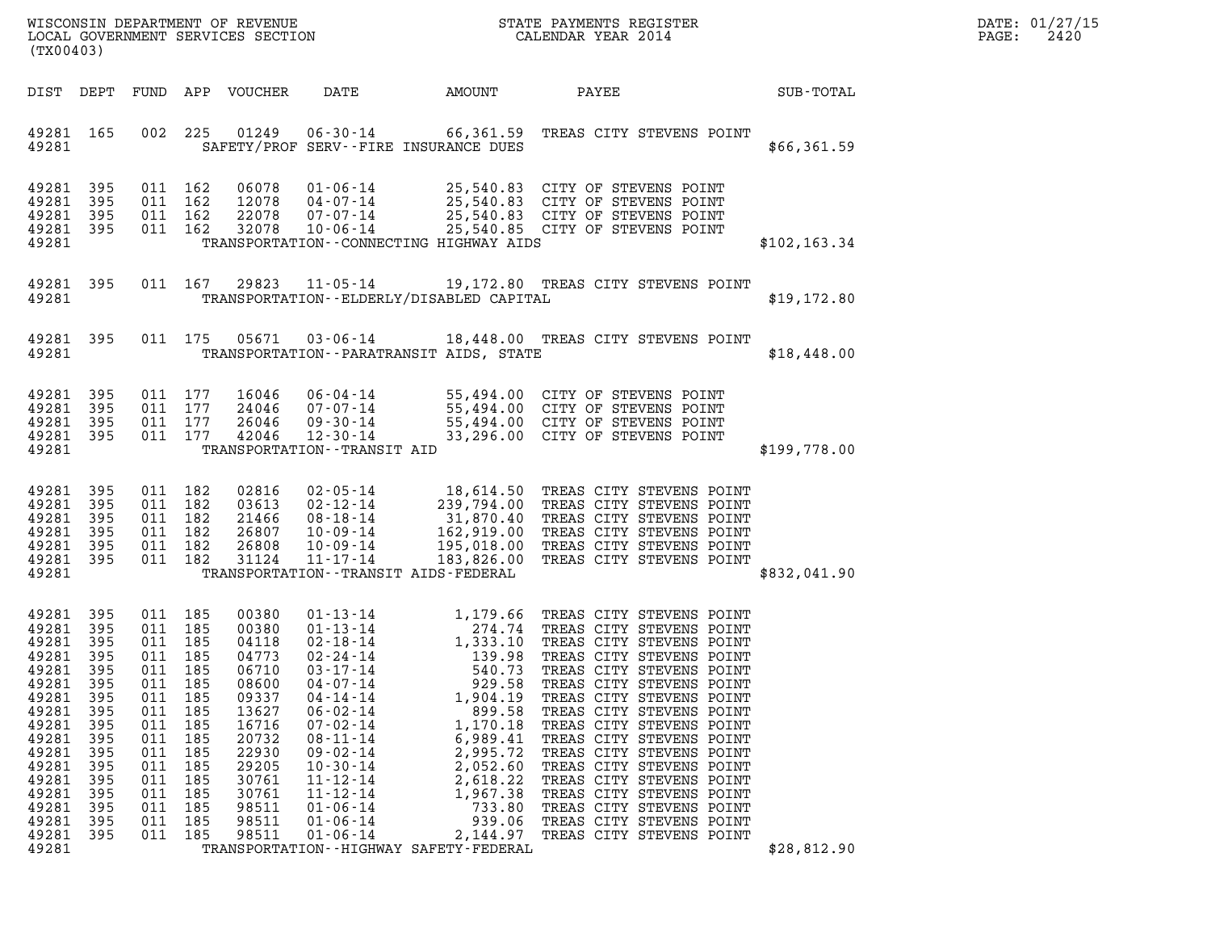| (TX00403)                                                                                                                                                      |                                                                                                                      |                                                                                                                                     |                                                                                         | WISCONSIN DEPARTMENT OF REVENUE<br>LOCAL GOVERNMENT SERVICES SECTION                                                                                  |                                                                                                                                                                                                                                                                                                      | STATE PAYMENTS REGISTER<br>CALENDAR YEAR 2014                                                                                                                                                                                             |                                                                                                                                                                                                                                                                                                                                                                                                                                                                                          | DATE: 01/27/15<br>PAGE:<br>2420 |  |
|----------------------------------------------------------------------------------------------------------------------------------------------------------------|----------------------------------------------------------------------------------------------------------------------|-------------------------------------------------------------------------------------------------------------------------------------|-----------------------------------------------------------------------------------------|-------------------------------------------------------------------------------------------------------------------------------------------------------|------------------------------------------------------------------------------------------------------------------------------------------------------------------------------------------------------------------------------------------------------------------------------------------------------|-------------------------------------------------------------------------------------------------------------------------------------------------------------------------------------------------------------------------------------------|------------------------------------------------------------------------------------------------------------------------------------------------------------------------------------------------------------------------------------------------------------------------------------------------------------------------------------------------------------------------------------------------------------------------------------------------------------------------------------------|---------------------------------|--|
| DIST DEPT                                                                                                                                                      |                                                                                                                      |                                                                                                                                     |                                                                                         | FUND APP VOUCHER                                                                                                                                      | DATE                                                                                                                                                                                                                                                                                                 | AMOUNT                                                                                                                                                                                                                                    | PAYEE                                                                                                                                                                                                                                                                                                                                                                                                                                                                                    | SUB-TOTAL                       |  |
| 49281 165<br>49281                                                                                                                                             |                                                                                                                      | 002                                                                                                                                 | 225                                                                                     |                                                                                                                                                       |                                                                                                                                                                                                                                                                                                      | SAFETY/PROF SERV--FIRE INSURANCE DUES                                                                                                                                                                                                     | 01249  06-30-14  66,361.59  TREAS CITY STEVENS POINT                                                                                                                                                                                                                                                                                                                                                                                                                                     | \$66,361.59                     |  |
| 49281<br>49281<br>49281<br>49281<br>49281                                                                                                                      | - 395<br>395<br>395<br>- 395                                                                                         | 011 162<br>011 162<br>011 162<br>011 162                                                                                            |                                                                                         | 06078<br>12078<br>22078<br>32078                                                                                                                      | $10 - 06 - 14$                                                                                                                                                                                                                                                                                       | TRANSPORTATION - CONNECTING HIGHWAY AIDS                                                                                                                                                                                                  | 01-06-14 25,540.83 CITY OF STEVENS POINT<br>04-07-14 25,540.83 CITY OF STEVENS POINT<br>07-07-14 25.540.83 CITY OF STEVENS POINT<br>25,540.85 CITY OF STEVENS POINT                                                                                                                                                                                                                                                                                                                      | \$102, 163.34                   |  |
| 49281 395<br>49281                                                                                                                                             |                                                                                                                      |                                                                                                                                     | 011 167                                                                                 | 29823                                                                                                                                                 | $11 - 05 - 14$                                                                                                                                                                                                                                                                                       | TRANSPORTATION - - ELDERLY/DISABLED CAPITAL                                                                                                                                                                                               | 19,172.80 TREAS CITY STEVENS POINT                                                                                                                                                                                                                                                                                                                                                                                                                                                       | \$19,172.80                     |  |
| 49281 395<br>49281                                                                                                                                             |                                                                                                                      |                                                                                                                                     | 011 175                                                                                 | 05671                                                                                                                                                 |                                                                                                                                                                                                                                                                                                      | TRANSPORTATION - - PARATRANSIT AIDS, STATE                                                                                                                                                                                                | 03-06-14 18,448.00 TREAS CITY STEVENS POINT                                                                                                                                                                                                                                                                                                                                                                                                                                              | \$18,448.00                     |  |
| 49281<br>49281<br>49281<br>49281<br>49281                                                                                                                      | 395<br>395<br>395<br>395                                                                                             | 011 177<br>011 177<br>011 177<br>011 177                                                                                            |                                                                                         | 16046<br>24046<br>26046<br>42046                                                                                                                      | $12 - 30 - 14$<br>TRANSPORTATION - - TRANSIT AID                                                                                                                                                                                                                                                     |                                                                                                                                                                                                                                           | 06-04-14 55,494.00 CITY OF STEVENS POINT<br>07-07-14 55,494.00 CITY OF STEVENS POINT<br>09-30-14 55,494.00 CITY OF STEVENS POINT<br>33,296.00 CITY OF STEVENS POINT                                                                                                                                                                                                                                                                                                                      | \$199,778.00                    |  |
| 49281<br>49281<br>49281<br>49281<br>49281<br>49281<br>49281                                                                                                    | - 395<br>395<br>395<br>395<br>395<br>395                                                                             | 011 182<br>011 182<br>011 182<br>011 182<br>011 182<br>011 182                                                                      |                                                                                         | 02816<br>03613<br>21466<br>26807<br>26808<br>31124                                                                                                    | 02-05-14<br>02-12-14<br>08-18-14<br>10-09-14<br>10-09-14<br>$11 - 17 - 14$                                                                                                                                                                                                                           | TRANSPORTATION - - TRANSIT AIDS - FEDERAL                                                                                                                                                                                                 | 18,614.50 TREAS CITY STEVENS POINT<br>239,794.00 TREAS CITY STEVENS POINT<br>31,870.40 TREAS CITY STEVENS POINT<br>162,919.00 TREAS CITY STEVENS POINT<br>195,018.00 TREAS CITY STEVENS POINT<br>183,826.00 TREAS CITY STEVENS POINT                                                                                                                                                                                                                                                     | \$832,041.90                    |  |
| 49281<br>49281<br>49281<br>49281<br>49281<br>49281<br>49281<br>49281<br>49281<br>49281<br>49281<br>49281<br>49281<br>49281<br>49281<br>49281<br>49281<br>49281 | 395<br>-395<br>395<br>395<br>395<br>395<br>395<br>395<br>395<br>395<br>395<br>395<br>395<br>395<br>395<br>395<br>395 | 011 185<br>011 185<br>011 185<br>011 185<br>011<br>011<br>011<br>011<br>011<br>011<br>011<br>011<br>011<br>011<br>011<br>011<br>011 | 185<br>185<br>185<br>185<br>185<br>185<br>185<br>185<br>185<br>185<br>185<br>185<br>185 | 00380<br>00380<br>04118<br>04773<br>06710<br>08600<br>09337<br>13627<br>16716<br>20732<br>22930<br>29205<br>30761<br>30761<br>98511<br>98511<br>98511 | 01 - 13 - 14<br>01 - 13 - 14<br>$02 - 18 - 14$<br>02-24-14<br>$03 - 17 - 14$<br>$04 - 07 - 14$<br>$04 - 14 - 14$<br>$06 - 02 - 14$<br>$07 - 02 - 14$<br>$08 - 11 - 14$<br>$09 - 02 - 14$<br>$10 - 30 - 14$<br>$11 - 12 - 14$<br>$11 - 12 - 14$<br>$01 - 06 - 14$<br>$01 - 06 - 14$<br>$01 - 06 - 14$ | 1,179.66<br>274.74<br>1,333.10<br>139.98<br>540.73<br>929.58<br>1,904.19<br>899.58<br>1,170.18<br>6,989.41<br>2,995.72<br>2,052.60<br>2,618.22<br>1,967.38<br>733.80<br>939.06<br>2,144.97<br>TRANSPORTATION - - HIGHWAY SAFETY - FEDERAL | TREAS CITY STEVENS POINT<br>TREAS CITY STEVENS POINT<br>TREAS CITY STEVENS POINT<br>TREAS CITY STEVENS POINT<br>TREAS CITY STEVENS POINT<br>TREAS CITY STEVENS POINT<br>TREAS CITY STEVENS POINT<br>TREAS CITY STEVENS POINT<br>TREAS CITY STEVENS POINT<br>TREAS CITY STEVENS POINT<br>TREAS CITY STEVENS POINT<br>TREAS CITY STEVENS POINT<br>TREAS CITY STEVENS POINT<br>TREAS CITY STEVENS POINT<br>TREAS CITY STEVENS POINT<br>TREAS CITY STEVENS POINT<br>TREAS CITY STEVENS POINT | \$28,812.90                     |  |